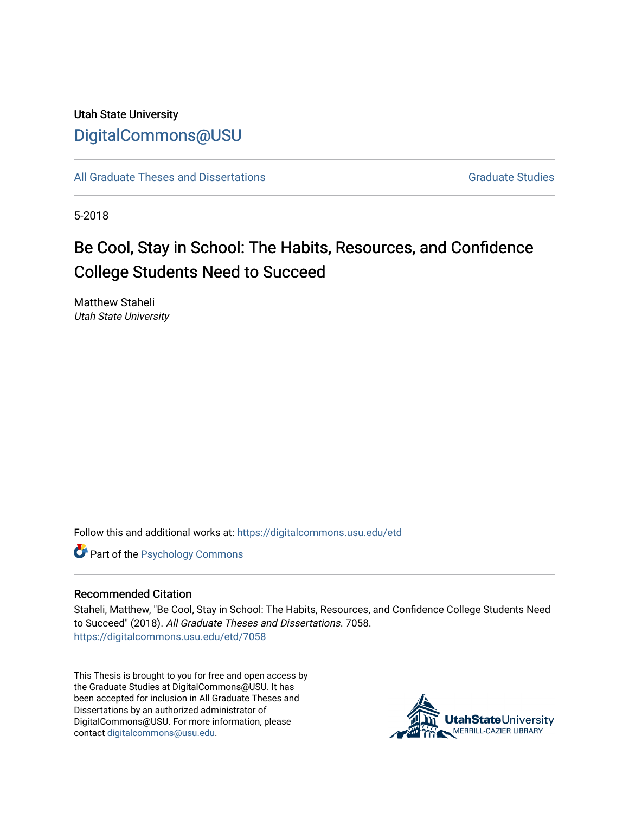## Utah State University [DigitalCommons@USU](https://digitalcommons.usu.edu/)

[All Graduate Theses and Dissertations](https://digitalcommons.usu.edu/etd) Contract Contract Contract Craduate Studies

5-2018

# Be Cool, Stay in School: The Habits, Resources, and Confidence College Students Need to Succeed

Matthew Staheli Utah State University

Follow this and additional works at: [https://digitalcommons.usu.edu/etd](https://digitalcommons.usu.edu/etd?utm_source=digitalcommons.usu.edu%2Fetd%2F7058&utm_medium=PDF&utm_campaign=PDFCoverPages) 

**Part of the Psychology Commons** 

#### Recommended Citation

Staheli, Matthew, "Be Cool, Stay in School: The Habits, Resources, and Confidence College Students Need to Succeed" (2018). All Graduate Theses and Dissertations. 7058. [https://digitalcommons.usu.edu/etd/7058](https://digitalcommons.usu.edu/etd/7058?utm_source=digitalcommons.usu.edu%2Fetd%2F7058&utm_medium=PDF&utm_campaign=PDFCoverPages)

This Thesis is brought to you for free and open access by the Graduate Studies at DigitalCommons@USU. It has been accepted for inclusion in All Graduate Theses and Dissertations by an authorized administrator of DigitalCommons@USU. For more information, please contact [digitalcommons@usu.edu](mailto:digitalcommons@usu.edu).

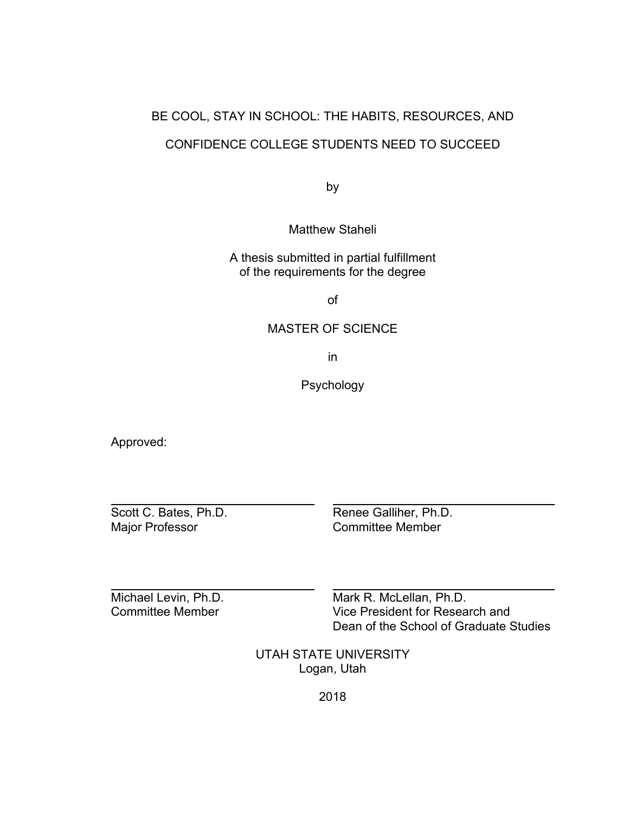# BE COOL, STAY IN SCHOOL: THE HABITS, RESOURCES, AND CONFIDENCE COLLEGE STUDENTS NEED TO SUCCEED

by

Matthew Staheli

A thesis submitted in partial fulfillment of the requirements for the degree

of

#### MASTER OF SCIENCE

in

Psychology

Approved:

 $\overline{a}$ 

 $\overline{a}$ 

Scott C. Bates, Ph.D.<br>
Major Professor 
Renee Galliher, Ph.D.<br>
Committee Member Committee Member

Michael Levin, Ph.D.<br>
Committee Member<br>
Vice President for Resea Vice President for Research and Dean of the School of Graduate Studies

> UTAH STATE UNIVERSITY Logan, Utah

> > 2018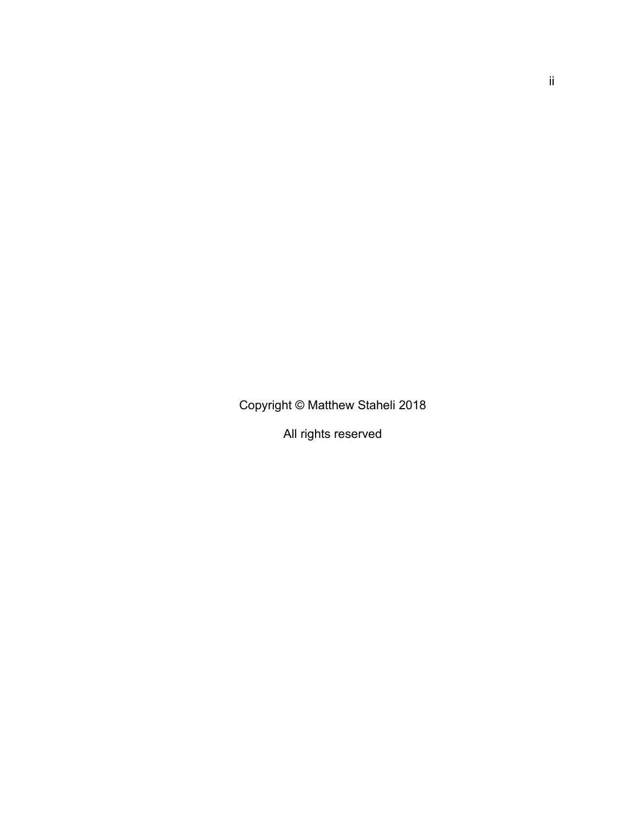Copyright © Matthew Staheli 2018

All rights reserved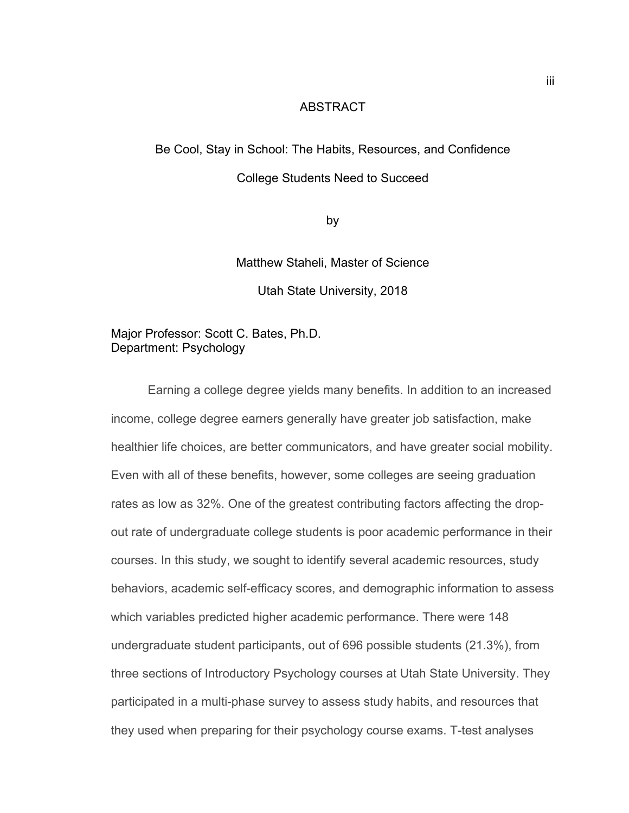#### ABSTRACT

# Be Cool, Stay in School: The Habits, Resources, and Confidence

#### College Students Need to Succeed

by

Matthew Staheli, Master of Science

Utah State University, 2018

#### Major Professor: Scott C. Bates, Ph.D. Department: Psychology

Earning a college degree yields many benefits. In addition to an increased income, college degree earners generally have greater job satisfaction, make healthier life choices, are better communicators, and have greater social mobility. Even with all of these benefits, however, some colleges are seeing graduation rates as low as 32%. One of the greatest contributing factors affecting the dropout rate of undergraduate college students is poor academic performance in their courses. In this study, we sought to identify several academic resources, study behaviors, academic self-efficacy scores, and demographic information to assess which variables predicted higher academic performance. There were 148 undergraduate student participants, out of 696 possible students (21.3%), from three sections of Introductory Psychology courses at Utah State University. They participated in a multi-phase survey to assess study habits, and resources that they used when preparing for their psychology course exams. T-test analyses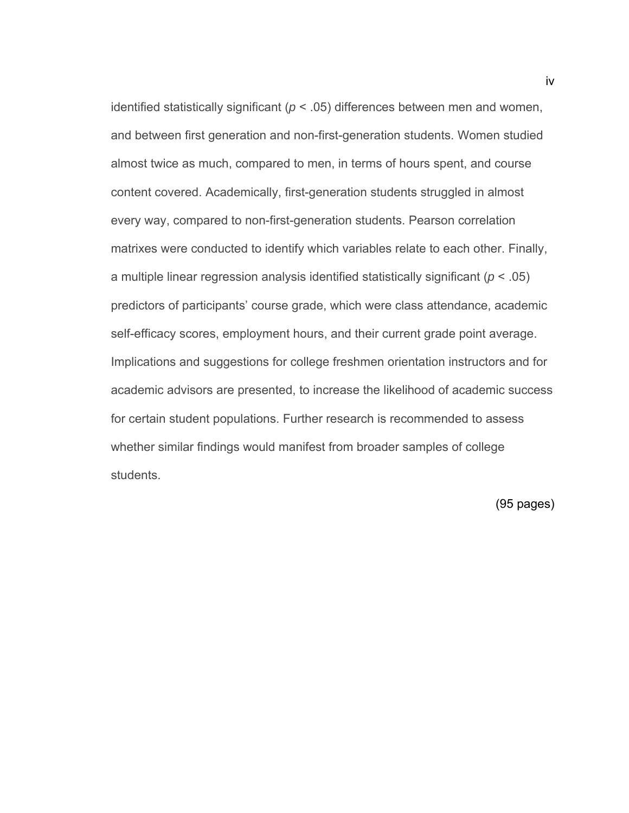identified statistically significant ( $p < .05$ ) differences between men and women, and between first generation and non-first-generation students. Women studied almost twice as much, compared to men, in terms of hours spent, and course content covered. Academically, first-generation students struggled in almost every way, compared to non-first-generation students. Pearson correlation matrixes were conducted to identify which variables relate to each other. Finally, a multiple linear regression analysis identified statistically significant (*p* < .05) predictors of participants' course grade, which were class attendance, academic self-efficacy scores, employment hours, and their current grade point average. Implications and suggestions for college freshmen orientation instructors and for academic advisors are presented, to increase the likelihood of academic success for certain student populations. Further research is recommended to assess whether similar findings would manifest from broader samples of college students.

(95 pages)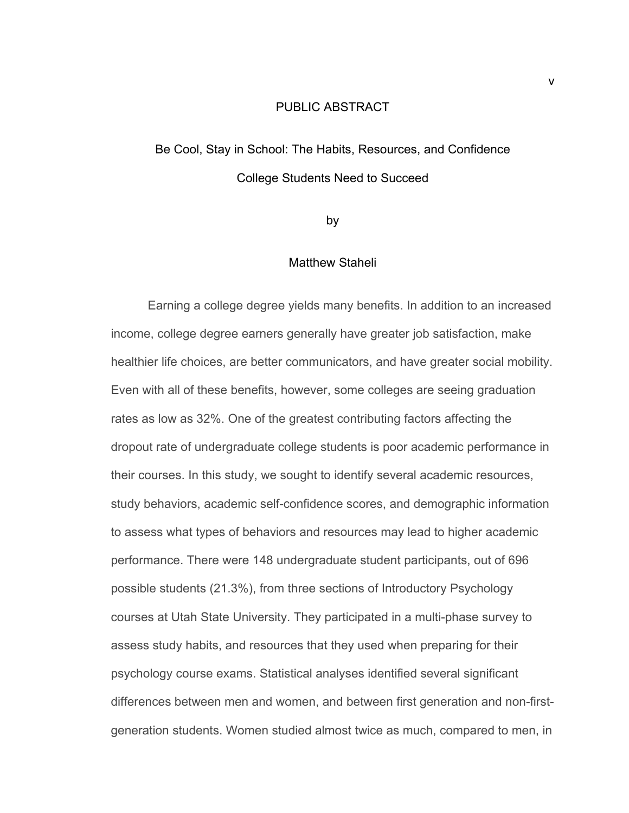#### PUBLIC ABSTRACT

# Be Cool, Stay in School: The Habits, Resources, and Confidence College Students Need to Succeed

by

#### Matthew Staheli

Earning a college degree yields many benefits. In addition to an increased income, college degree earners generally have greater job satisfaction, make healthier life choices, are better communicators, and have greater social mobility. Even with all of these benefits, however, some colleges are seeing graduation rates as low as 32%. One of the greatest contributing factors affecting the dropout rate of undergraduate college students is poor academic performance in their courses. In this study, we sought to identify several academic resources, study behaviors, academic self-confidence scores, and demographic information to assess what types of behaviors and resources may lead to higher academic performance. There were 148 undergraduate student participants, out of 696 possible students (21.3%), from three sections of Introductory Psychology courses at Utah State University. They participated in a multi-phase survey to assess study habits, and resources that they used when preparing for their psychology course exams. Statistical analyses identified several significant differences between men and women, and between first generation and non-firstgeneration students. Women studied almost twice as much, compared to men, in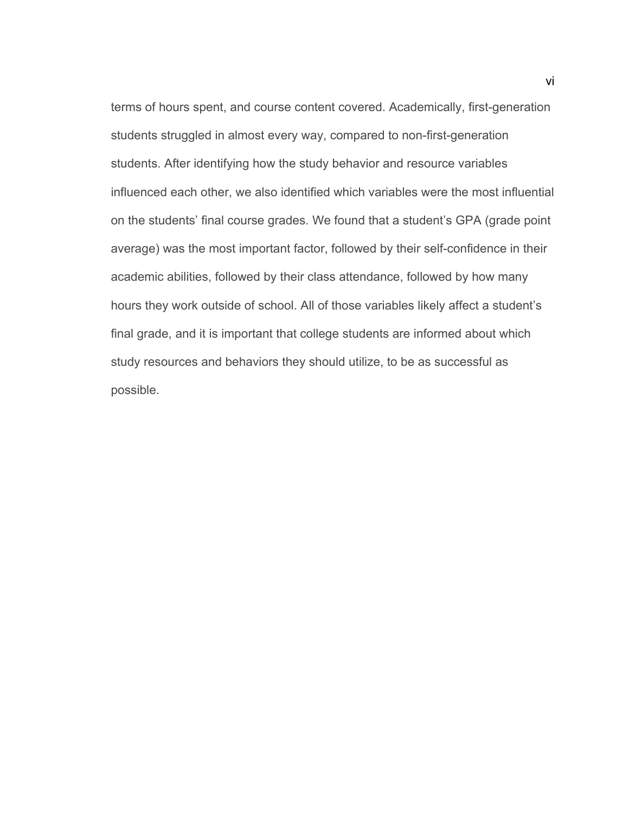terms of hours spent, and course content covered. Academically, first-generation students struggled in almost every way, compared to non-first-generation students. After identifying how the study behavior and resource variables influenced each other, we also identified which variables were the most influential on the students' final course grades. We found that a student's GPA (grade point average) was the most important factor, followed by their self-confidence in their academic abilities, followed by their class attendance, followed by how many hours they work outside of school. All of those variables likely affect a student's final grade, and it is important that college students are informed about which study resources and behaviors they should utilize, to be as successful as possible.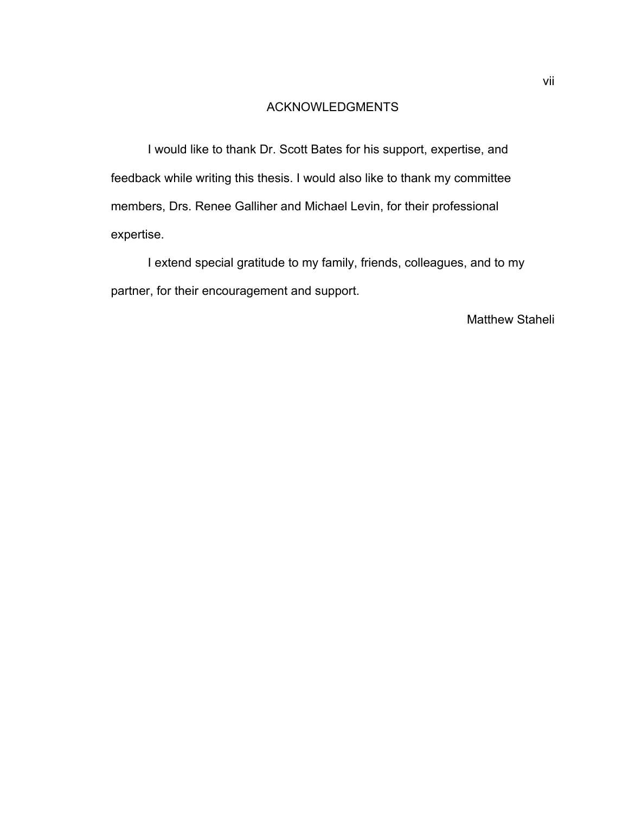#### ACKNOWLEDGMENTS

 I would like to thank Dr. Scott Bates for his support, expertise, and feedback while writing this thesis. I would also like to thank my committee members, Drs. Renee Galliher and Michael Levin, for their professional expertise.

 I extend special gratitude to my family, friends, colleagues, and to my partner, for their encouragement and support.

#### Matthew Staheli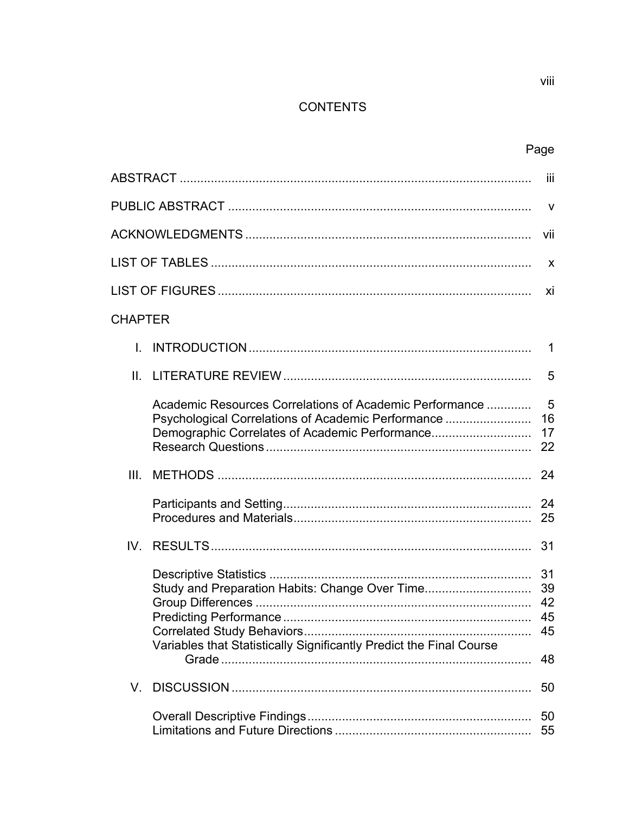## **CONTENTS**

|                |                                                                                                                                                                 | Ϊij                         |  |
|----------------|-----------------------------------------------------------------------------------------------------------------------------------------------------------------|-----------------------------|--|
|                |                                                                                                                                                                 | <b>V</b>                    |  |
|                |                                                                                                                                                                 |                             |  |
|                |                                                                                                                                                                 | X                           |  |
|                |                                                                                                                                                                 |                             |  |
| <b>CHAPTER</b> |                                                                                                                                                                 |                             |  |
|                |                                                                                                                                                                 | 1                           |  |
|                |                                                                                                                                                                 | 5                           |  |
|                | Academic Resources Correlations of Academic Performance<br>Psychological Correlations of Academic Performance<br>Demographic Correlates of Academic Performance | 5<br>16<br>17<br>22         |  |
| III.           |                                                                                                                                                                 | 24                          |  |
|                |                                                                                                                                                                 |                             |  |
|                |                                                                                                                                                                 | 31                          |  |
|                | Study and Preparation Habits: Change Over Time<br>Variables that Statistically Significantly Predict the Final Course                                           | -31<br>39<br>42<br>45<br>48 |  |
| V.             |                                                                                                                                                                 | 50                          |  |
|                |                                                                                                                                                                 | 50<br>55                    |  |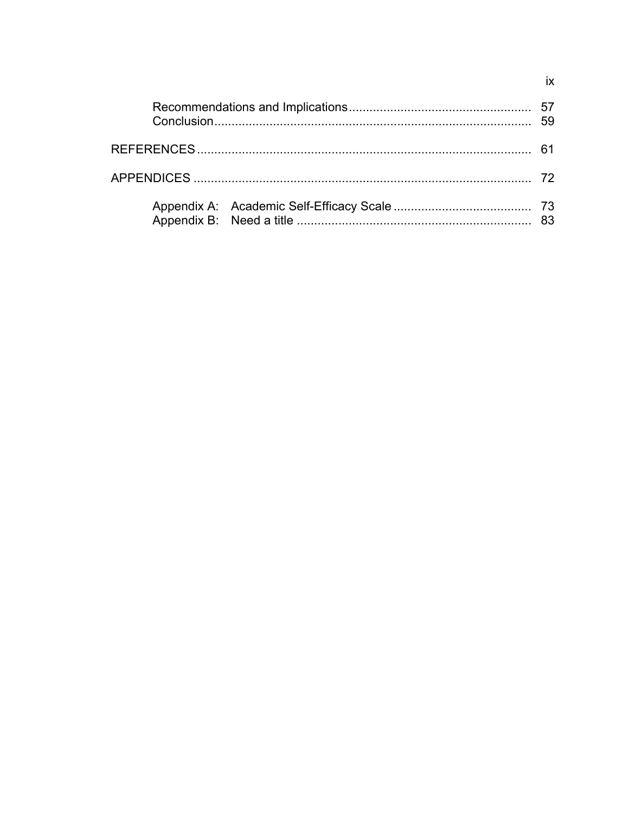|  | 59 |
|--|----|
|  |    |
|  |    |
|  |    |

 $i\mathsf{x}$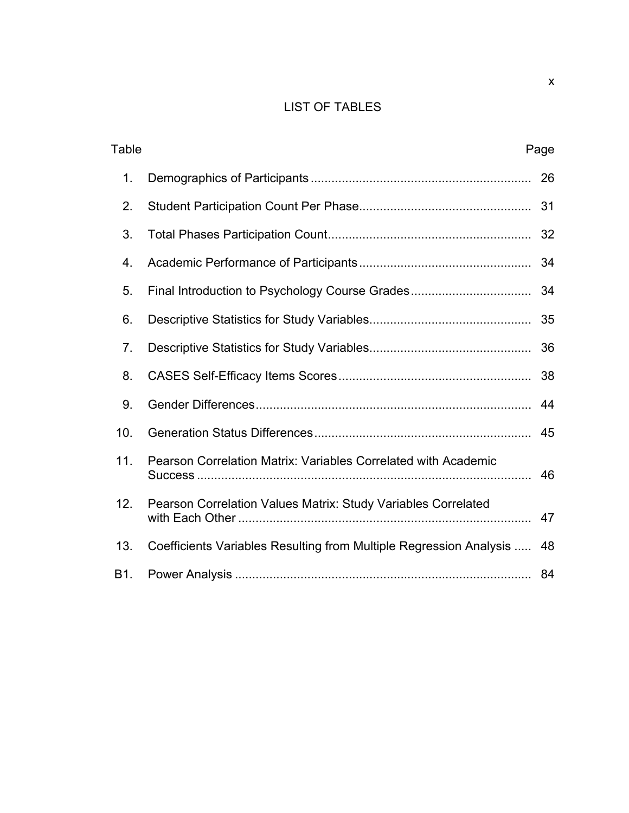## LIST OF TABLES

| <b>Table</b> |                                                                    | Page |
|--------------|--------------------------------------------------------------------|------|
| 1.           |                                                                    | 26   |
| 2.           |                                                                    | 31   |
| 3.           |                                                                    | 32   |
| 4.           |                                                                    | 34   |
| 5.           | Final Introduction to Psychology Course Grades                     | 34   |
| 6.           |                                                                    | 35   |
| 7.           |                                                                    | 36   |
| 8.           |                                                                    | 38   |
| 9.           |                                                                    | 44   |
| 10.          |                                                                    | 45   |
| 11.          | Pearson Correlation Matrix: Variables Correlated with Academic     | 46   |
| 12.          | Pearson Correlation Values Matrix: Study Variables Correlated      | 47   |
| 13.          | Coefficients Variables Resulting from Multiple Regression Analysis | 48   |
| B1.          |                                                                    |      |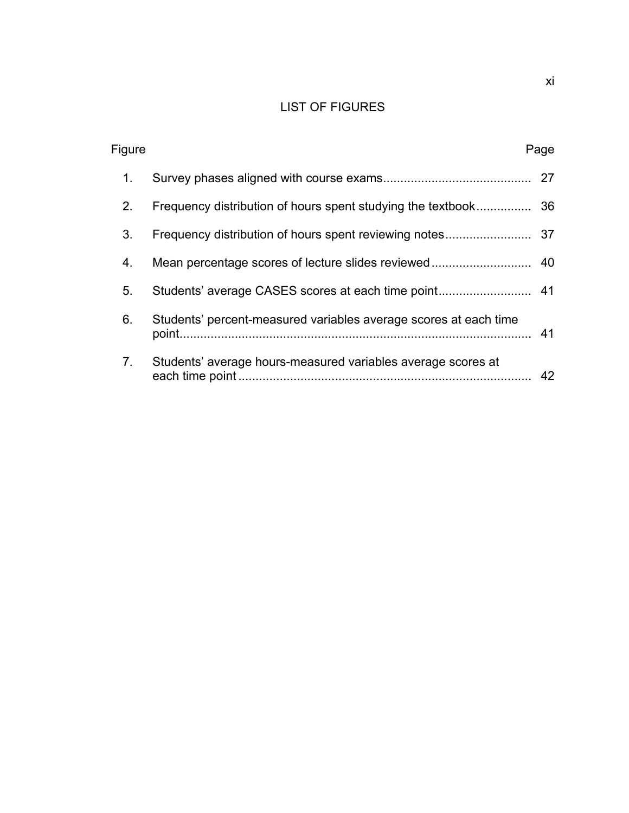## LIST OF FIGURES

| Figure         |                                                                  | Page |
|----------------|------------------------------------------------------------------|------|
| 1.             |                                                                  | 27   |
| 2.             |                                                                  |      |
| 3.             |                                                                  |      |
| 4.             |                                                                  |      |
| 5.             |                                                                  |      |
| 6.             | Students' percent-measured variables average scores at each time | 41   |
| 7 <sub>1</sub> | Students' average hours-measured variables average scores at     | 42   |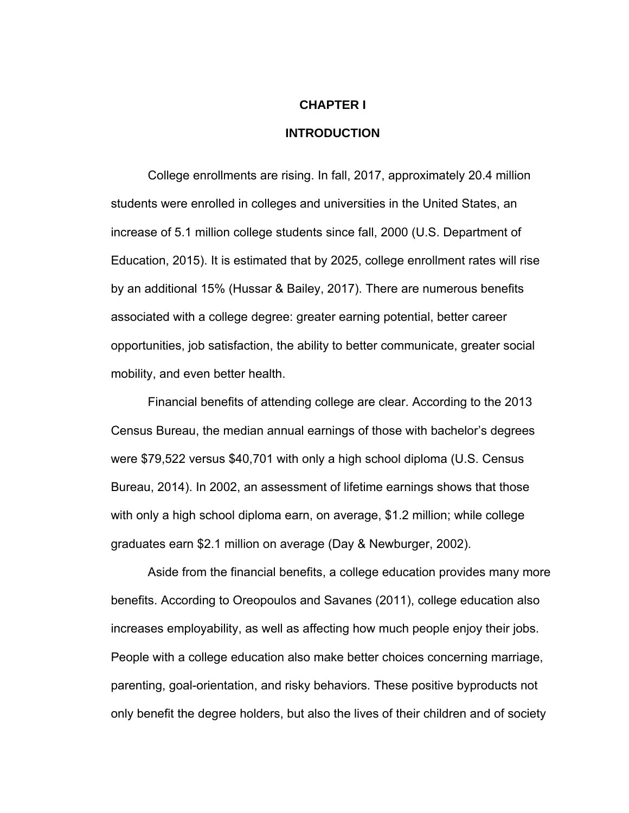## **CHAPTER I INTRODUCTION**

# College enrollments are rising. In fall, 2017, approximately 20.4 million students were enrolled in colleges and universities in the United States, an increase of 5.1 million college students since fall, 2000 (U.S. Department of Education, 2015). It is estimated that by 2025, college enrollment rates will rise by an additional 15% (Hussar & Bailey, 2017). There are numerous benefits associated with a college degree: greater earning potential, better career opportunities, job satisfaction, the ability to better communicate, greater social mobility, and even better health.

 Financial benefits of attending college are clear. According to the 2013 Census Bureau, the median annual earnings of those with bachelor's degrees were \$79,522 versus \$40,701 with only a high school diploma (U.S. Census Bureau, 2014). In 2002, an assessment of lifetime earnings shows that those with only a high school diploma earn, on average, \$1.2 million; while college graduates earn \$2.1 million on average (Day & Newburger, 2002).

 Aside from the financial benefits, a college education provides many more benefits. According to Oreopoulos and Savanes (2011), college education also increases employability, as well as affecting how much people enjoy their jobs. People with a college education also make better choices concerning marriage, parenting, goal-orientation, and risky behaviors. These positive byproducts not only benefit the degree holders, but also the lives of their children and of society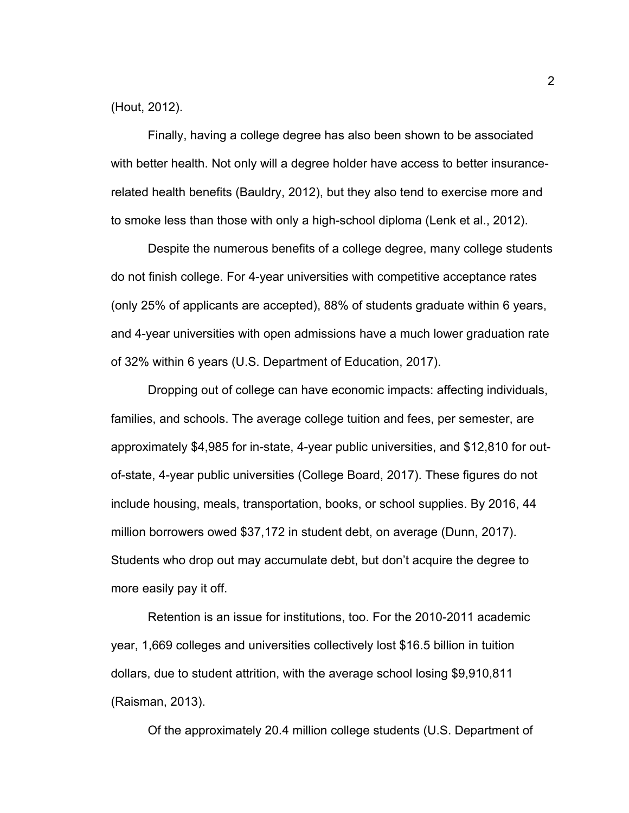(Hout, 2012).

 Finally, having a college degree has also been shown to be associated with better health. Not only will a degree holder have access to better insurancerelated health benefits (Bauldry, 2012), but they also tend to exercise more and to smoke less than those with only a high-school diploma (Lenk et al., 2012).

 Despite the numerous benefits of a college degree, many college students do not finish college. For 4-year universities with competitive acceptance rates (only 25% of applicants are accepted), 88% of students graduate within 6 years, and 4-year universities with open admissions have a much lower graduation rate of 32% within 6 years (U.S. Department of Education, 2017).

Dropping out of college can have economic impacts: affecting individuals, families, and schools. The average college tuition and fees, per semester, are approximately \$4,985 for in-state, 4-year public universities, and \$12,810 for outof-state, 4-year public universities (College Board, 2017). These figures do not include housing, meals, transportation, books, or school supplies. By 2016, 44 million borrowers owed \$37,172 in student debt, on average (Dunn, 2017). Students who drop out may accumulate debt, but don't acquire the degree to more easily pay it off.

Retention is an issue for institutions, too. For the 2010-2011 academic year, 1,669 colleges and universities collectively lost \$16.5 billion in tuition dollars, due to student attrition, with the average school losing \$9,910,811 (Raisman, 2013).

Of the approximately 20.4 million college students (U.S. Department of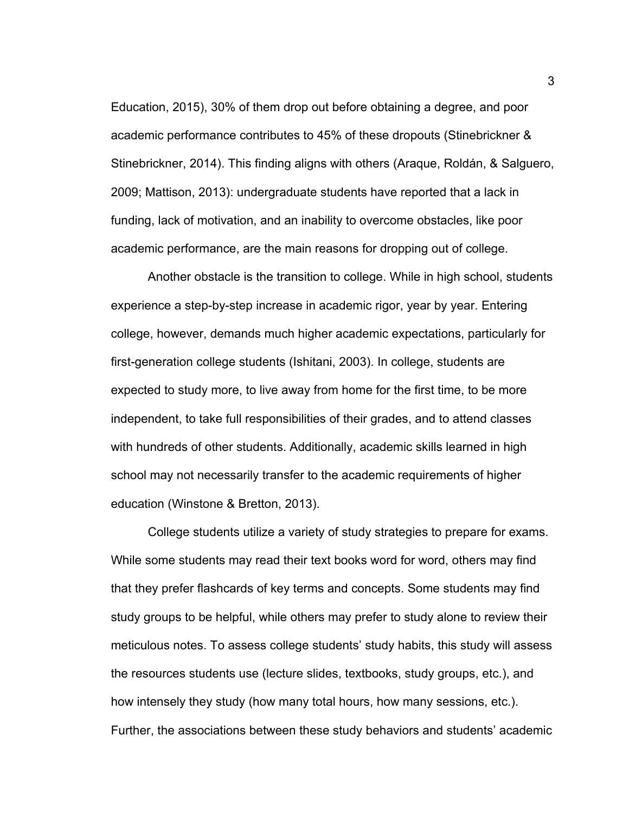Education, 2015), 30% of them drop out before obtaining a degree, and poor academic performance contributes to 45% of these dropouts (Stinebrickner & Stinebrickner, 2014). This finding aligns with others (Araque, Roldán, & Salguero, 2009; Mattison, 2013): undergraduate students have reported that a lack in funding, lack of motivation, and an inability to overcome obstacles, like poor academic performance, are the main reasons for dropping out of college.

Another obstacle is the transition to college. While in high school, students experience a step-by-step increase in academic rigor, year by year. Entering college, however, demands much higher academic expectations, particularly for first-generation college students (Ishitani, 2003). In college, students are expected to study more, to live away from home for the first time, to be more independent, to take full responsibilities of their grades, and to attend classes with hundreds of other students. Additionally, academic skills learned in high school may not necessarily transfer to the academic requirements of higher education (Winstone & Bretton, 2013).

College students utilize a variety of study strategies to prepare for exams. While some students may read their text books word for word, others may find that they prefer flashcards of key terms and concepts. Some students may find study groups to be helpful, while others may prefer to study alone to review their meticulous notes. To assess college students' study habits, this study will assess the resources students use (lecture slides, textbooks, study groups, etc.), and how intensely they study (how many total hours, how many sessions, etc.). Further, the associations between these study behaviors and students' academic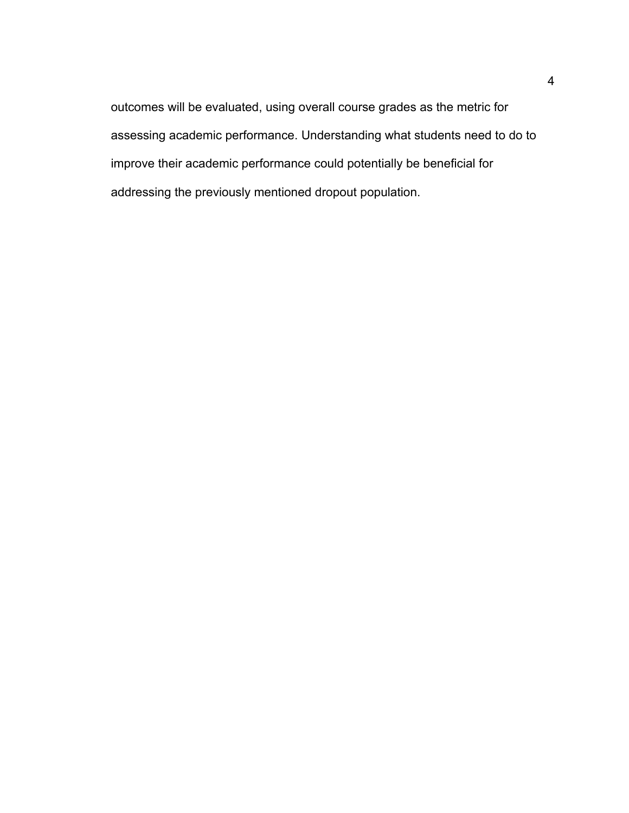outcomes will be evaluated, using overall course grades as the metric for assessing academic performance. Understanding what students need to do to improve their academic performance could potentially be beneficial for addressing the previously mentioned dropout population.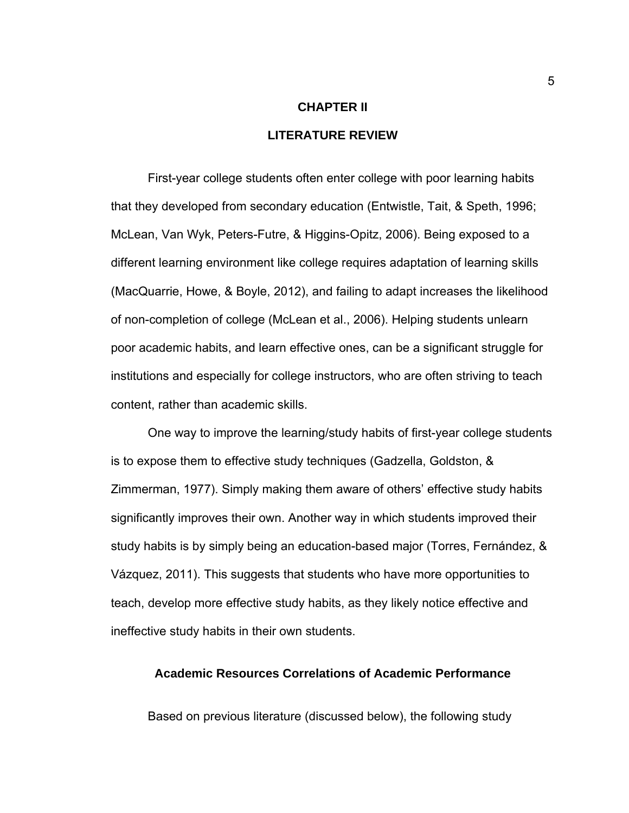# **CHAPTER II LITERATURE REVIEW**

 First-year college students often enter college with poor learning habits that they developed from secondary education (Entwistle, Tait, & Speth, 1996; McLean, Van Wyk, Peters-Futre, & Higgins-Opitz, 2006). Being exposed to a different learning environment like college requires adaptation of learning skills (MacQuarrie, Howe, & Boyle, 2012), and failing to adapt increases the likelihood of non-completion of college (McLean et al., 2006). Helping students unlearn poor academic habits, and learn effective ones, can be a significant struggle for institutions and especially for college instructors, who are often striving to teach content, rather than academic skills.

 One way to improve the learning/study habits of first-year college students is to expose them to effective study techniques (Gadzella, Goldston, & Zimmerman, 1977). Simply making them aware of others' effective study habits significantly improves their own. Another way in which students improved their study habits is by simply being an education-based major (Torres, Fernández, & Vázquez, 2011). This suggests that students who have more opportunities to teach, develop more effective study habits, as they likely notice effective and ineffective study habits in their own students.

#### **Academic Resources Correlations of Academic Performance**

Based on previous literature (discussed below), the following study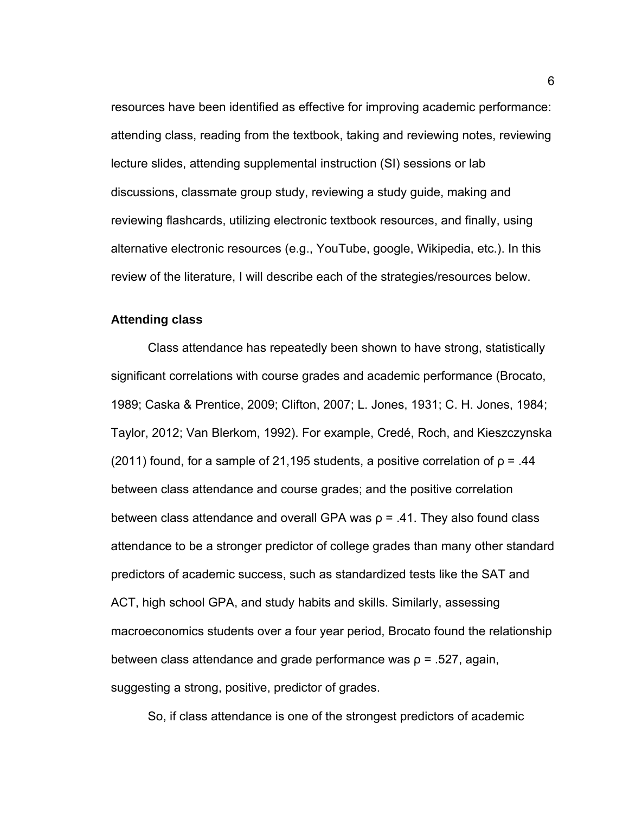resources have been identified as effective for improving academic performance: attending class, reading from the textbook, taking and reviewing notes, reviewing lecture slides, attending supplemental instruction (SI) sessions or lab discussions, classmate group study, reviewing a study guide, making and reviewing flashcards, utilizing electronic textbook resources, and finally, using alternative electronic resources (e.g., YouTube, google, Wikipedia, etc.). In this review of the literature, I will describe each of the strategies/resources below.

#### **Attending class**

Class attendance has repeatedly been shown to have strong, statistically significant correlations with course grades and academic performance (Brocato, 1989; Caska & Prentice, 2009; Clifton, 2007; L. Jones, 1931; C. H. Jones, 1984; Taylor, 2012; Van Blerkom, 1992). For example, Credé, Roch, and Kieszczynska (2011) found, for a sample of 21,195 students, a positive correlation of  $p = .44$ between class attendance and course grades; and the positive correlation between class attendance and overall GPA was  $\rho$  = .41. They also found class attendance to be a stronger predictor of college grades than many other standard predictors of academic success, such as standardized tests like the SAT and ACT, high school GPA, and study habits and skills. Similarly, assessing macroeconomics students over a four year period, Brocato found the relationship between class attendance and grade performance was  $\rho = 0.527$ , again, suggesting a strong, positive, predictor of grades.

So, if class attendance is one of the strongest predictors of academic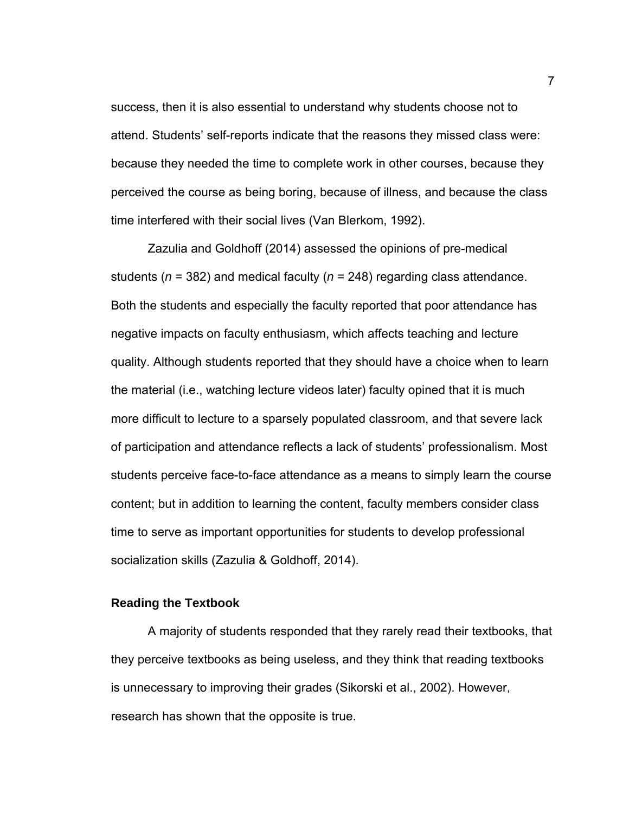success, then it is also essential to understand why students choose not to attend. Students' self-reports indicate that the reasons they missed class were: because they needed the time to complete work in other courses, because they perceived the course as being boring, because of illness, and because the class time interfered with their social lives (Van Blerkom, 1992).

 Zazulia and Goldhoff (2014) assessed the opinions of pre-medical students (*n* = 382) and medical faculty (*n* = 248) regarding class attendance. Both the students and especially the faculty reported that poor attendance has negative impacts on faculty enthusiasm, which affects teaching and lecture quality. Although students reported that they should have a choice when to learn the material (i.e., watching lecture videos later) faculty opined that it is much more difficult to lecture to a sparsely populated classroom, and that severe lack of participation and attendance reflects a lack of students' professionalism. Most students perceive face-to-face attendance as a means to simply learn the course content; but in addition to learning the content, faculty members consider class time to serve as important opportunities for students to develop professional socialization skills (Zazulia & Goldhoff, 2014).

#### **Reading the Textbook**

A majority of students responded that they rarely read their textbooks, that they perceive textbooks as being useless, and they think that reading textbooks is unnecessary to improving their grades (Sikorski et al., 2002). However, research has shown that the opposite is true.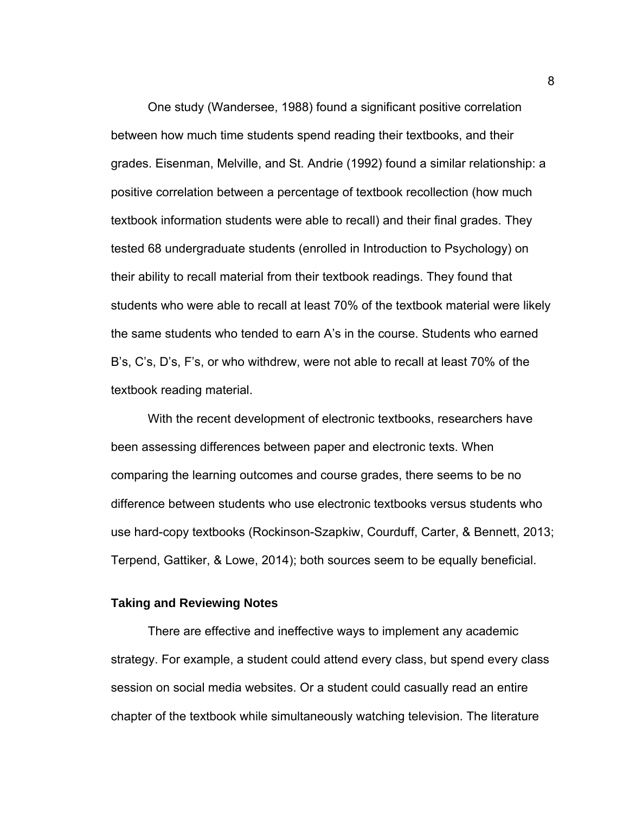One study (Wandersee, 1988) found a significant positive correlation between how much time students spend reading their textbooks, and their grades. Eisenman, Melville, and St. Andrie (1992) found a similar relationship: a positive correlation between a percentage of textbook recollection (how much textbook information students were able to recall) and their final grades. They tested 68 undergraduate students (enrolled in Introduction to Psychology) on their ability to recall material from their textbook readings. They found that students who were able to recall at least 70% of the textbook material were likely the same students who tended to earn A's in the course. Students who earned B's, C's, D's, F's, or who withdrew, were not able to recall at least 70% of the textbook reading material.

With the recent development of electronic textbooks, researchers have been assessing differences between paper and electronic texts. When comparing the learning outcomes and course grades, there seems to be no difference between students who use electronic textbooks versus students who use hard-copy textbooks (Rockinson-Szapkiw, Courduff, Carter, & Bennett, 2013; Terpend, Gattiker, & Lowe, 2014); both sources seem to be equally beneficial.

#### **Taking and Reviewing Notes**

There are effective and ineffective ways to implement any academic strategy. For example, a student could attend every class, but spend every class session on social media websites. Or a student could casually read an entire chapter of the textbook while simultaneously watching television. The literature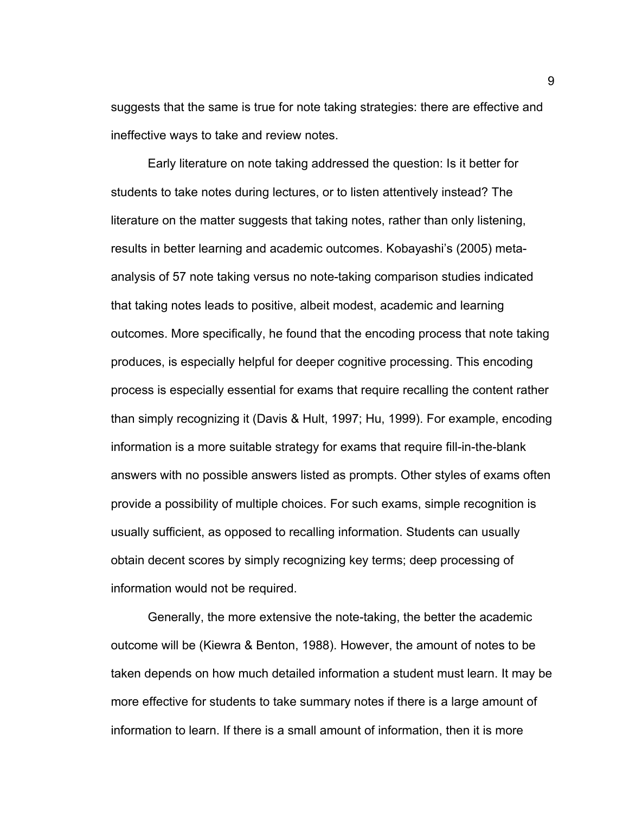suggests that the same is true for note taking strategies: there are effective and ineffective ways to take and review notes.

Early literature on note taking addressed the question: Is it better for students to take notes during lectures, or to listen attentively instead? The literature on the matter suggests that taking notes, rather than only listening, results in better learning and academic outcomes. Kobayashi's (2005) metaanalysis of 57 note taking versus no note-taking comparison studies indicated that taking notes leads to positive, albeit modest, academic and learning outcomes. More specifically, he found that the encoding process that note taking produces, is especially helpful for deeper cognitive processing. This encoding process is especially essential for exams that require recalling the content rather than simply recognizing it (Davis & Hult, 1997; Hu, 1999). For example, encoding information is a more suitable strategy for exams that require fill-in-the-blank answers with no possible answers listed as prompts. Other styles of exams often provide a possibility of multiple choices. For such exams, simple recognition is usually sufficient, as opposed to recalling information. Students can usually obtain decent scores by simply recognizing key terms; deep processing of information would not be required.

Generally, the more extensive the note-taking, the better the academic outcome will be (Kiewra & Benton, 1988). However, the amount of notes to be taken depends on how much detailed information a student must learn. It may be more effective for students to take summary notes if there is a large amount of information to learn. If there is a small amount of information, then it is more

9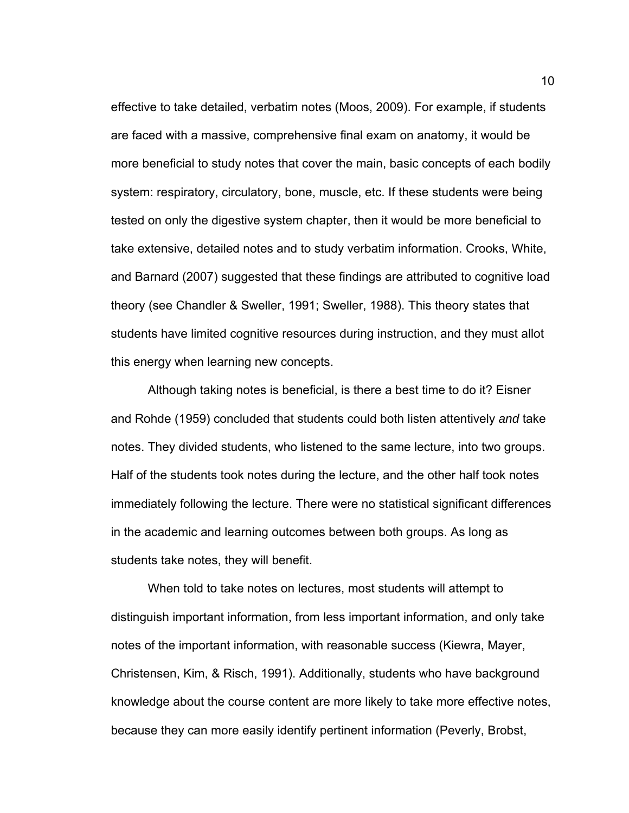effective to take detailed, verbatim notes (Moos, 2009). For example, if students are faced with a massive, comprehensive final exam on anatomy, it would be more beneficial to study notes that cover the main, basic concepts of each bodily system: respiratory, circulatory, bone, muscle, etc. If these students were being tested on only the digestive system chapter, then it would be more beneficial to take extensive, detailed notes and to study verbatim information. Crooks, White, and Barnard (2007) suggested that these findings are attributed to cognitive load theory (see Chandler & Sweller, 1991; Sweller, 1988). This theory states that students have limited cognitive resources during instruction, and they must allot this energy when learning new concepts.

Although taking notes is beneficial, is there a best time to do it? Eisner and Rohde (1959) concluded that students could both listen attentively *and* take notes. They divided students, who listened to the same lecture, into two groups. Half of the students took notes during the lecture, and the other half took notes immediately following the lecture. There were no statistical significant differences in the academic and learning outcomes between both groups. As long as students take notes, they will benefit.

 When told to take notes on lectures, most students will attempt to distinguish important information, from less important information, and only take notes of the important information, with reasonable success (Kiewra, Mayer, Christensen, Kim, & Risch, 1991). Additionally, students who have background knowledge about the course content are more likely to take more effective notes, because they can more easily identify pertinent information (Peverly, Brobst,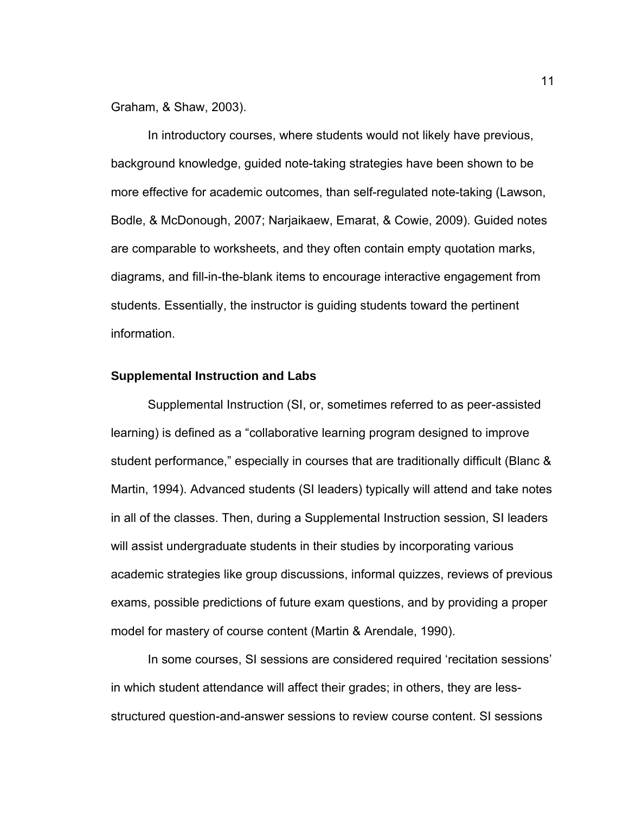Graham, & Shaw, 2003).

In introductory courses, where students would not likely have previous, background knowledge, guided note-taking strategies have been shown to be more effective for academic outcomes, than self-regulated note-taking (Lawson, Bodle, & McDonough, 2007; Narjaikaew, Emarat, & Cowie, 2009). Guided notes are comparable to worksheets, and they often contain empty quotation marks, diagrams, and fill-in-the-blank items to encourage interactive engagement from students. Essentially, the instructor is guiding students toward the pertinent information.

#### **Supplemental Instruction and Labs**

Supplemental Instruction (SI, or, sometimes referred to as peer-assisted learning) is defined as a "collaborative learning program designed to improve student performance," especially in courses that are traditionally difficult (Blanc & Martin, 1994). Advanced students (SI leaders) typically will attend and take notes in all of the classes. Then, during a Supplemental Instruction session, SI leaders will assist undergraduate students in their studies by incorporating various academic strategies like group discussions, informal quizzes, reviews of previous exams, possible predictions of future exam questions, and by providing a proper model for mastery of course content (Martin & Arendale, 1990).

In some courses, SI sessions are considered required 'recitation sessions' in which student attendance will affect their grades; in others, they are lessstructured question-and-answer sessions to review course content. SI sessions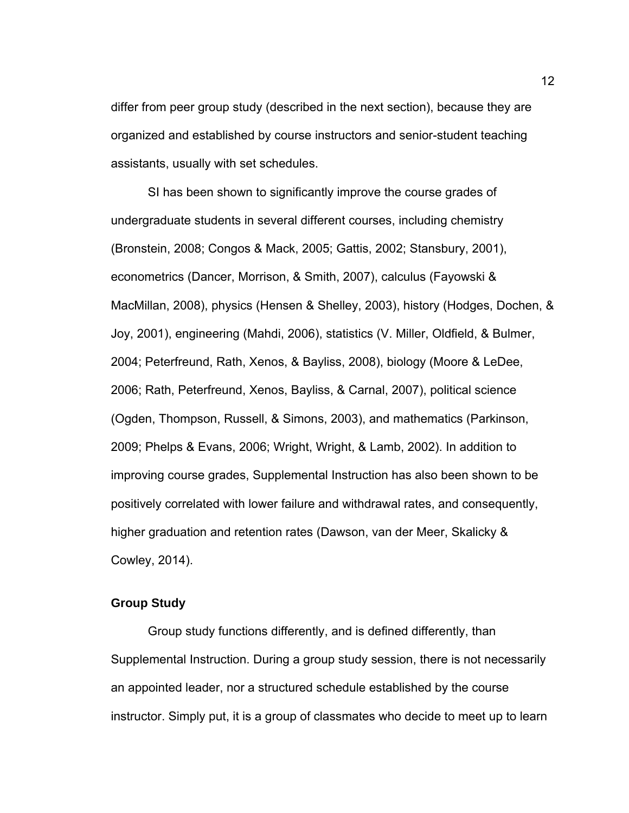differ from peer group study (described in the next section), because they are organized and established by course instructors and senior-student teaching assistants, usually with set schedules.

 SI has been shown to significantly improve the course grades of undergraduate students in several different courses, including chemistry (Bronstein, 2008; Congos & Mack, 2005; Gattis, 2002; Stansbury, 2001), econometrics (Dancer, Morrison, & Smith, 2007), calculus (Fayowski & MacMillan, 2008), physics (Hensen & Shelley, 2003), history (Hodges, Dochen, & Joy, 2001), engineering (Mahdi, 2006), statistics (V. Miller, Oldfield, & Bulmer, 2004; Peterfreund, Rath, Xenos, & Bayliss, 2008), biology (Moore & LeDee, 2006; Rath, Peterfreund, Xenos, Bayliss, & Carnal, 2007), political science (Ogden, Thompson, Russell, & Simons, 2003), and mathematics (Parkinson, 2009; Phelps & Evans, 2006; Wright, Wright, & Lamb, 2002). In addition to improving course grades, Supplemental Instruction has also been shown to be positively correlated with lower failure and withdrawal rates, and consequently, higher graduation and retention rates (Dawson, van der Meer, Skalicky & Cowley, 2014).

#### **Group Study**

Group study functions differently, and is defined differently, than Supplemental Instruction. During a group study session, there is not necessarily an appointed leader, nor a structured schedule established by the course instructor. Simply put, it is a group of classmates who decide to meet up to learn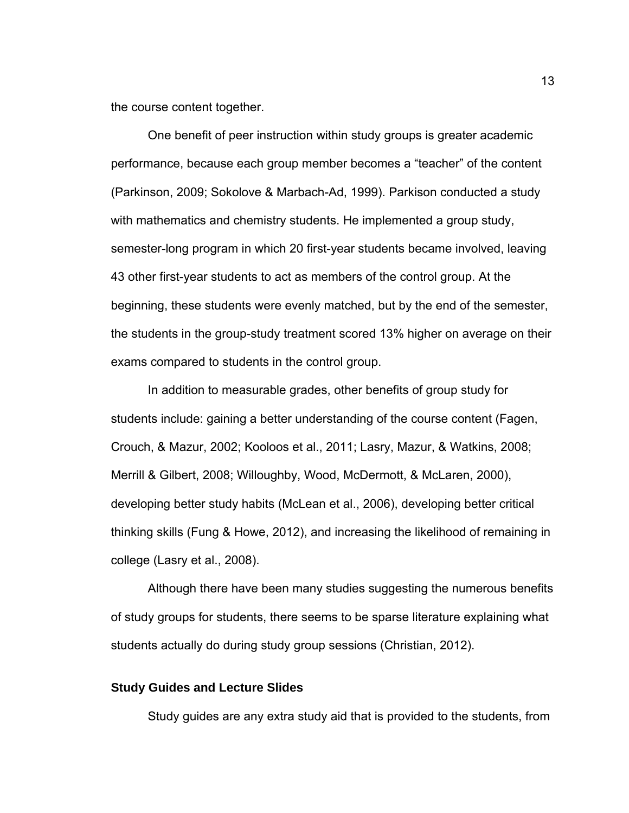the course content together.

 One benefit of peer instruction within study groups is greater academic performance, because each group member becomes a "teacher" of the content (Parkinson, 2009; Sokolove & Marbach-Ad, 1999). Parkison conducted a study with mathematics and chemistry students. He implemented a group study, semester-long program in which 20 first-year students became involved, leaving 43 other first-year students to act as members of the control group. At the beginning, these students were evenly matched, but by the end of the semester, the students in the group-study treatment scored 13% higher on average on their exams compared to students in the control group.

In addition to measurable grades, other benefits of group study for students include: gaining a better understanding of the course content (Fagen, Crouch, & Mazur, 2002; Kooloos et al., 2011; Lasry, Mazur, & Watkins, 2008; Merrill & Gilbert, 2008; Willoughby, Wood, McDermott, & McLaren, 2000), developing better study habits (McLean et al., 2006), developing better critical thinking skills (Fung & Howe, 2012), and increasing the likelihood of remaining in college (Lasry et al., 2008).

Although there have been many studies suggesting the numerous benefits of study groups for students, there seems to be sparse literature explaining what students actually do during study group sessions (Christian, 2012).

#### **Study Guides and Lecture Slides**

Study guides are any extra study aid that is provided to the students, from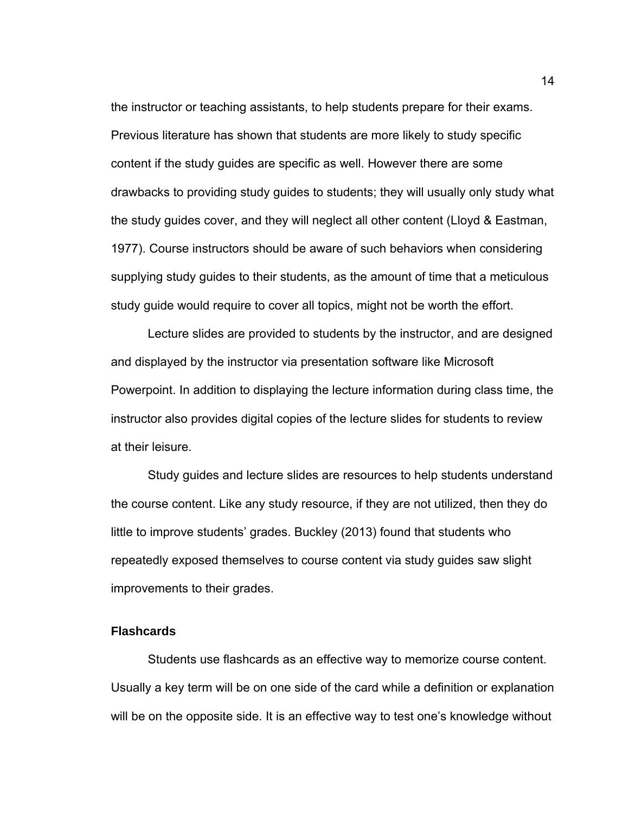the instructor or teaching assistants, to help students prepare for their exams. Previous literature has shown that students are more likely to study specific content if the study guides are specific as well. However there are some drawbacks to providing study guides to students; they will usually only study what the study guides cover, and they will neglect all other content (Lloyd & Eastman, 1977). Course instructors should be aware of such behaviors when considering supplying study guides to their students, as the amount of time that a meticulous study guide would require to cover all topics, might not be worth the effort.

Lecture slides are provided to students by the instructor, and are designed and displayed by the instructor via presentation software like Microsoft Powerpoint. In addition to displaying the lecture information during class time, the instructor also provides digital copies of the lecture slides for students to review at their leisure.

 Study guides and lecture slides are resources to help students understand the course content. Like any study resource, if they are not utilized, then they do little to improve students' grades. Buckley (2013) found that students who repeatedly exposed themselves to course content via study guides saw slight improvements to their grades.

#### **Flashcards**

Students use flashcards as an effective way to memorize course content. Usually a key term will be on one side of the card while a definition or explanation will be on the opposite side. It is an effective way to test one's knowledge without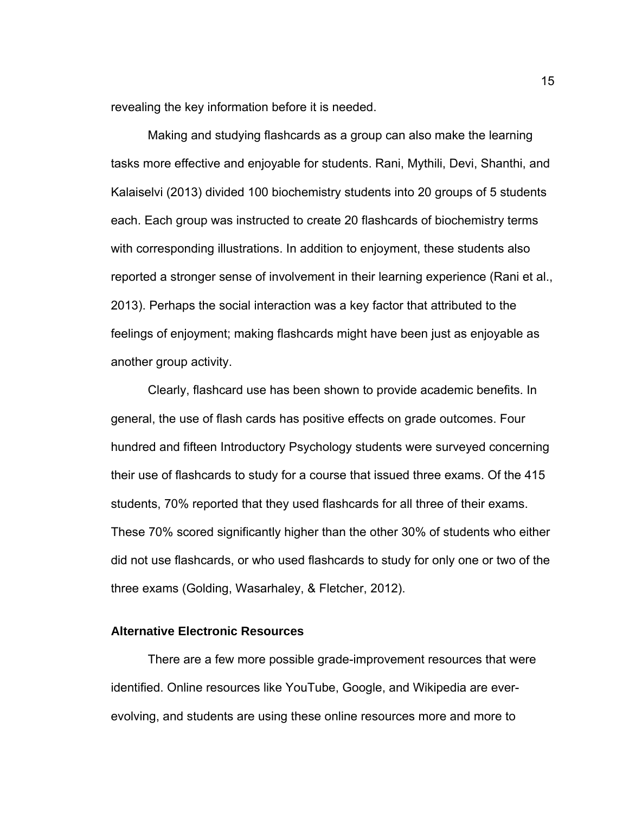revealing the key information before it is needed.

 Making and studying flashcards as a group can also make the learning tasks more effective and enjoyable for students. Rani, Mythili, Devi, Shanthi, and Kalaiselvi (2013) divided 100 biochemistry students into 20 groups of 5 students each. Each group was instructed to create 20 flashcards of biochemistry terms with corresponding illustrations. In addition to enjoyment, these students also reported a stronger sense of involvement in their learning experience (Rani et al., 2013). Perhaps the social interaction was a key factor that attributed to the feelings of enjoyment; making flashcards might have been just as enjoyable as another group activity.

Clearly, flashcard use has been shown to provide academic benefits. In general, the use of flash cards has positive effects on grade outcomes. Four hundred and fifteen Introductory Psychology students were surveyed concerning their use of flashcards to study for a course that issued three exams. Of the 415 students, 70% reported that they used flashcards for all three of their exams. These 70% scored significantly higher than the other 30% of students who either did not use flashcards, or who used flashcards to study for only one or two of the three exams (Golding, Wasarhaley, & Fletcher, 2012).

#### **Alternative Electronic Resources**

There are a few more possible grade-improvement resources that were identified. Online resources like YouTube, Google, and Wikipedia are everevolving, and students are using these online resources more and more to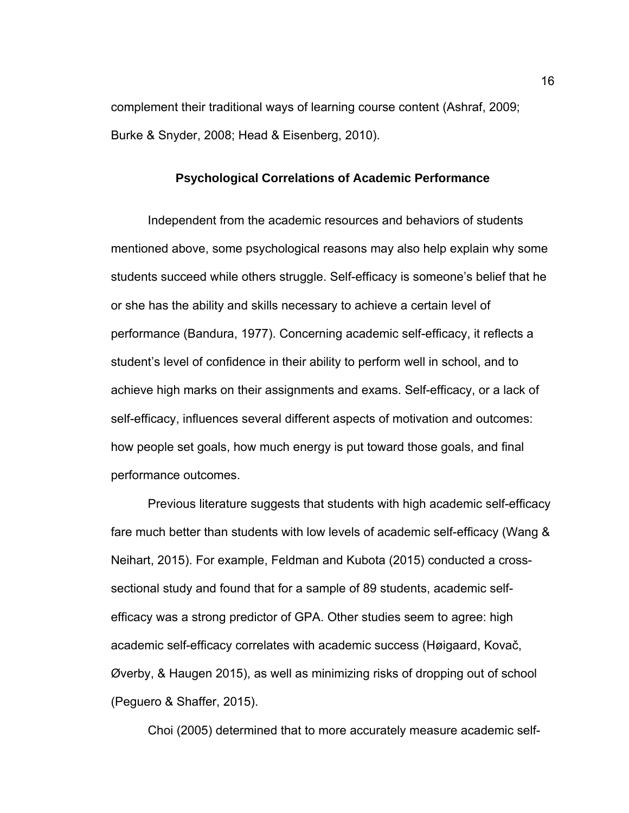complement their traditional ways of learning course content (Ashraf, 2009; Burke & Snyder, 2008; Head & Eisenberg, 2010).

#### **Psychological Correlations of Academic Performance**

 Independent from the academic resources and behaviors of students mentioned above, some psychological reasons may also help explain why some students succeed while others struggle. Self-efficacy is someone's belief that he or she has the ability and skills necessary to achieve a certain level of performance (Bandura, 1977). Concerning academic self-efficacy, it reflects a student's level of confidence in their ability to perform well in school, and to achieve high marks on their assignments and exams. Self-efficacy, or a lack of self-efficacy, influences several different aspects of motivation and outcomes: how people set goals, how much energy is put toward those goals, and final performance outcomes.

 Previous literature suggests that students with high academic self-efficacy fare much better than students with low levels of academic self-efficacy (Wang & Neihart, 2015). For example, Feldman and Kubota (2015) conducted a crosssectional study and found that for a sample of 89 students, academic selfefficacy was a strong predictor of GPA. Other studies seem to agree: high academic self-efficacy correlates with academic success (Høigaard, Kovač, Øverby, & Haugen 2015), as well as minimizing risks of dropping out of school (Peguero & Shaffer, 2015).

Choi (2005) determined that to more accurately measure academic self-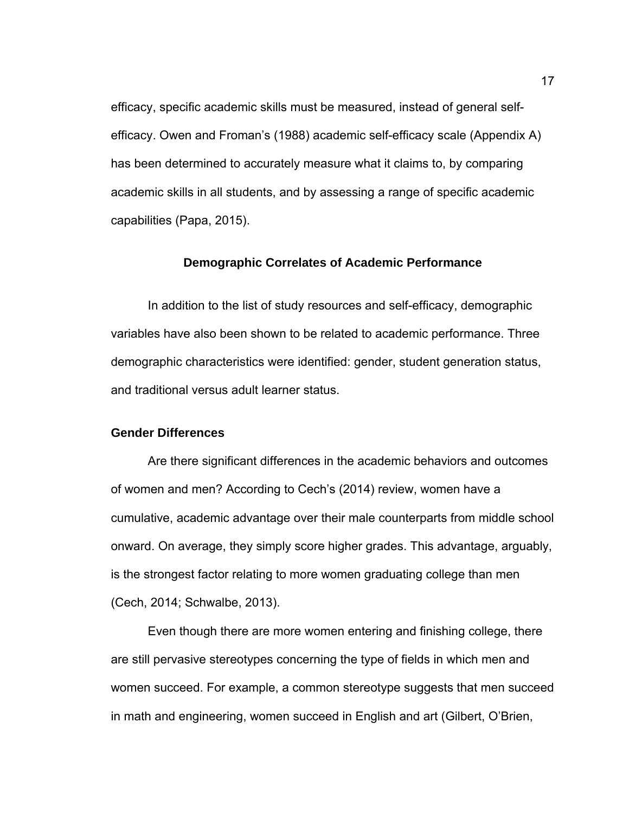efficacy, specific academic skills must be measured, instead of general selfefficacy. Owen and Froman's (1988) academic self-efficacy scale (Appendix A) has been determined to accurately measure what it claims to, by comparing academic skills in all students, and by assessing a range of specific academic capabilities (Papa, 2015).

#### **Demographic Correlates of Academic Performance**

In addition to the list of study resources and self-efficacy, demographic variables have also been shown to be related to academic performance. Three demographic characteristics were identified: gender, student generation status, and traditional versus adult learner status.

#### **Gender Differences**

Are there significant differences in the academic behaviors and outcomes of women and men? According to Cech's (2014) review, women have a cumulative, academic advantage over their male counterparts from middle school onward. On average, they simply score higher grades. This advantage, arguably, is the strongest factor relating to more women graduating college than men (Cech, 2014; Schwalbe, 2013).

 Even though there are more women entering and finishing college, there are still pervasive stereotypes concerning the type of fields in which men and women succeed. For example, a common stereotype suggests that men succeed in math and engineering, women succeed in English and art (Gilbert, O'Brien,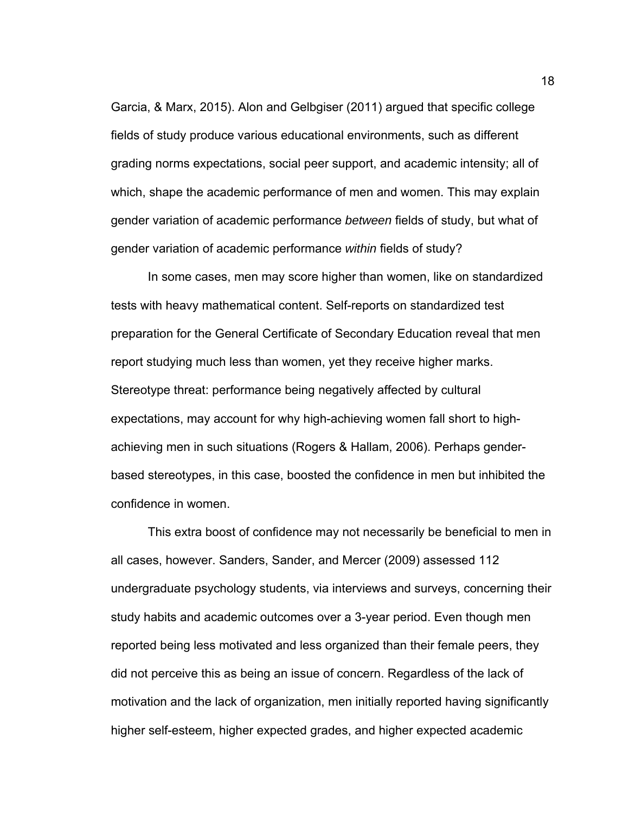Garcia, & Marx, 2015). Alon and Gelbgiser (2011) argued that specific college fields of study produce various educational environments, such as different grading norms expectations, social peer support, and academic intensity; all of which, shape the academic performance of men and women. This may explain gender variation of academic performance *between* fields of study, but what of gender variation of academic performance *within* fields of study?

 In some cases, men may score higher than women, like on standardized tests with heavy mathematical content. Self-reports on standardized test preparation for the General Certificate of Secondary Education reveal that men report studying much less than women, yet they receive higher marks. Stereotype threat: performance being negatively affected by cultural expectations, may account for why high-achieving women fall short to highachieving men in such situations (Rogers & Hallam, 2006). Perhaps genderbased stereotypes, in this case, boosted the confidence in men but inhibited the confidence in women.

 This extra boost of confidence may not necessarily be beneficial to men in all cases, however. Sanders, Sander, and Mercer (2009) assessed 112 undergraduate psychology students, via interviews and surveys, concerning their study habits and academic outcomes over a 3-year period. Even though men reported being less motivated and less organized than their female peers, they did not perceive this as being an issue of concern. Regardless of the lack of motivation and the lack of organization, men initially reported having significantly higher self-esteem, higher expected grades, and higher expected academic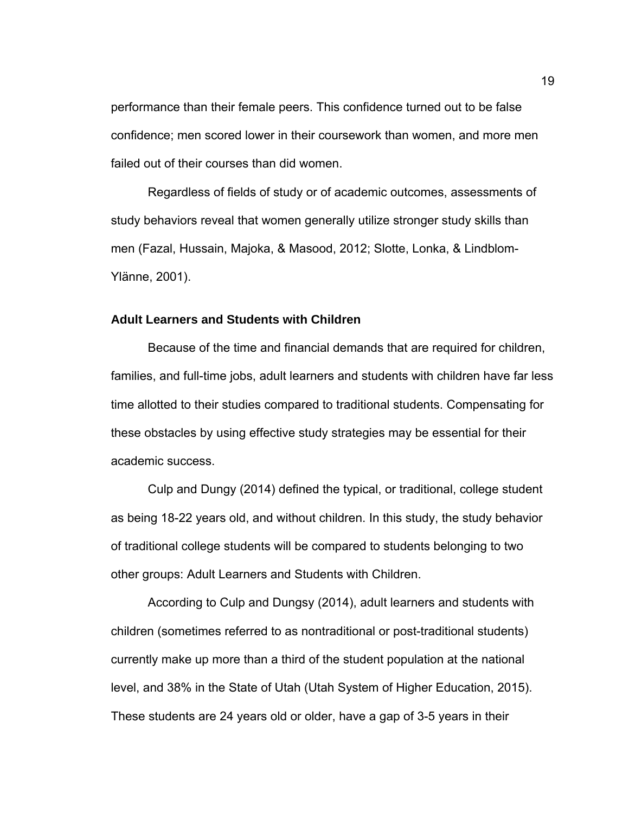performance than their female peers. This confidence turned out to be false confidence; men scored lower in their coursework than women, and more men failed out of their courses than did women.

 Regardless of fields of study or of academic outcomes, assessments of study behaviors reveal that women generally utilize stronger study skills than men (Fazal, Hussain, Majoka, & Masood, 2012; Slotte, Lonka, & Lindblom-Ylänne, 2001).

#### **Adult Learners and Students with Children**

Because of the time and financial demands that are required for children, families, and full-time jobs, adult learners and students with children have far less time allotted to their studies compared to traditional students. Compensating for these obstacles by using effective study strategies may be essential for their academic success.

Culp and Dungy (2014) defined the typical, or traditional, college student as being 18-22 years old, and without children. In this study, the study behavior of traditional college students will be compared to students belonging to two other groups: Adult Learners and Students with Children.

According to Culp and Dungsy (2014), adult learners and students with children (sometimes referred to as nontraditional or post-traditional students) currently make up more than a third of the student population at the national level, and 38% in the State of Utah (Utah System of Higher Education, 2015). These students are 24 years old or older, have a gap of 3-5 years in their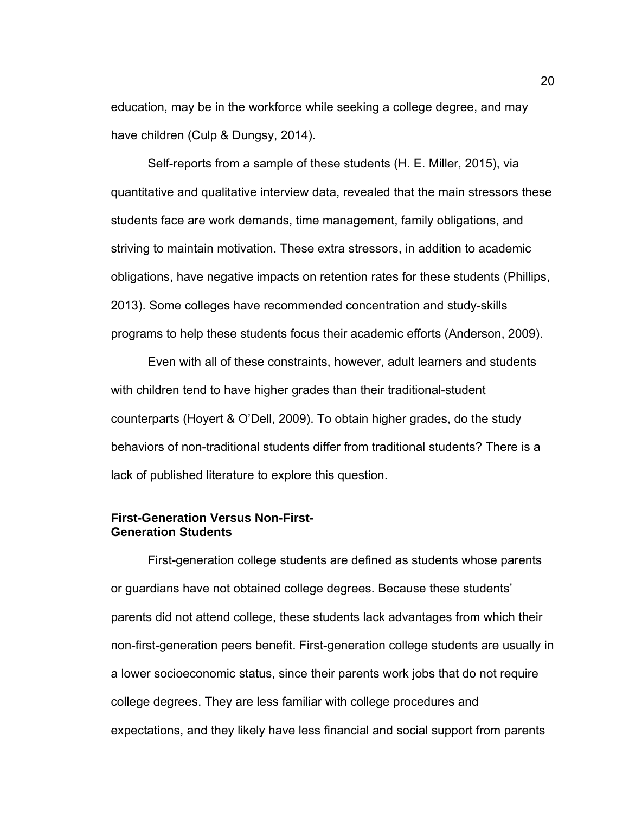education, may be in the workforce while seeking a college degree, and may have children (Culp & Dungsy, 2014).

Self-reports from a sample of these students (H. E. Miller, 2015), via quantitative and qualitative interview data, revealed that the main stressors these students face are work demands, time management, family obligations, and striving to maintain motivation. These extra stressors, in addition to academic obligations, have negative impacts on retention rates for these students (Phillips, 2013). Some colleges have recommended concentration and study-skills programs to help these students focus their academic efforts (Anderson, 2009).

Even with all of these constraints, however, adult learners and students with children tend to have higher grades than their traditional-student counterparts (Hoyert & O'Dell, 2009). To obtain higher grades, do the study behaviors of non-traditional students differ from traditional students? There is a lack of published literature to explore this question.

#### **First-Generation Versus Non-First-Generation Students**

First-generation college students are defined as students whose parents or guardians have not obtained college degrees. Because these students' parents did not attend college, these students lack advantages from which their non-first-generation peers benefit. First-generation college students are usually in a lower socioeconomic status, since their parents work jobs that do not require college degrees. They are less familiar with college procedures and expectations, and they likely have less financial and social support from parents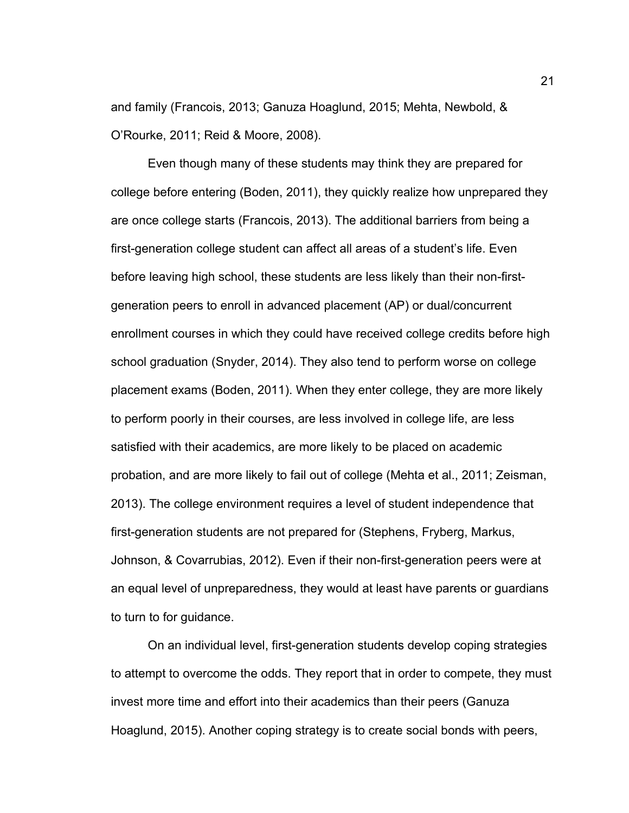and family (Francois, 2013; Ganuza Hoaglund, 2015; Mehta, Newbold, & O'Rourke, 2011; Reid & Moore, 2008).

 Even though many of these students may think they are prepared for college before entering (Boden, 2011), they quickly realize how unprepared they are once college starts (Francois, 2013). The additional barriers from being a first-generation college student can affect all areas of a student's life. Even before leaving high school, these students are less likely than their non-firstgeneration peers to enroll in advanced placement (AP) or dual/concurrent enrollment courses in which they could have received college credits before high school graduation (Snyder, 2014). They also tend to perform worse on college placement exams (Boden, 2011). When they enter college, they are more likely to perform poorly in their courses, are less involved in college life, are less satisfied with their academics, are more likely to be placed on academic probation, and are more likely to fail out of college (Mehta et al., 2011; Zeisman, 2013). The college environment requires a level of student independence that first-generation students are not prepared for (Stephens, Fryberg, Markus, Johnson, & Covarrubias, 2012). Even if their non-first-generation peers were at an equal level of unpreparedness, they would at least have parents or guardians to turn to for guidance.

 On an individual level, first-generation students develop coping strategies to attempt to overcome the odds. They report that in order to compete, they must invest more time and effort into their academics than their peers (Ganuza Hoaglund, 2015). Another coping strategy is to create social bonds with peers,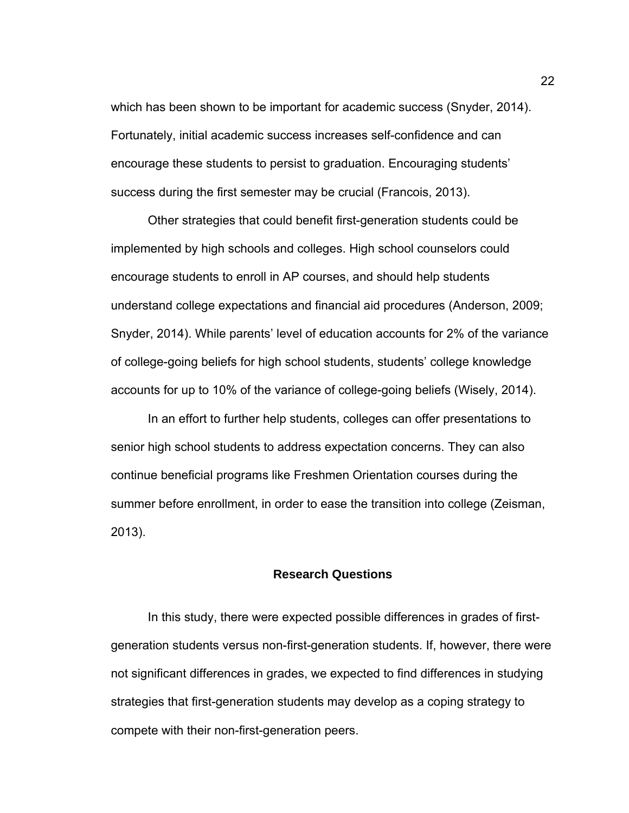which has been shown to be important for academic success (Snyder, 2014). Fortunately, initial academic success increases self-confidence and can encourage these students to persist to graduation. Encouraging students' success during the first semester may be crucial (Francois, 2013).

 Other strategies that could benefit first-generation students could be implemented by high schools and colleges. High school counselors could encourage students to enroll in AP courses, and should help students understand college expectations and financial aid procedures (Anderson, 2009; Snyder, 2014). While parents' level of education accounts for 2% of the variance of college-going beliefs for high school students, students' college knowledge accounts for up to 10% of the variance of college-going beliefs (Wisely, 2014).

In an effort to further help students, colleges can offer presentations to senior high school students to address expectation concerns. They can also continue beneficial programs like Freshmen Orientation courses during the summer before enrollment, in order to ease the transition into college (Zeisman, 2013).

#### **Research Questions**

 In this study, there were expected possible differences in grades of firstgeneration students versus non-first-generation students. If, however, there were not significant differences in grades, we expected to find differences in studying strategies that first-generation students may develop as a coping strategy to compete with their non-first-generation peers.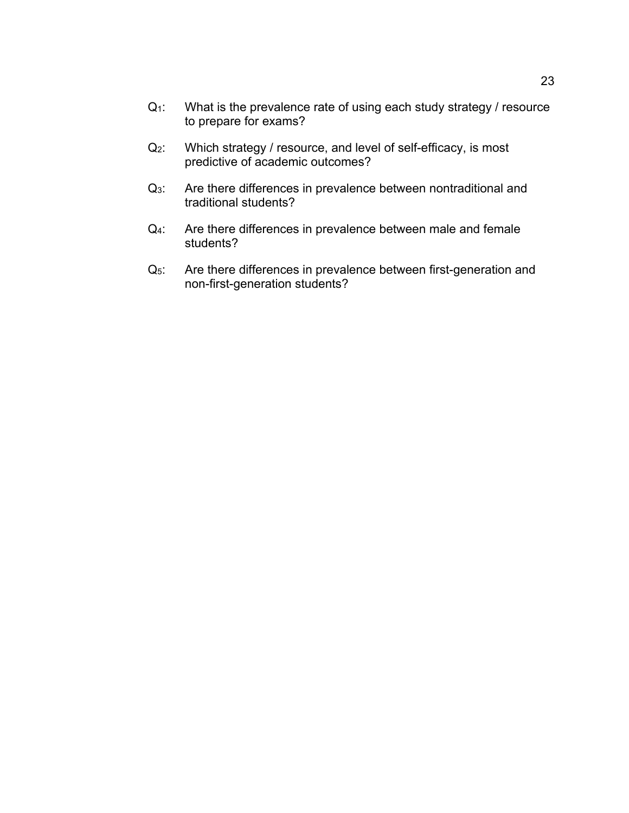- Q<sub>1</sub>: What is the prevalence rate of using each study strategy / resource to prepare for exams?
- Q2: Which strategy / resource, and level of self-efficacy, is most predictive of academic outcomes?
- Q<sub>3</sub>: Are there differences in prevalence between nontraditional and traditional students?
- Q<sub>4</sub>: Are there differences in prevalence between male and female students?
- Q<sub>5</sub>: Are there differences in prevalence between first-generation and non-first-generation students?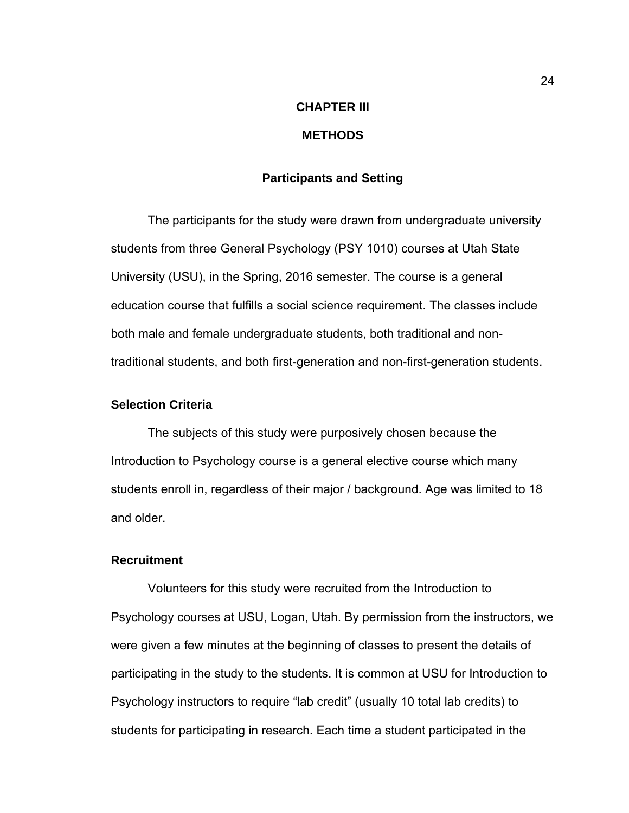## **CHAPTER III METHODS**

#### **Participants and Setting**

The participants for the study were drawn from undergraduate university students from three General Psychology (PSY 1010) courses at Utah State University (USU), in the Spring, 2016 semester. The course is a general education course that fulfills a social science requirement. The classes include both male and female undergraduate students, both traditional and nontraditional students, and both first-generation and non-first-generation students.

#### **Selection Criteria**

The subjects of this study were purposively chosen because the Introduction to Psychology course is a general elective course which many students enroll in, regardless of their major / background. Age was limited to 18 and older.

#### **Recruitment**

Volunteers for this study were recruited from the Introduction to Psychology courses at USU, Logan, Utah. By permission from the instructors, we were given a few minutes at the beginning of classes to present the details of participating in the study to the students. It is common at USU for Introduction to Psychology instructors to require "lab credit" (usually 10 total lab credits) to students for participating in research. Each time a student participated in the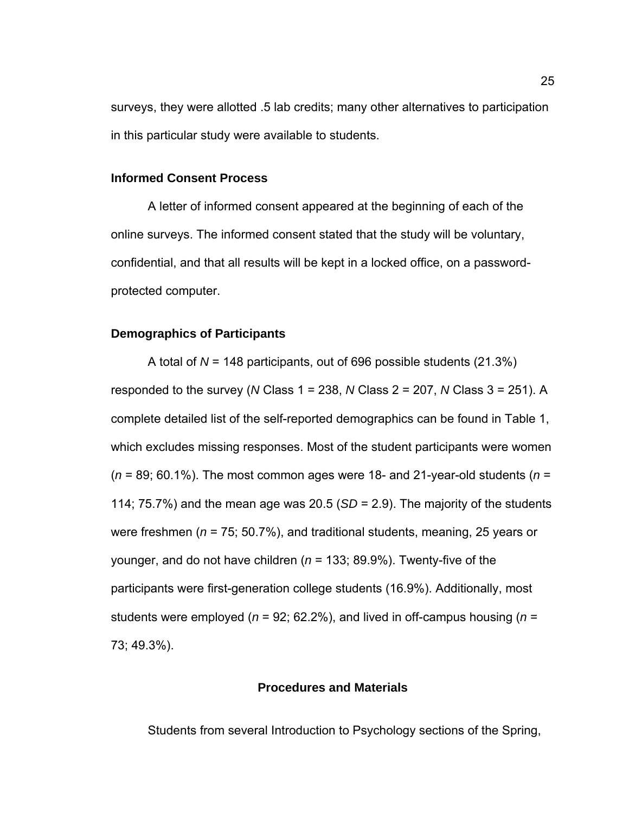surveys, they were allotted .5 lab credits; many other alternatives to participation in this particular study were available to students.

#### **Informed Consent Process**

A letter of informed consent appeared at the beginning of each of the online surveys. The informed consent stated that the study will be voluntary, confidential, and that all results will be kept in a locked office, on a passwordprotected computer.

#### **Demographics of Participants**

A total of *N* = 148 participants, out of 696 possible students (21.3%) responded to the survey (*N* Class 1 = 238, *N* Class 2 = 207, *N* Class 3 = 251). A complete detailed list of the self-reported demographics can be found in Table 1, which excludes missing responses. Most of the student participants were women (*n* = 89; 60.1%). The most common ages were 18- and 21-year-old students (*n* = 114; 75.7%) and the mean age was 20.5 (*SD* = 2.9). The majority of the students were freshmen (*n* = 75; 50.7%), and traditional students, meaning, 25 years or younger, and do not have children (*n* = 133; 89.9%). Twenty-five of the participants were first-generation college students (16.9%). Additionally, most students were employed (*n* = 92; 62.2%), and lived in off-campus housing (*n* = 73; 49.3%).

## **Procedures and Materials**

Students from several Introduction to Psychology sections of the Spring,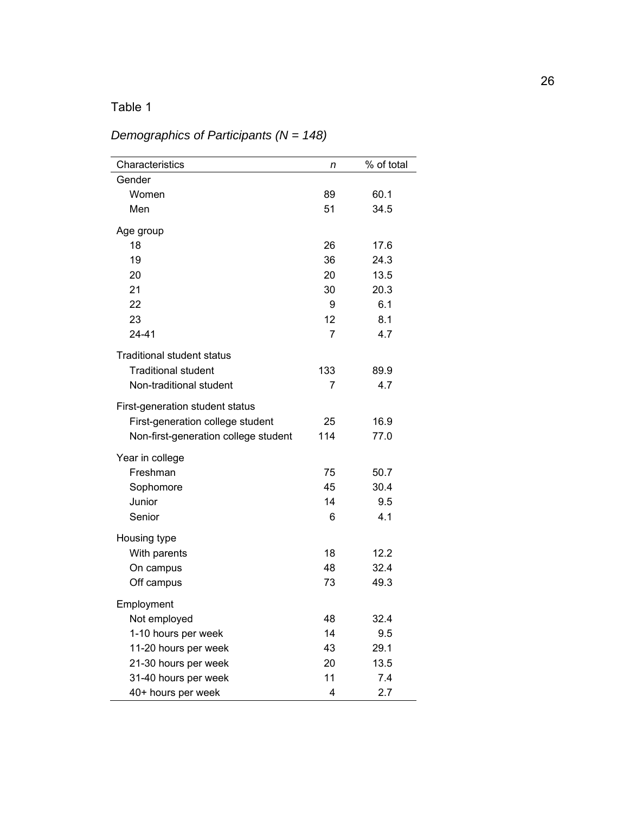# *Demographics of Participants (N = 148)*

| Characteristics                      | n              | % of total |
|--------------------------------------|----------------|------------|
| Gender                               |                |            |
| Women                                | 89             | 60.1       |
| Men                                  | 51             | 34.5       |
| Age group                            |                |            |
| 18                                   | 26             | 17.6       |
| 19                                   | 36             | 24.3       |
| 20                                   | 20             | 13.5       |
| 21                                   | 30             | 20.3       |
| 22                                   | 9              | 6.1        |
| 23                                   | 12             | 8.1        |
| 24-41                                | $\overline{7}$ | 4.7        |
| <b>Traditional student status</b>    |                |            |
| <b>Traditional student</b>           | 133            | 89.9       |
| Non-traditional student              | 7              | 4.7        |
| First-generation student status      |                |            |
| First-generation college student     | 25             | 16.9       |
| Non-first-generation college student | 114            | 77.0       |
| Year in college                      |                |            |
| Freshman                             | 75             | 50.7       |
| Sophomore                            | 45             | 30.4       |
| Junior                               | 14             | 9.5        |
| Senior                               | 6              | 4.1        |
| Housing type                         |                |            |
| With parents                         | 18             | 12.2       |
| On campus                            | 48             | 32.4       |
| Off campus                           | 73             | 49.3       |
| Employment                           |                |            |
| Not employed                         | 48             | 32.4       |
| 1-10 hours per week                  | 14             | 9.5        |
| 11-20 hours per week                 | 43             | 29.1       |
| 21-30 hours per week                 | 20             | 13.5       |
| 31-40 hours per week                 | 11             | 7.4        |
| 40+ hours per week                   | 4              | 2.7        |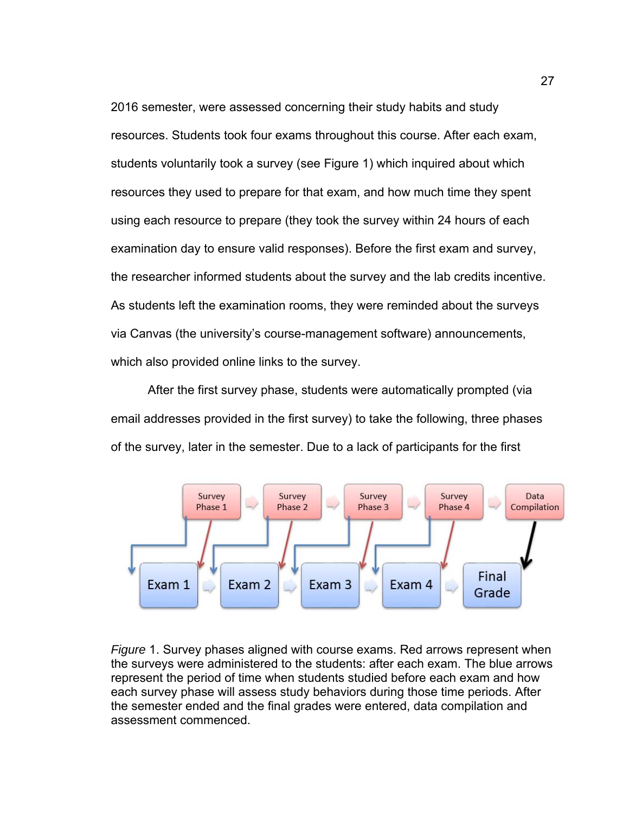2016 semester, were assessed concerning their study habits and study resources. Students took four exams throughout this course. After each exam, students voluntarily took a survey (see Figure 1) which inquired about which resources they used to prepare for that exam, and how much time they spent using each resource to prepare (they took the survey within 24 hours of each examination day to ensure valid responses). Before the first exam and survey, the researcher informed students about the survey and the lab credits incentive. As students left the examination rooms, they were reminded about the surveys via Canvas (the university's course-management software) announcements, which also provided online links to the survey.

After the first survey phase, students were automatically prompted (via email addresses provided in the first survey) to take the following, three phases of the survey, later in the semester. Due to a lack of participants for the first



*Figure* 1. Survey phases aligned with course exams. Red arrows represent when the surveys were administered to the students: after each exam. The blue arrows represent the period of time when students studied before each exam and how each survey phase will assess study behaviors during those time periods. After the semester ended and the final grades were entered, data compilation and assessment commenced.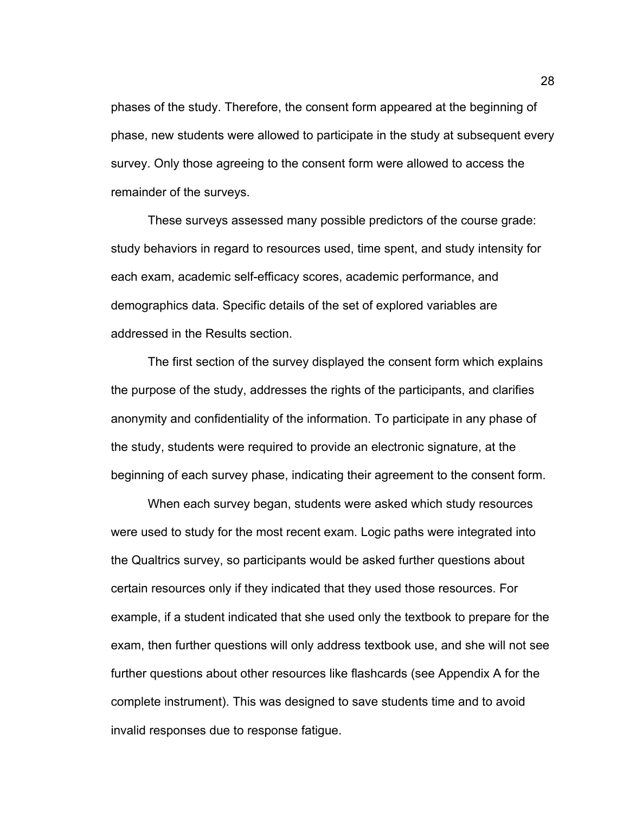phases of the study. Therefore, the consent form appeared at the beginning of phase, new students were allowed to participate in the study at subsequent every survey. Only those agreeing to the consent form were allowed to access the remainder of the surveys.

These surveys assessed many possible predictors of the course grade: study behaviors in regard to resources used, time spent, and study intensity for each exam, academic self-efficacy scores, academic performance, and demographics data. Specific details of the set of explored variables are addressed in the Results section.

The first section of the survey displayed the consent form which explains the purpose of the study, addresses the rights of the participants, and clarifies anonymity and confidentiality of the information. To participate in any phase of the study, students were required to provide an electronic signature, at the beginning of each survey phase, indicating their agreement to the consent form.

When each survey began, students were asked which study resources were used to study for the most recent exam. Logic paths were integrated into the Qualtrics survey, so participants would be asked further questions about certain resources only if they indicated that they used those resources. For example, if a student indicated that she used only the textbook to prepare for the exam, then further questions will only address textbook use, and she will not see further questions about other resources like flashcards (see Appendix A for the complete instrument). This was designed to save students time and to avoid invalid responses due to response fatigue.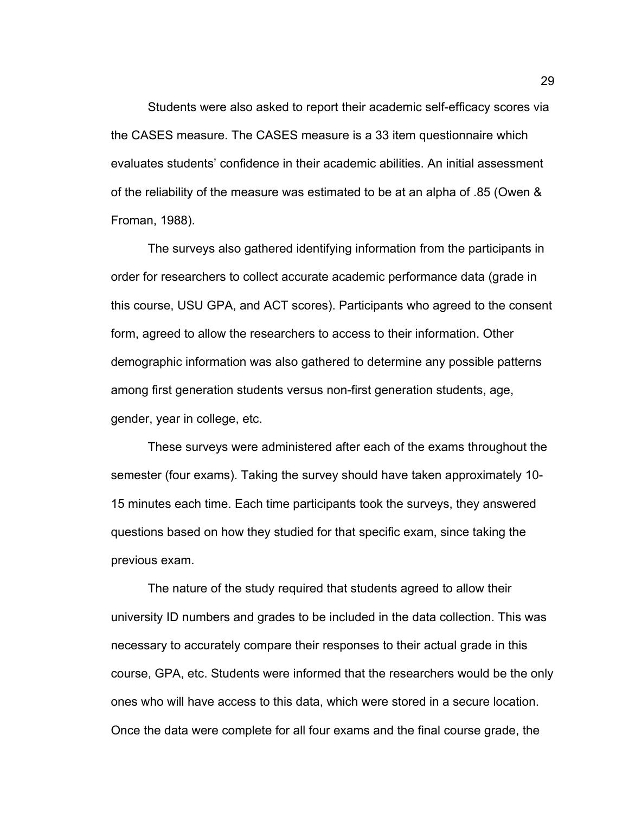Students were also asked to report their academic self-efficacy scores via the CASES measure. The CASES measure is a 33 item questionnaire which evaluates students' confidence in their academic abilities. An initial assessment of the reliability of the measure was estimated to be at an alpha of .85 (Owen & Froman, 1988).

 The surveys also gathered identifying information from the participants in order for researchers to collect accurate academic performance data (grade in this course, USU GPA, and ACT scores). Participants who agreed to the consent form, agreed to allow the researchers to access to their information. Other demographic information was also gathered to determine any possible patterns among first generation students versus non-first generation students, age, gender, year in college, etc.

 These surveys were administered after each of the exams throughout the semester (four exams). Taking the survey should have taken approximately 10- 15 minutes each time. Each time participants took the surveys, they answered questions based on how they studied for that specific exam, since taking the previous exam.

 The nature of the study required that students agreed to allow their university ID numbers and grades to be included in the data collection. This was necessary to accurately compare their responses to their actual grade in this course, GPA, etc. Students were informed that the researchers would be the only ones who will have access to this data, which were stored in a secure location. Once the data were complete for all four exams and the final course grade, the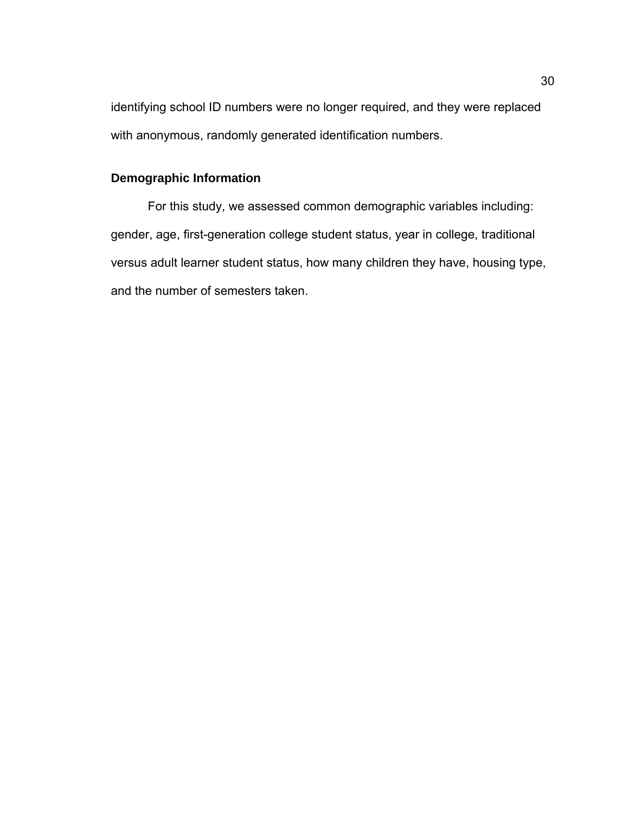identifying school ID numbers were no longer required, and they were replaced with anonymous, randomly generated identification numbers.

# **Demographic Information**

For this study, we assessed common demographic variables including: gender, age, first-generation college student status, year in college, traditional versus adult learner student status, how many children they have, housing type, and the number of semesters taken.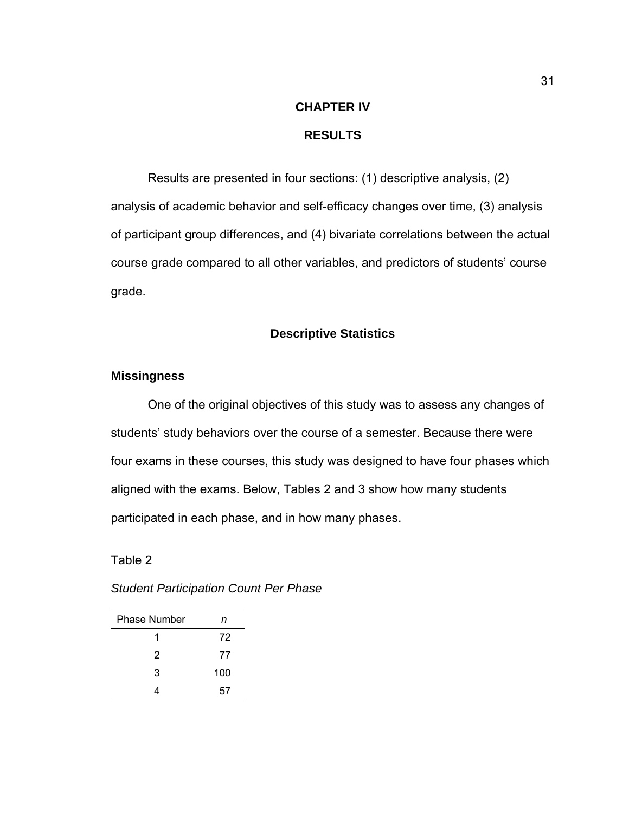# **CHAPTER IV RESULTS**

Results are presented in four sections: (1) descriptive analysis, (2) analysis of academic behavior and self-efficacy changes over time, (3) analysis of participant group differences, and (4) bivariate correlations between the actual course grade compared to all other variables, and predictors of students' course grade.

## **Descriptive Statistics**

### **Missingness**

One of the original objectives of this study was to assess any changes of students' study behaviors over the course of a semester. Because there were four exams in these courses, this study was designed to have four phases which aligned with the exams. Below, Tables 2 and 3 show how many students participated in each phase, and in how many phases.

Table 2

| <b>Phase Number</b> | n   |
|---------------------|-----|
| 1                   | 72  |
| 2                   | 77  |
| 3                   | 100 |
| Δ                   | 57  |

*Student Participation Count Per Phase*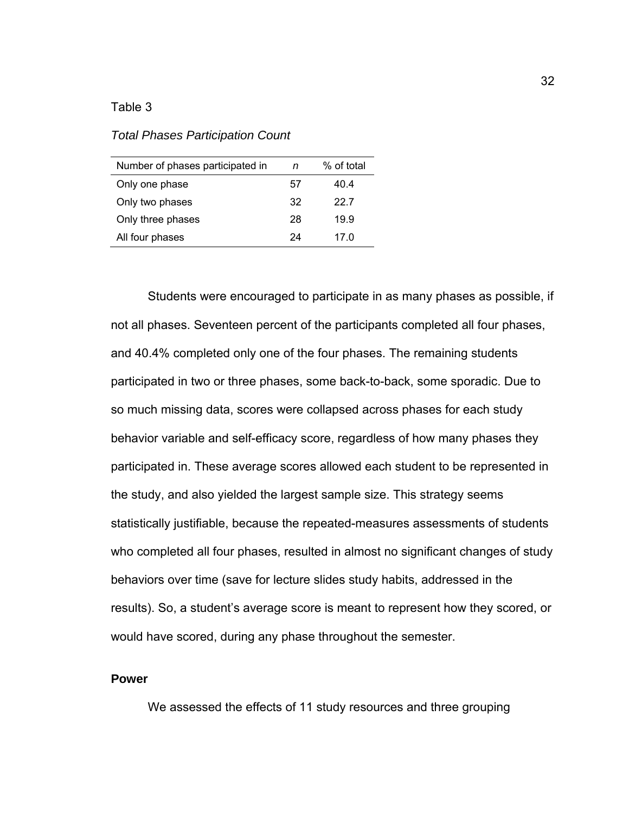*Total Phases Participation Count* 

| Number of phases participated in | n  | % of total |
|----------------------------------|----|------------|
| Only one phase                   | 57 | 40.4       |
| Only two phases                  | 32 | 22.7       |
| Only three phases                | 28 | 19.9       |
| All four phases                  | 24 | 17 O       |

 Students were encouraged to participate in as many phases as possible, if not all phases. Seventeen percent of the participants completed all four phases, and 40.4% completed only one of the four phases. The remaining students participated in two or three phases, some back-to-back, some sporadic. Due to so much missing data, scores were collapsed across phases for each study behavior variable and self-efficacy score, regardless of how many phases they participated in. These average scores allowed each student to be represented in the study, and also yielded the largest sample size. This strategy seems statistically justifiable, because the repeated-measures assessments of students who completed all four phases, resulted in almost no significant changes of study behaviors over time (save for lecture slides study habits, addressed in the results). So, a student's average score is meant to represent how they scored, or would have scored, during any phase throughout the semester.

#### **Power**

We assessed the effects of 11 study resources and three grouping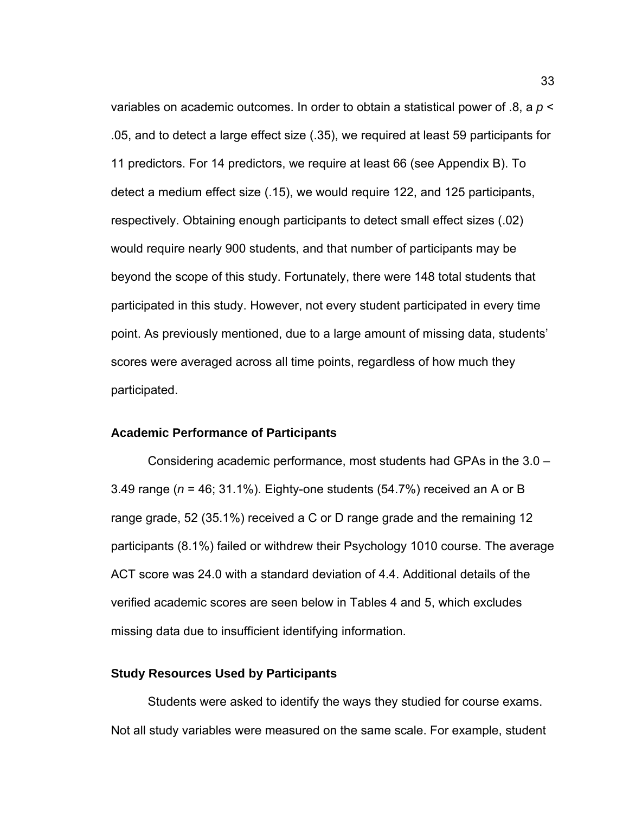variables on academic outcomes. In order to obtain a statistical power of .8, a *p* < .05, and to detect a large effect size (.35), we required at least 59 participants for 11 predictors. For 14 predictors, we require at least 66 (see Appendix B). To detect a medium effect size (.15), we would require 122, and 125 participants, respectively. Obtaining enough participants to detect small effect sizes (.02) would require nearly 900 students, and that number of participants may be beyond the scope of this study. Fortunately, there were 148 total students that participated in this study. However, not every student participated in every time point. As previously mentioned, due to a large amount of missing data, students' scores were averaged across all time points, regardless of how much they participated.

#### **Academic Performance of Participants**

Considering academic performance, most students had GPAs in the 3.0 – 3.49 range (*n* = 46; 31.1%). Eighty-one students (54.7%) received an A or B range grade, 52 (35.1%) received a C or D range grade and the remaining 12 participants (8.1%) failed or withdrew their Psychology 1010 course. The average ACT score was 24.0 with a standard deviation of 4.4. Additional details of the verified academic scores are seen below in Tables 4 and 5, which excludes missing data due to insufficient identifying information.

#### **Study Resources Used by Participants**

Students were asked to identify the ways they studied for course exams. Not all study variables were measured on the same scale. For example, student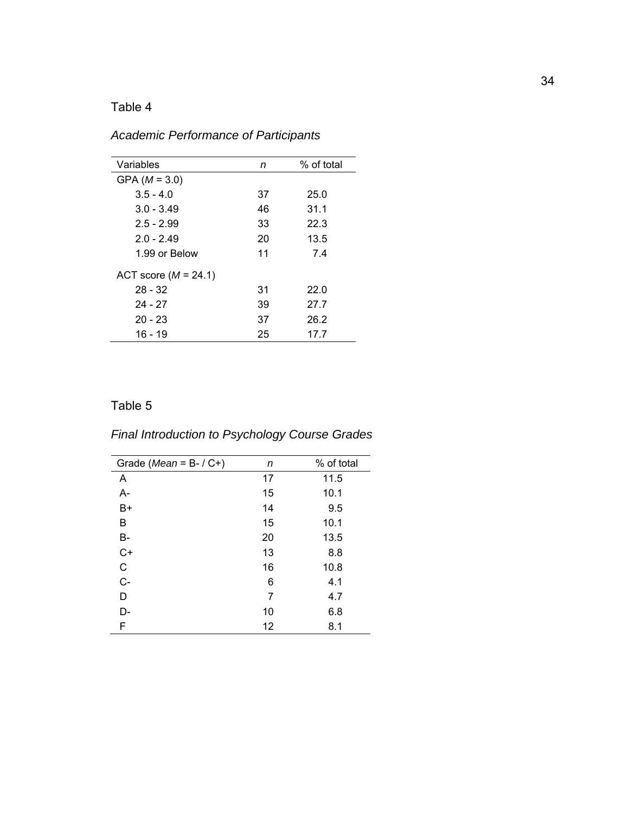*Academic Performance of Participants* 

| Variables              | n  | % of total |
|------------------------|----|------------|
| GPA $(M = 3.0)$        |    |            |
| $3.5 - 4.0$            | 37 | 25.0       |
| $3.0 - 3.49$           | 46 | 31.1       |
| $2.5 - 2.99$           | 33 | 22.3       |
| $2.0 - 2.49$           | 20 | 13.5       |
| 1.99 or Below          | 11 | 7.4        |
| ACT score $(M = 24.1)$ |    |            |
| $28 - 32$              | 31 | 22.0       |
| 24 - 27                | 39 | 27.7       |
| $20 - 23$              | 37 | 26.2       |
| 16 - 19                | 25 | 17.7       |
|                        |    |            |

# Table 5

# *Final Introduction to Psychology Course Grades*

| Grade ( <i>Mean</i> = $B- / C+$ ) | n  | % of total |
|-----------------------------------|----|------------|
| A                                 | 17 | 11.5       |
| $A -$                             | 15 | 10.1       |
| B+                                | 14 | 9.5        |
| в                                 | 15 | 10.1       |
| B-                                | 20 | 13.5       |
| $C+$                              | 13 | 8.8        |
| $\mathsf C$                       | 16 | 10.8       |
| $C -$                             | 6  | 4.1        |
| D                                 | 7  | 4.7        |
| D-                                | 10 | 6.8        |
| F                                 | 12 | 8.1        |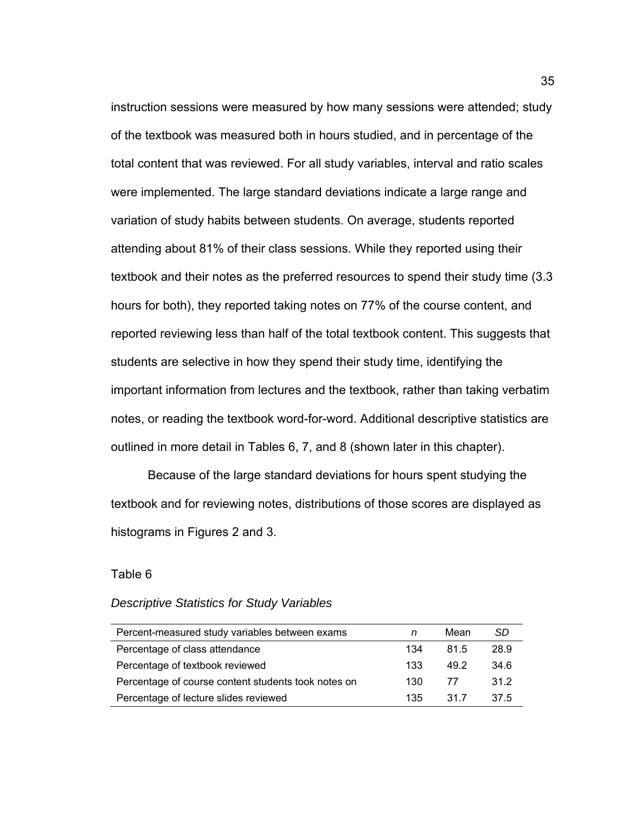instruction sessions were measured by how many sessions were attended; study of the textbook was measured both in hours studied, and in percentage of the total content that was reviewed. For all study variables, interval and ratio scales were implemented. The large standard deviations indicate a large range and variation of study habits between students. On average, students reported attending about 81% of their class sessions. While they reported using their textbook and their notes as the preferred resources to spend their study time (3.3 hours for both), they reported taking notes on 77% of the course content, and reported reviewing less than half of the total textbook content. This suggests that students are selective in how they spend their study time, identifying the important information from lectures and the textbook, rather than taking verbatim notes, or reading the textbook word-for-word. Additional descriptive statistics are outlined in more detail in Tables 6, 7, and 8 (shown later in this chapter).

Because of the large standard deviations for hours spent studying the textbook and for reviewing notes, distributions of those scores are displayed as histograms in Figures 2 and 3.

#### Table 6

#### *Descriptive Statistics for Study Variables*

| Percent-measured study variables between exams      |     | Mean | SD   |
|-----------------------------------------------------|-----|------|------|
| Percentage of class attendance                      | 134 | 81.5 | 28.9 |
| Percentage of textbook reviewed                     | 133 | 49.2 | 34.6 |
| Percentage of course content students took notes on | 130 | 77   | 31.2 |
| Percentage of lecture slides reviewed               | 135 | 31.7 | 37.5 |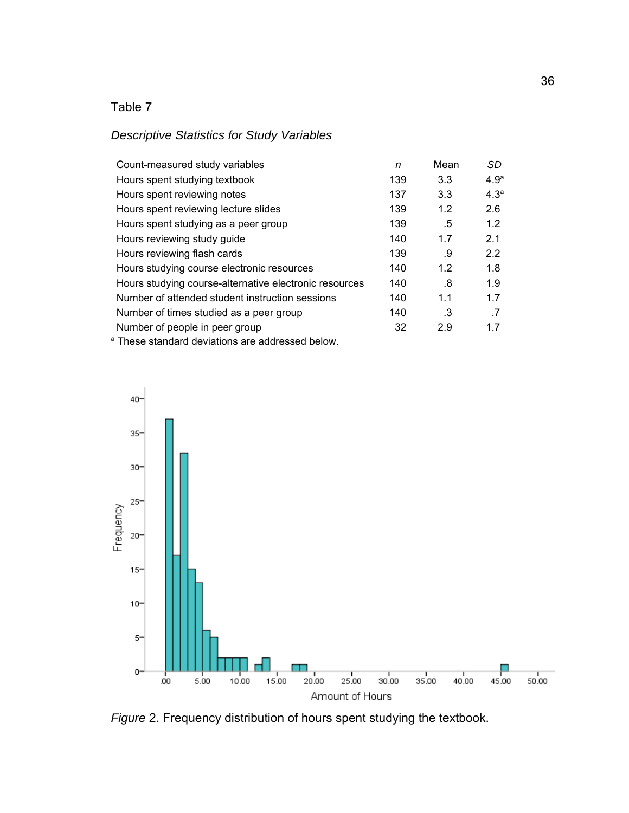## *Descriptive Statistics for Study Variables*

| Count-measured study variables                         | n   | Mean | <b>SD</b>        |
|--------------------------------------------------------|-----|------|------------------|
| Hours spent studying textbook                          | 139 | 3.3  | 4.9 <sup>a</sup> |
| Hours spent reviewing notes                            | 137 | 3.3  | 4.3 <sup>a</sup> |
| Hours spent reviewing lecture slides                   | 139 | 1.2  | 2.6              |
| Hours spent studying as a peer group                   | 139 | .5   | 1.2              |
| Hours reviewing study guide                            | 140 | 1.7  | 2.1              |
| Hours reviewing flash cards                            | 139 | .9   | 2.2              |
| Hours studying course electronic resources             | 140 | 1.2  | 1.8              |
| Hours studying course-alternative electronic resources | 140 | .8   | 1.9              |
| Number of attended student instruction sessions        | 140 | 1.1  | 1.7              |
| Number of times studied as a peer group                | 140 | .3   | .7               |
| Number of people in peer group                         | 32  | 2.9  | 1.7              |
| $\sim$ $ \cdot$<br>.                                   |     |      |                  |

<sup>a</sup> These standard deviations are addressed below.



*Figure* 2. Frequency distribution of hours spent studying the textbook.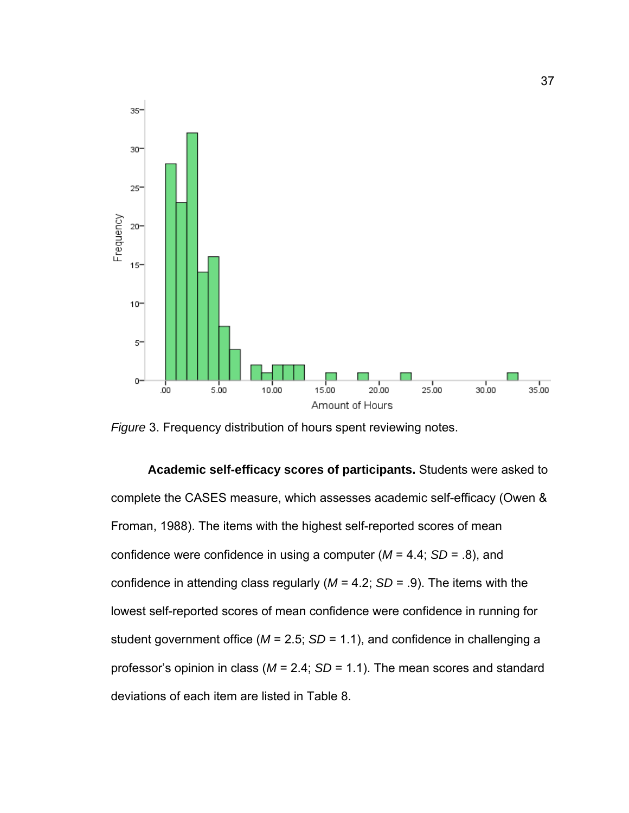

*Figure* 3. Frequency distribution of hours spent reviewing notes.

**Academic self-efficacy scores of participants.** Students were asked to complete the CASES measure, which assesses academic self-efficacy (Owen & Froman, 1988). The items with the highest self-reported scores of mean confidence were confidence in using a computer (*M* = 4.4; *SD* = .8), and confidence in attending class regularly (*M* = 4.2; *SD* = .9). The items with the lowest self-reported scores of mean confidence were confidence in running for student government office (*M* = 2.5; *SD* = 1.1), and confidence in challenging a professor's opinion in class (*M* = 2.4; *SD* = 1.1). The mean scores and standard deviations of each item are listed in Table 8.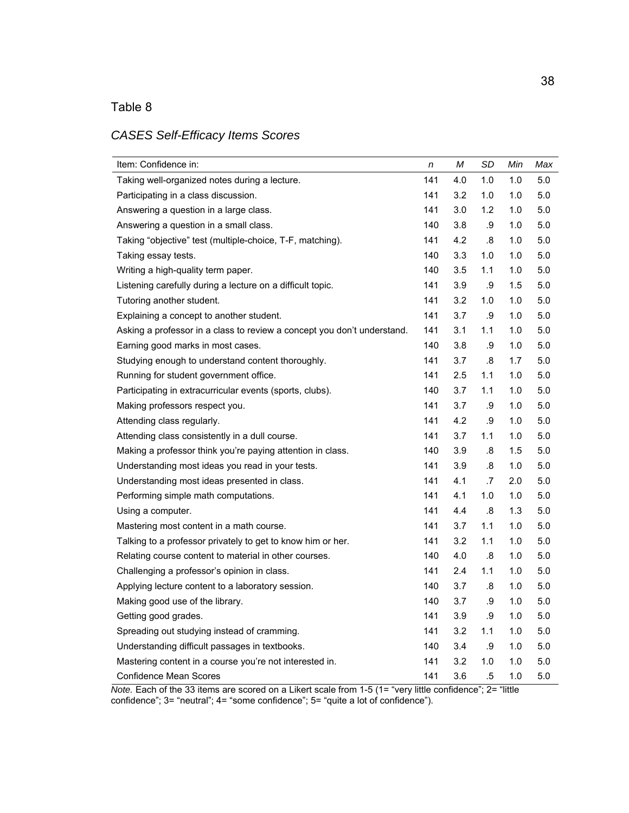## *CASES Self-Efficacy Items Scores*

| Item: Confidence in:                                                    | n   | Μ   | SD  | Min | Max     |
|-------------------------------------------------------------------------|-----|-----|-----|-----|---------|
| Taking well-organized notes during a lecture.                           | 141 | 4.0 | 1.0 | 1.0 | 5.0     |
| Participating in a class discussion.                                    | 141 | 3.2 | 1.0 | 1.0 | $5.0\,$ |
| Answering a question in a large class.                                  | 141 | 3.0 | 1.2 | 1.0 | 5.0     |
| Answering a question in a small class.                                  | 140 | 3.8 | .9  | 1.0 | 5.0     |
| Taking "objective" test (multiple-choice, T-F, matching).               | 141 | 4.2 | .8  | 1.0 | $5.0\,$ |
| Taking essay tests.                                                     | 140 | 3.3 | 1.0 | 1.0 | $5.0\,$ |
| Writing a high-quality term paper.                                      | 140 | 3.5 | 1.1 | 1.0 | $5.0\,$ |
| Listening carefully during a lecture on a difficult topic.              | 141 | 3.9 | .9  | 1.5 | $5.0\,$ |
| Tutoring another student.                                               | 141 | 3.2 | 1.0 | 1.0 | $5.0\,$ |
| Explaining a concept to another student.                                | 141 | 3.7 | .9  | 1.0 | 5.0     |
| Asking a professor in a class to review a concept you don't understand. | 141 | 3.1 | 1.1 | 1.0 | $5.0$   |
| Earning good marks in most cases.                                       | 140 | 3.8 | .9  | 1.0 | $5.0\,$ |
| Studying enough to understand content thoroughly.                       | 141 | 3.7 | .8  | 1.7 | $5.0\,$ |
| Running for student government office.                                  | 141 | 2.5 | 1.1 | 1.0 | $5.0\,$ |
| Participating in extracurricular events (sports, clubs).                | 140 | 3.7 | 1.1 | 1.0 | 5.0     |
| Making professors respect you.                                          | 141 | 3.7 | .9  | 1.0 | $5.0\,$ |
| Attending class regularly.                                              | 141 | 4.2 | .9  | 1.0 | 5.0     |
| Attending class consistently in a dull course.                          | 141 | 3.7 | 1.1 | 1.0 | $5.0$   |
| Making a professor think you're paying attention in class.              | 140 | 3.9 | .8  | 1.5 | 5.0     |
| Understanding most ideas you read in your tests.                        | 141 | 3.9 | .8  | 1.0 | 5.0     |
| Understanding most ideas presented in class.                            | 141 | 4.1 | .7  | 2.0 | $5.0\,$ |
| Performing simple math computations.                                    | 141 | 4.1 | 1.0 | 1.0 | $5.0\,$ |
| Using a computer.                                                       | 141 | 4.4 | .8  | 1.3 | 5.0     |
| Mastering most content in a math course.                                | 141 | 3.7 | 1.1 | 1.0 | 5.0     |
| Talking to a professor privately to get to know him or her.             | 141 | 3.2 | 1.1 | 1.0 | 5.0     |
| Relating course content to material in other courses.                   | 140 | 4.0 | .8  | 1.0 | $5.0$   |
| Challenging a professor's opinion in class.                             | 141 | 2.4 | 1.1 | 1.0 | 5.0     |
| Applying lecture content to a laboratory session.                       | 140 | 3.7 | .8  | 1.0 | 5.0     |
| Making good use of the library.                                         | 140 | 3.7 | .9  | 1.0 | 5.0     |
| Getting good grades.                                                    | 141 | 3.9 | .9  | 1.0 | $5.0\,$ |
| Spreading out studying instead of cramming.                             | 141 | 3.2 | 1.1 | 1.0 | 5.0     |
| Understanding difficult passages in textbooks.                          | 140 | 3.4 | .9  | 1.0 | 5.0     |
| Mastering content in a course you're not interested in.                 | 141 | 3.2 | 1.0 | 1.0 | 5.0     |
| <b>Confidence Mean Scores</b>                                           | 141 | 3.6 | .5  | 1.0 | 5.0     |

*Note.* Each of the 33 items are scored on a Likert scale from 1-5 (1= "very little confidence"; 2= "little confidence"; 3= "neutral"; 4= "some confidence"; 5= "quite a lot of confidence").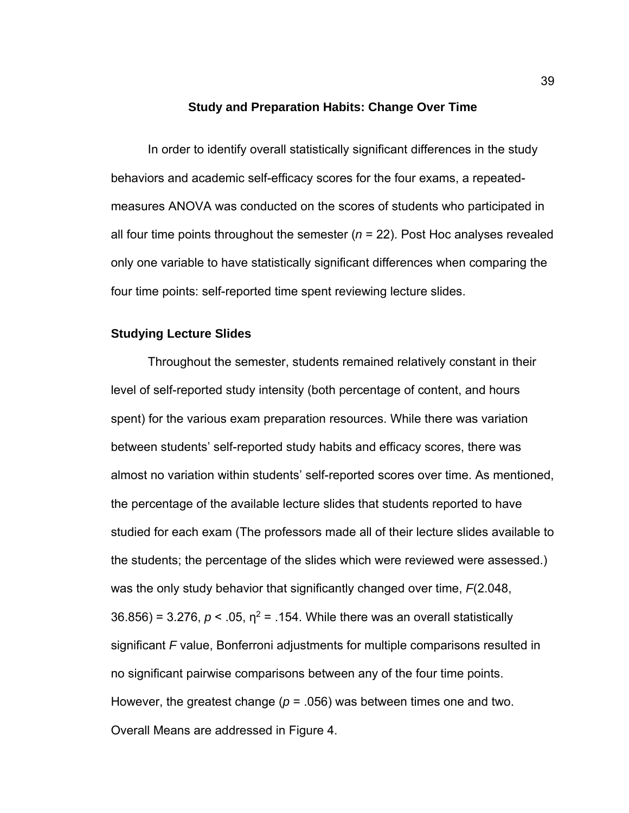#### **Study and Preparation Habits: Change Over Time**

 In order to identify overall statistically significant differences in the study behaviors and academic self-efficacy scores for the four exams, a repeatedmeasures ANOVA was conducted on the scores of students who participated in all four time points throughout the semester (*n* = 22). Post Hoc analyses revealed only one variable to have statistically significant differences when comparing the four time points: self-reported time spent reviewing lecture slides.

#### **Studying Lecture Slides**

Throughout the semester, students remained relatively constant in their level of self-reported study intensity (both percentage of content, and hours spent) for the various exam preparation resources. While there was variation between students' self-reported study habits and efficacy scores, there was almost no variation within students' self-reported scores over time. As mentioned, the percentage of the available lecture slides that students reported to have studied for each exam (The professors made all of their lecture slides available to the students; the percentage of the slides which were reviewed were assessed.) was the only study behavior that significantly changed over time, *F*(2.048,  $36.856$ ) = 3.276,  $p < 0.05$ ,  $\eta^2$  = .154. While there was an overall statistically significant *F* value, Bonferroni adjustments for multiple comparisons resulted in no significant pairwise comparisons between any of the four time points. However, the greatest change ( $p = 0.056$ ) was between times one and two. Overall Means are addressed in Figure 4.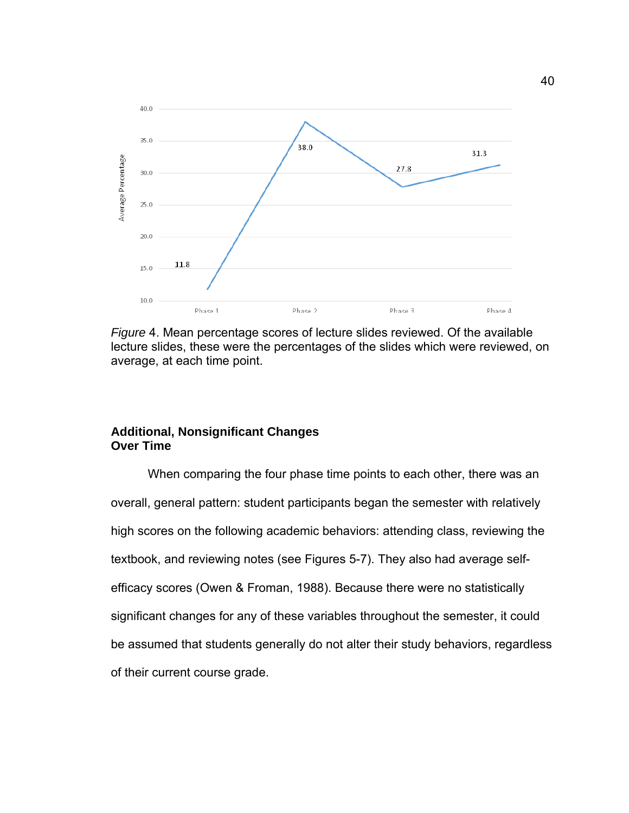

*Figure* 4. Mean percentage scores of lecture slides reviewed. Of the available lecture slides, these were the percentages of the slides which were reviewed, on average, at each time point.

## **Additional, Nonsignificant Changes Over Time**

When comparing the four phase time points to each other, there was an overall, general pattern: student participants began the semester with relatively high scores on the following academic behaviors: attending class, reviewing the textbook, and reviewing notes (see Figures 5-7). They also had average selfefficacy scores (Owen & Froman, 1988). Because there were no statistically significant changes for any of these variables throughout the semester, it could be assumed that students generally do not alter their study behaviors, regardless of their current course grade.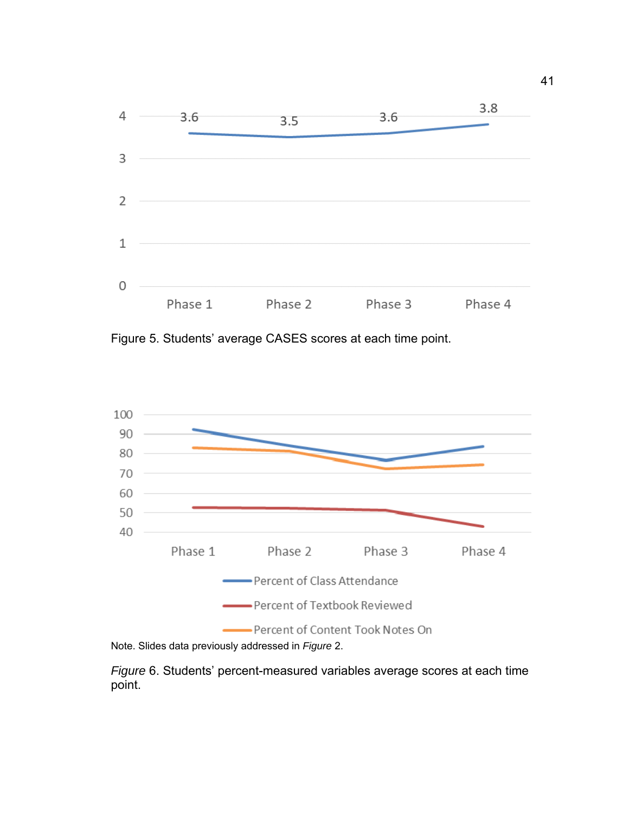

Figure 5. Students' average CASES scores at each time point.





*Figure* 6. Students' percent-measured variables average scores at each time point.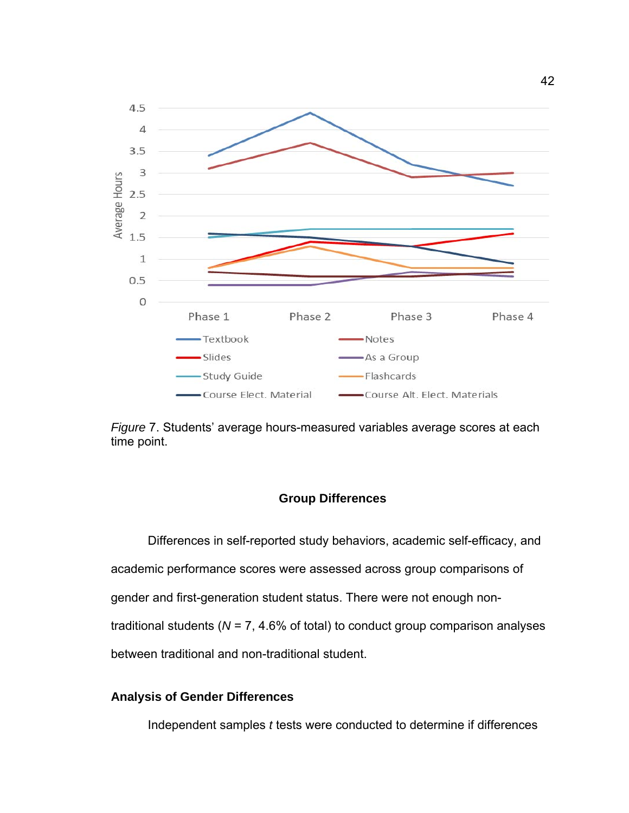



#### **Group Differences**

 Differences in self-reported study behaviors, academic self-efficacy, and academic performance scores were assessed across group comparisons of gender and first-generation student status. There were not enough nontraditional students (*N* = 7, 4.6% of total) to conduct group comparison analyses between traditional and non-traditional student.

### **Analysis of Gender Differences**

Independent samples *t* tests were conducted to determine if differences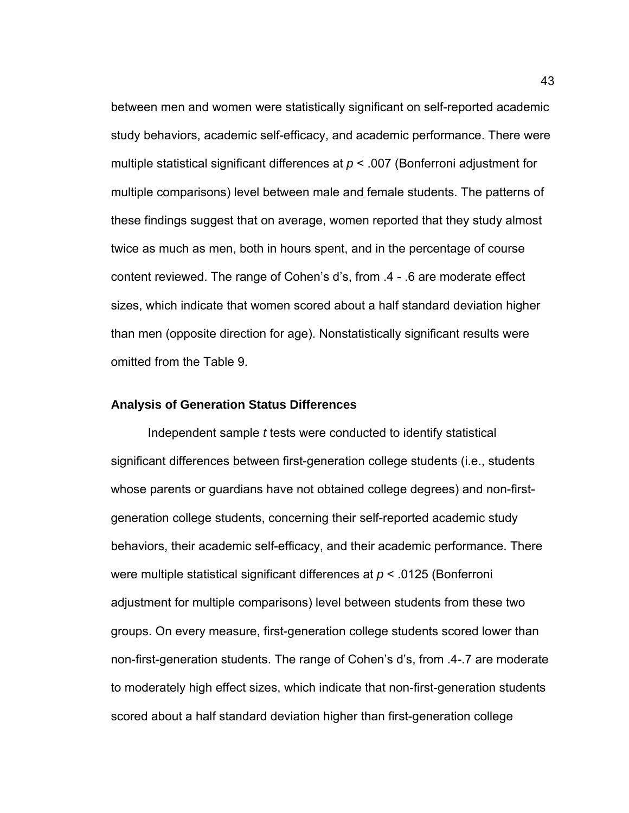between men and women were statistically significant on self-reported academic study behaviors, academic self-efficacy, and academic performance. There were multiple statistical significant differences at *p* < .007 (Bonferroni adjustment for multiple comparisons) level between male and female students. The patterns of these findings suggest that on average, women reported that they study almost twice as much as men, both in hours spent, and in the percentage of course content reviewed. The range of Cohen's d's, from .4 - .6 are moderate effect sizes, which indicate that women scored about a half standard deviation higher than men (opposite direction for age). Nonstatistically significant results were omitted from the Table 9.

#### **Analysis of Generation Status Differences**

Independent sample *t* tests were conducted to identify statistical significant differences between first-generation college students (i.e., students whose parents or guardians have not obtained college degrees) and non-firstgeneration college students, concerning their self-reported academic study behaviors, their academic self-efficacy, and their academic performance. There were multiple statistical significant differences at *p* < .0125 (Bonferroni adjustment for multiple comparisons) level between students from these two groups. On every measure, first-generation college students scored lower than non-first-generation students. The range of Cohen's d's, from .4-.7 are moderate to moderately high effect sizes, which indicate that non-first-generation students scored about a half standard deviation higher than first-generation college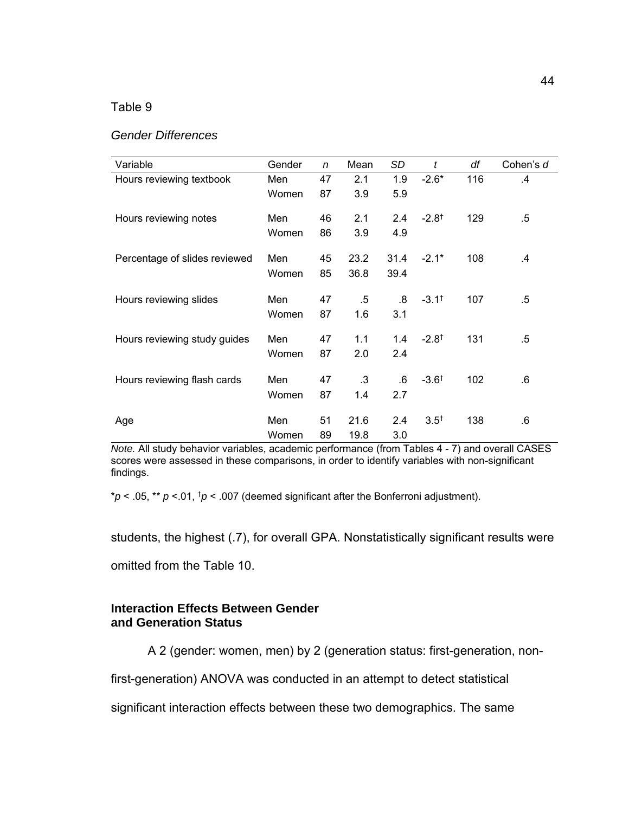| Variable                      | Gender | $\mathsf{n}$ | Mean   | SD   | t                   | df  | Cohen's d |
|-------------------------------|--------|--------------|--------|------|---------------------|-----|-----------|
| Hours reviewing textbook      | Men    | 47           | 2.1    | 1.9  | $-2.6*$             | 116 | .4        |
|                               | Women  | 87           | 3.9    | 5.9  |                     |     |           |
| Hours reviewing notes         | Men    | 46           | 2.1    | 2.4  | $-2.8$ <sup>t</sup> | 129 | .5        |
|                               | Women  | 86           | 3.9    | 4.9  |                     |     |           |
| Percentage of slides reviewed | Men    | 45           | 23.2   | 31.4 | $-2.1*$             | 108 | .4        |
|                               | Women  | 85           | 36.8   | 39.4 |                     |     |           |
| Hours reviewing slides        | Men    | 47           | $.5\,$ | .8   | $-3.1^+$            | 107 | .5        |
|                               | Women  | 87           | 1.6    | 3.1  |                     |     |           |
| Hours reviewing study guides  | Men    | 47           | 1.1    | 1.4  | $-2.8$ <sup>†</sup> | 131 | .5        |
|                               | Women  | 87           | 2.0    | 2.4  |                     |     |           |
| Hours reviewing flash cards   | Men    | 47           | .3     | .6   | $-3.6$ <sup>t</sup> | 102 | .6        |
|                               | Women  | 87           | 1.4    | 2.7  |                     |     |           |
| Age                           | Men    | 51           | 21.6   | 2.4  | $3.5^{+}$           | 138 | .6        |
|                               | Women  | 89           | 19.8   | 3.0  |                     |     |           |

*Note.* All study behavior variables, academic performance (from Tables 4 - 7) and overall CASES scores were assessed in these comparisons, in order to identify variables with non-significant findings.

\**p* < .05, \*\* *p* <.01, †*p* < .007 (deemed significant after the Bonferroni adjustment).

students, the highest (.7), for overall GPA. Nonstatistically significant results were

omitted from the Table 10.

#### **Interaction Effects Between Gender and Generation Status**

A 2 (gender: women, men) by 2 (generation status: first-generation, non-

first-generation) ANOVA was conducted in an attempt to detect statistical

significant interaction effects between these two demographics. The same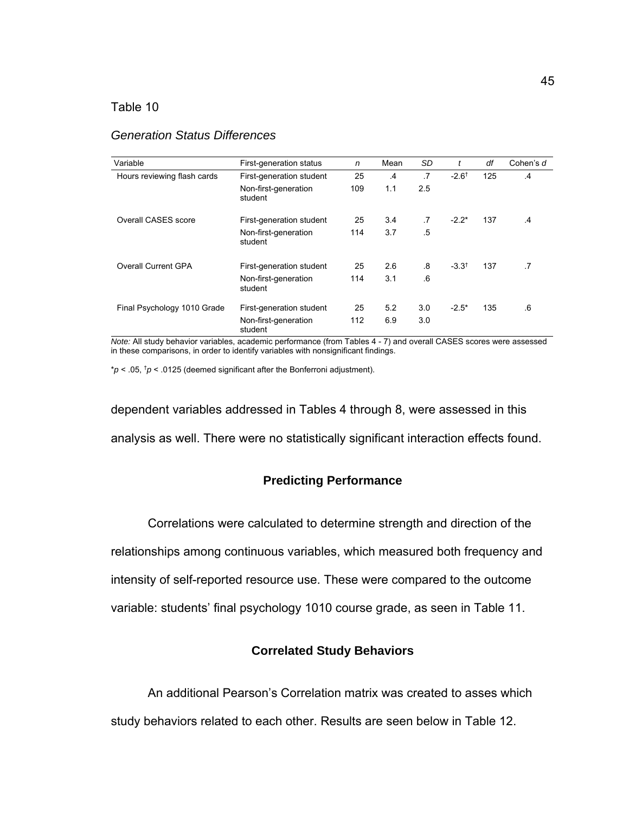#### *Generation Status Differences*

| Variable                    | First-generation status         | n   | Mean           | SD        | t                | df  | Cohen's d     |
|-----------------------------|---------------------------------|-----|----------------|-----------|------------------|-----|---------------|
| Hours reviewing flash cards | First-generation student        | 25  | $\overline{A}$ | $\cdot$   | $-2.6^{\dagger}$ | 125 | $\mathbf{A}$  |
|                             | Non-first-generation<br>student | 109 | 1.1            | 2.5       |                  |     |               |
| Overall CASES score         | First-generation student        | 25  | 3.4            | $\cdot$ 7 | $-2.2*$          | 137 | $\mathcal{A}$ |
|                             | Non-first-generation<br>student | 114 | 3.7            | .5        |                  |     |               |
| Overall Current GPA         | First-generation student        | 25  | 2.6            | .8        | $-3.3^{+}$       | 137 | $\cdot$ 7     |
|                             | Non-first-generation<br>student | 114 | 3.1            | .6        |                  |     |               |
| Final Psychology 1010 Grade | First-generation student        | 25  | 5.2            | 3.0       | $-2.5*$          | 135 | 6             |
|                             | Non-first-generation<br>student | 112 | 6.9            | 3.0       |                  |     |               |

*Note:* All study behavior variables, academic performance (from Tables 4 - 7) and overall CASES scores were assessed in these comparisons, in order to identify variables with nonsignificant findings.

 $* p < .05$ ,  $\frac{1}{p}$  < .0125 (deemed significant after the Bonferroni adjustment).

dependent variables addressed in Tables 4 through 8, were assessed in this analysis as well. There were no statistically significant interaction effects found.

#### **Predicting Performance**

 Correlations were calculated to determine strength and direction of the relationships among continuous variables, which measured both frequency and intensity of self-reported resource use. These were compared to the outcome variable: students' final psychology 1010 course grade, as seen in Table 11.

#### **Correlated Study Behaviors**

An additional Pearson's Correlation matrix was created to asses which

study behaviors related to each other. Results are seen below in Table 12.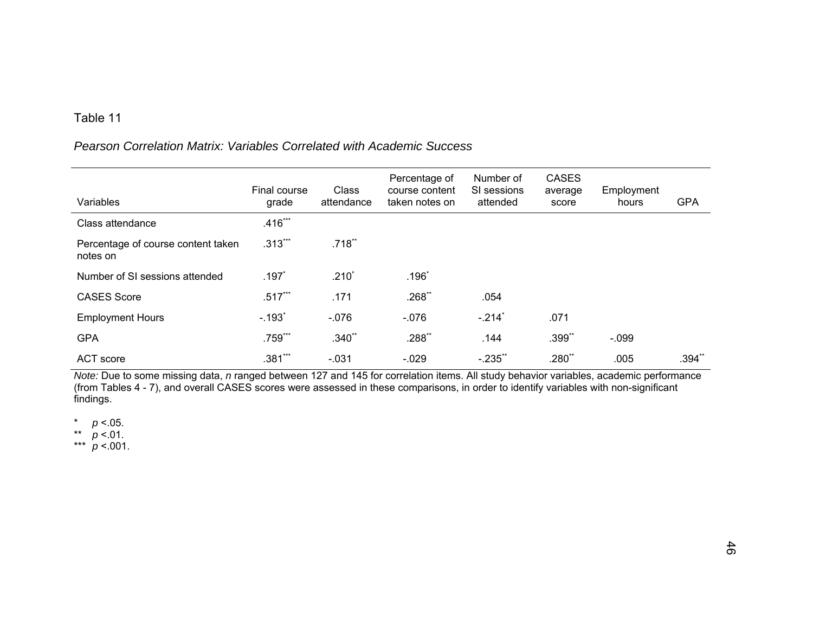## *Pearson Correlation Matrix: Variables Correlated with Academic Success*

|                                                | Final course         | Class      | Percentage of<br>course content | Number of<br>SI sessions | <b>CASES</b><br>average | Employment |            |
|------------------------------------------------|----------------------|------------|---------------------------------|--------------------------|-------------------------|------------|------------|
| Variables                                      | grade                | attendance | taken notes on                  | attended                 | score                   | hours      | <b>GPA</b> |
| Class attendance                               | $.416***$            |            |                                 |                          |                         |            |            |
| Percentage of course content taken<br>notes on | $.313***$            | $.718$ **  |                                 |                          |                         |            |            |
| Number of SI sessions attended                 | $.197*$              | $.210*$    | $.196*$                         |                          |                         |            |            |
| <b>CASES Score</b>                             | $.517***$            | .171       | $.268$ **                       | .054                     |                         |            |            |
| <b>Employment Hours</b>                        | $-.193$ <sup>*</sup> | $-0.076$   | $-0.076$                        | $-214$ <sup>*</sup>      | .071                    |            |            |
| <b>GPA</b>                                     | .759***              | $.340**$   | $.288**$                        | .144                     | .399**                  | $-.099$    |            |
| ACT score                                      | $.381***$            | $-0.031$   | $-.029$                         | $-235$                   | .280**                  | .005       | $.394**$   |

*Note:* Due to some missing data, *n* ranged between 127 and 145 for correlation items. All study behavior variables, academic performance (from Tables 4 - 7), and overall CASES scores were assessed in these comparisons, in order to identify variables with non-significant findings.

 $p < 0.05$ .

\*\* *p* <.01.

\*\*\* *p* <.001.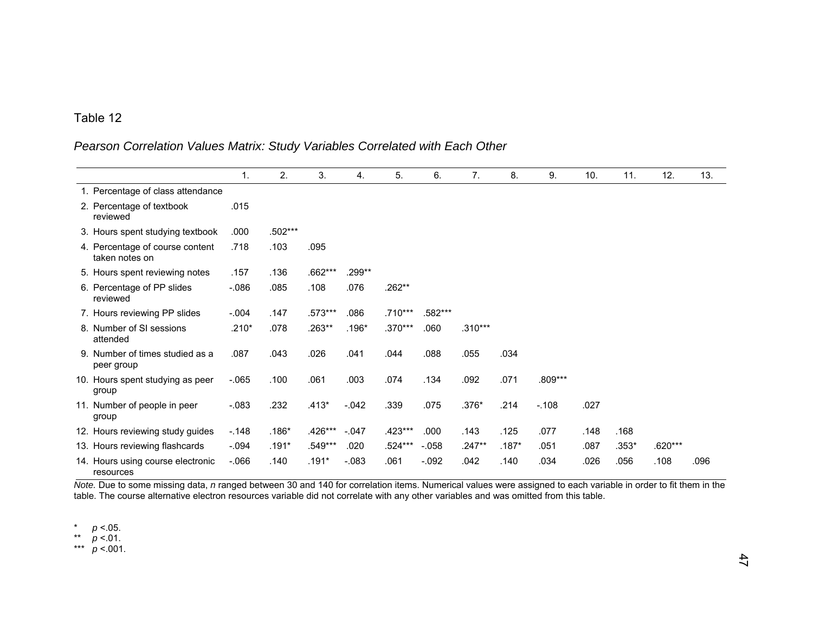## *Pearson Correlation Values Matrix: Study Variables Correlated with Each Other*

|                                                   | $\mathbf{1}$ . | 2.      | 3.      | 4.      | 5.      | 6.      | 7.        | 8.      | 9.      | 10.  | 11.   | 12.     | 13.  |
|---------------------------------------------------|----------------|---------|---------|---------|---------|---------|-----------|---------|---------|------|-------|---------|------|
| 1. Percentage of class attendance                 |                |         |         |         |         |         |           |         |         |      |       |         |      |
| 2. Percentage of textbook<br>reviewed             | .015           |         |         |         |         |         |           |         |         |      |       |         |      |
| 3. Hours spent studying textbook                  | .000           | .502*** |         |         |         |         |           |         |         |      |       |         |      |
| 4. Percentage of course content<br>taken notes on | .718           | .103    | .095    |         |         |         |           |         |         |      |       |         |      |
| 5. Hours spent reviewing notes                    | .157           | .136    | .662*** | .299**  |         |         |           |         |         |      |       |         |      |
| 6. Percentage of PP slides<br>reviewed            | $-0.086$       | .085    | .108    | .076    | .262**  |         |           |         |         |      |       |         |      |
| 7. Hours reviewing PP slides                      | $-.004$        | .147    | .573*** | .086    | .710*** | .582*** |           |         |         |      |       |         |      |
| 8. Number of SI sessions<br>attended              | $.210*$        | .078    | .263**  | $.196*$ | .370*** | .060    | $.310***$ |         |         |      |       |         |      |
| 9. Number of times studied as a<br>peer group     | .087           | .043    | .026    | .041    | .044    | .088    | .055      | .034    |         |      |       |         |      |
| 10. Hours spent studying as peer<br>group         | $-065$         | .100    | .061    | .003    | .074    | .134    | .092      | .071    | .809*** |      |       |         |      |
| 11. Number of people in peer<br>group             | $-.083$        | .232    | $.413*$ | $-.042$ | .339    | .075    | .376*     | .214    | $-108$  | .027 |       |         |      |
| 12. Hours reviewing study guides                  | $-.148$        | $.186*$ | .426*** | $-047$  | .423*** | .000    | .143      | .125    | .077    | .148 | .168  |         |      |
| 13. Hours reviewing flashcards                    | $-.094$        | $.191*$ | .549*** | .020    | .524*** | $-.058$ | $.247**$  | $.187*$ | .051    | .087 | .353* | .620*** |      |
| 14. Hours using course electronic<br>resources    | $-066$         | .140    | $.191*$ | $-.083$ | .061    | $-.092$ | .042      | .140    | .034    | .026 | .056  | .108    | .096 |

*Note.* Due to some missing data, *n* ranged between 30 and 140 for correlation items. Numerical values were assigned to each variable in order to fit them in the table. The course alternative electron resources variable did not correlate with any other variables and was omitted from this table.

\* *p* <.05.

\*\* *p* <.01.

\*\*\* *p* <.001.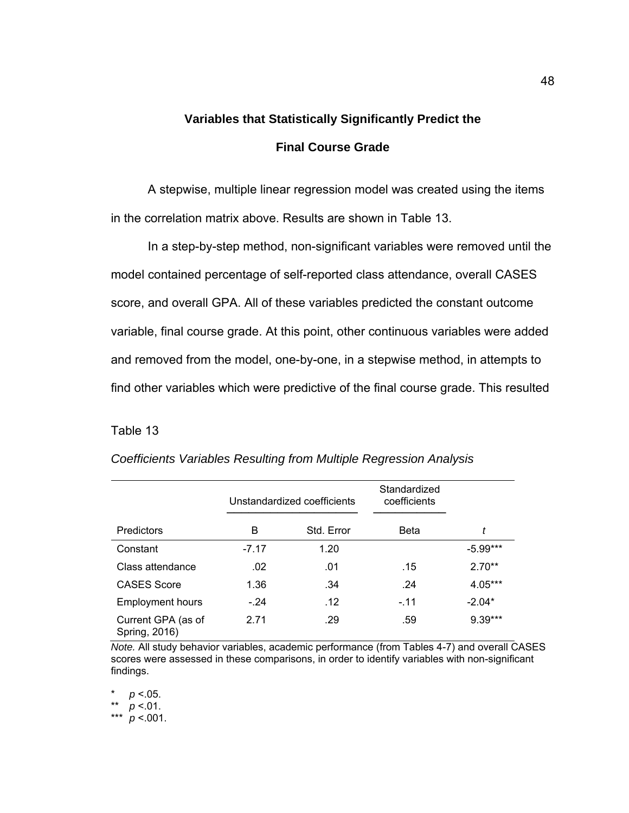# **Variables that Statistically Significantly Predict the Final Course Grade**

 A stepwise, multiple linear regression model was created using the items in the correlation matrix above. Results are shown in Table 13.

In a step-by-step method, non-significant variables were removed until the model contained percentage of self-reported class attendance, overall CASES score, and overall GPA. All of these variables predicted the constant outcome variable, final course grade. At this point, other continuous variables were added and removed from the model, one-by-one, in a stepwise method, in attempts to find other variables which were predictive of the final course grade. This resulted

## Table 13

|                                     |         | Unstandardized coefficients | Standardized<br>coefficients |            |
|-------------------------------------|---------|-----------------------------|------------------------------|------------|
| Predictors                          | B       | Std. Error                  | Beta                         | t          |
| Constant                            | $-7.17$ | 1.20                        |                              | $-5.99***$ |
| Class attendance                    | .02     | .01                         | .15                          | $2.70**$   |
| <b>CASES Score</b>                  | 1.36    | .34                         | $\cdot$ 24                   | 4.05***    |
| <b>Employment hours</b>             | $-.24$  | .12                         | $-.11$                       | $-2.04*$   |
| Current GPA (as of<br>Spring, 2016) | 2.71    | .29                         | .59                          | 9.39***    |

*Coefficients Variables Resulting from Multiple Regression Analysis* 

*Note.* All study behavior variables, academic performance (from Tables 4-7) and overall CASES scores were assessed in these comparisons, in order to identify variables with non-significant findings.

 $p < .05$ .

\*\* *p* <.01.

\*\*\* *p* <.001.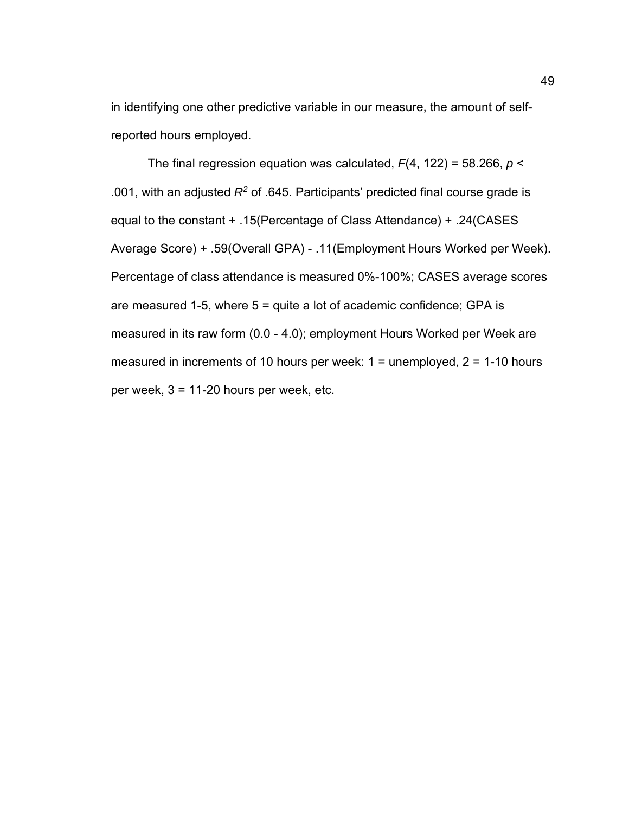in identifying one other predictive variable in our measure, the amount of selfreported hours employed.

 The final regression equation was calculated, *F*(4, 122) = 58.266, *p* < .001, with an adjusted *R2* of .645. Participants' predicted final course grade is equal to the constant + .15(Percentage of Class Attendance) + .24(CASES Average Score) + .59(Overall GPA) - .11(Employment Hours Worked per Week). Percentage of class attendance is measured 0%-100%; CASES average scores are measured 1-5, where  $5 =$  quite a lot of academic confidence; GPA is measured in its raw form (0.0 - 4.0); employment Hours Worked per Week are measured in increments of 10 hours per week:  $1 =$  unemployed,  $2 = 1-10$  hours per week, 3 = 11-20 hours per week, etc.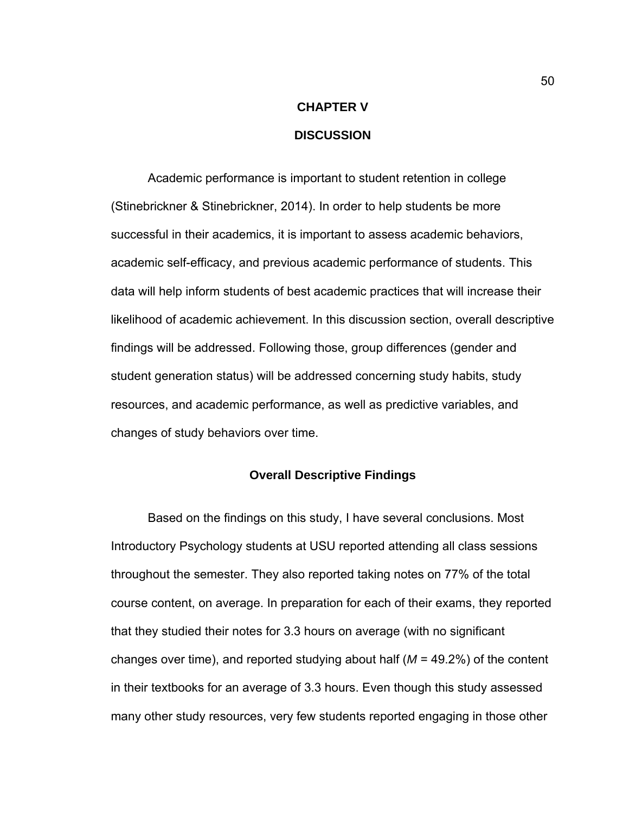# **CHAPTER V DISCUSSION**

Academic performance is important to student retention in college (Stinebrickner & Stinebrickner, 2014). In order to help students be more successful in their academics, it is important to assess academic behaviors, academic self-efficacy, and previous academic performance of students. This data will help inform students of best academic practices that will increase their likelihood of academic achievement. In this discussion section, overall descriptive findings will be addressed. Following those, group differences (gender and student generation status) will be addressed concerning study habits, study resources, and academic performance, as well as predictive variables, and changes of study behaviors over time.

#### **Overall Descriptive Findings**

Based on the findings on this study, I have several conclusions. Most Introductory Psychology students at USU reported attending all class sessions throughout the semester. They also reported taking notes on 77% of the total course content, on average. In preparation for each of their exams, they reported that they studied their notes for 3.3 hours on average (with no significant changes over time), and reported studying about half (*M* = 49.2%) of the content in their textbooks for an average of 3.3 hours. Even though this study assessed many other study resources, very few students reported engaging in those other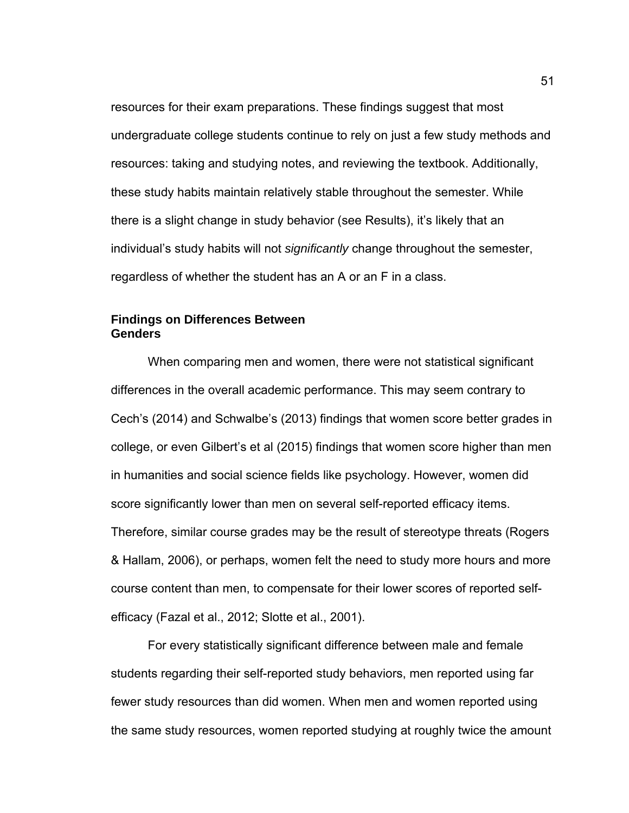resources for their exam preparations. These findings suggest that most undergraduate college students continue to rely on just a few study methods and resources: taking and studying notes, and reviewing the textbook. Additionally, these study habits maintain relatively stable throughout the semester. While there is a slight change in study behavior (see Results), it's likely that an individual's study habits will not *significantly* change throughout the semester, regardless of whether the student has an A or an F in a class.

#### **Findings on Differences Between Genders**

When comparing men and women, there were not statistical significant differences in the overall academic performance. This may seem contrary to Cech's (2014) and Schwalbe's (2013) findings that women score better grades in college, or even Gilbert's et al (2015) findings that women score higher than men in humanities and social science fields like psychology. However, women did score significantly lower than men on several self-reported efficacy items. Therefore, similar course grades may be the result of stereotype threats (Rogers & Hallam, 2006), or perhaps, women felt the need to study more hours and more course content than men, to compensate for their lower scores of reported selfefficacy (Fazal et al., 2012; Slotte et al., 2001).

For every statistically significant difference between male and female students regarding their self-reported study behaviors, men reported using far fewer study resources than did women. When men and women reported using the same study resources, women reported studying at roughly twice the amount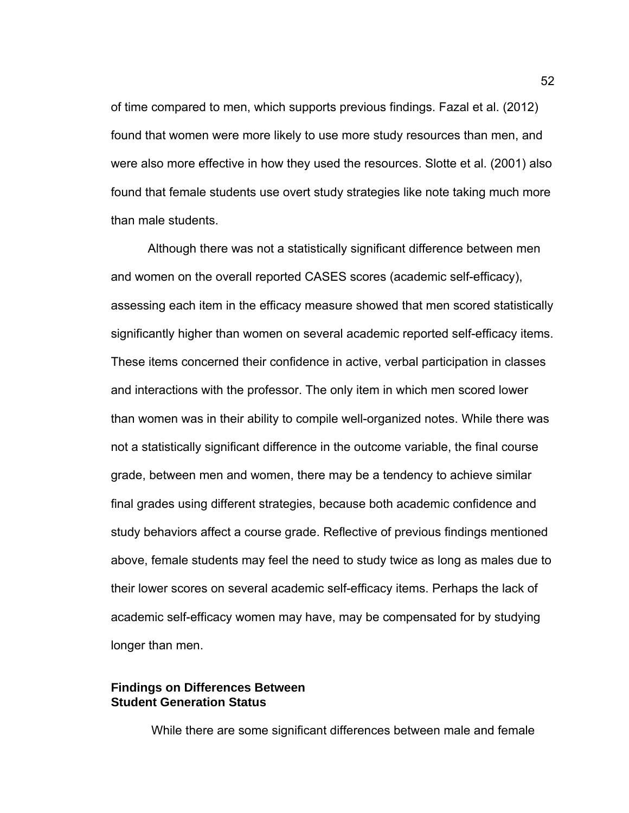of time compared to men, which supports previous findings. Fazal et al. (2012) found that women were more likely to use more study resources than men, and were also more effective in how they used the resources. Slotte et al. (2001) also found that female students use overt study strategies like note taking much more than male students.

Although there was not a statistically significant difference between men and women on the overall reported CASES scores (academic self-efficacy), assessing each item in the efficacy measure showed that men scored statistically significantly higher than women on several academic reported self-efficacy items. These items concerned their confidence in active, verbal participation in classes and interactions with the professor. The only item in which men scored lower than women was in their ability to compile well-organized notes. While there was not a statistically significant difference in the outcome variable, the final course grade, between men and women, there may be a tendency to achieve similar final grades using different strategies, because both academic confidence and study behaviors affect a course grade. Reflective of previous findings mentioned above, female students may feel the need to study twice as long as males due to their lower scores on several academic self-efficacy items. Perhaps the lack of academic self-efficacy women may have, may be compensated for by studying longer than men.

#### **Findings on Differences Between Student Generation Status**

While there are some significant differences between male and female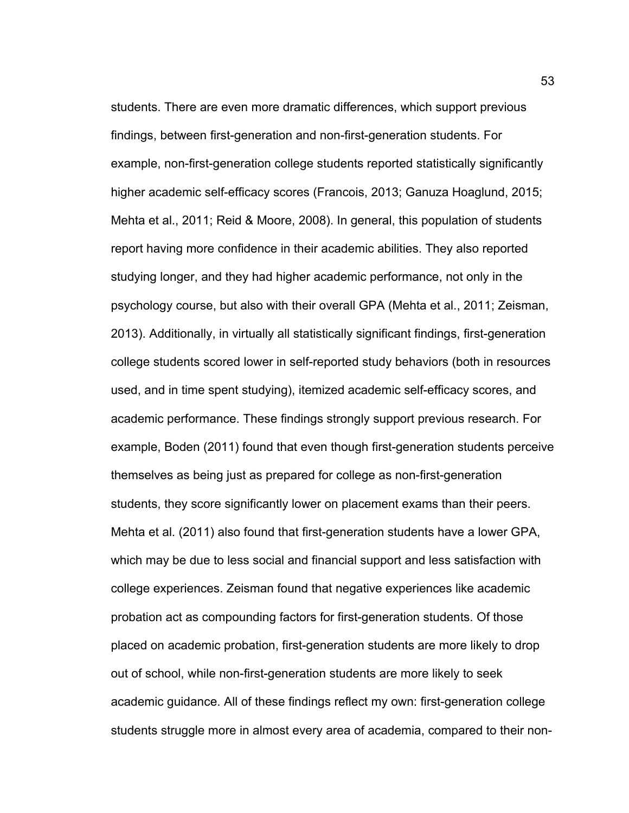students. There are even more dramatic differences, which support previous findings, between first-generation and non-first-generation students. For example, non-first-generation college students reported statistically significantly higher academic self-efficacy scores (Francois, 2013; Ganuza Hoaglund, 2015; Mehta et al., 2011; Reid & Moore, 2008). In general, this population of students report having more confidence in their academic abilities. They also reported studying longer, and they had higher academic performance, not only in the psychology course, but also with their overall GPA (Mehta et al., 2011; Zeisman, 2013). Additionally, in virtually all statistically significant findings, first-generation college students scored lower in self-reported study behaviors (both in resources used, and in time spent studying), itemized academic self-efficacy scores, and academic performance. These findings strongly support previous research. For example, Boden (2011) found that even though first-generation students perceive themselves as being just as prepared for college as non-first-generation students, they score significantly lower on placement exams than their peers. Mehta et al. (2011) also found that first-generation students have a lower GPA, which may be due to less social and financial support and less satisfaction with college experiences. Zeisman found that negative experiences like academic probation act as compounding factors for first-generation students. Of those placed on academic probation, first-generation students are more likely to drop out of school, while non-first-generation students are more likely to seek academic guidance. All of these findings reflect my own: first-generation college students struggle more in almost every area of academia, compared to their non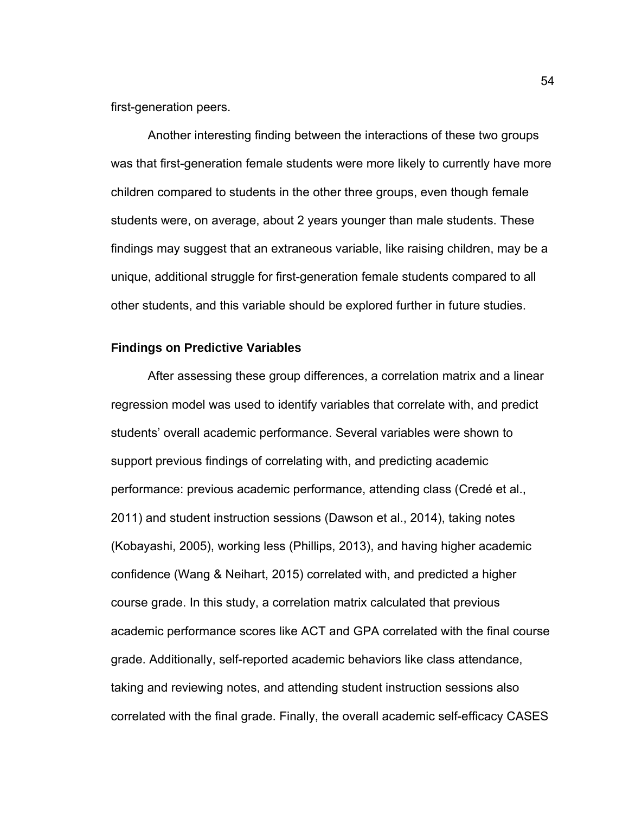first-generation peers.

 Another interesting finding between the interactions of these two groups was that first-generation female students were more likely to currently have more children compared to students in the other three groups, even though female students were, on average, about 2 years younger than male students. These findings may suggest that an extraneous variable, like raising children, may be a unique, additional struggle for first-generation female students compared to all other students, and this variable should be explored further in future studies.

#### **Findings on Predictive Variables**

After assessing these group differences, a correlation matrix and a linear regression model was used to identify variables that correlate with, and predict students' overall academic performance. Several variables were shown to support previous findings of correlating with, and predicting academic performance: previous academic performance, attending class (Credé et al., 2011) and student instruction sessions (Dawson et al., 2014), taking notes (Kobayashi, 2005), working less (Phillips, 2013), and having higher academic confidence (Wang & Neihart, 2015) correlated with, and predicted a higher course grade. In this study, a correlation matrix calculated that previous academic performance scores like ACT and GPA correlated with the final course grade. Additionally, self-reported academic behaviors like class attendance, taking and reviewing notes, and attending student instruction sessions also correlated with the final grade. Finally, the overall academic self-efficacy CASES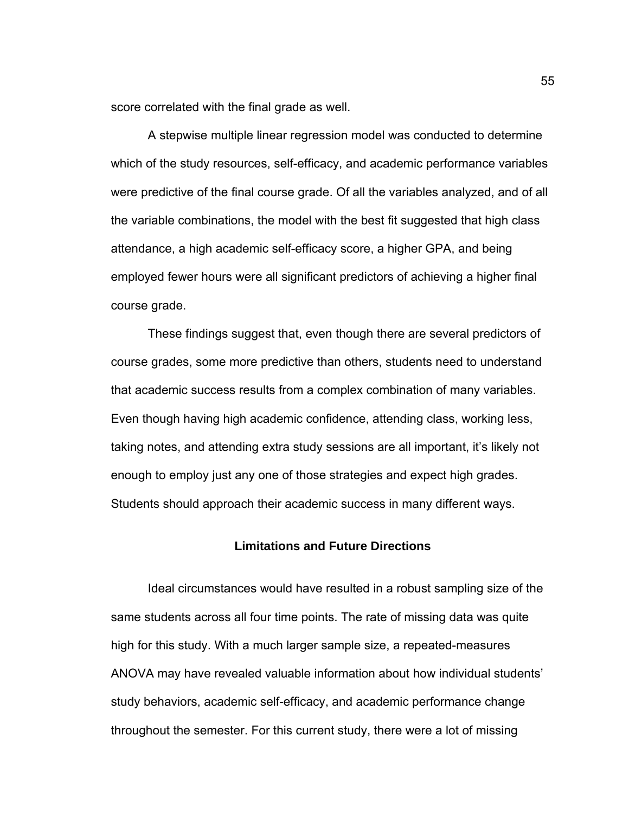score correlated with the final grade as well.

 A stepwise multiple linear regression model was conducted to determine which of the study resources, self-efficacy, and academic performance variables were predictive of the final course grade. Of all the variables analyzed, and of all the variable combinations, the model with the best fit suggested that high class attendance, a high academic self-efficacy score, a higher GPA, and being employed fewer hours were all significant predictors of achieving a higher final course grade.

 These findings suggest that, even though there are several predictors of course grades, some more predictive than others, students need to understand that academic success results from a complex combination of many variables. Even though having high academic confidence, attending class, working less, taking notes, and attending extra study sessions are all important, it's likely not enough to employ just any one of those strategies and expect high grades. Students should approach their academic success in many different ways.

#### **Limitations and Future Directions**

Ideal circumstances would have resulted in a robust sampling size of the same students across all four time points. The rate of missing data was quite high for this study. With a much larger sample size, a repeated-measures ANOVA may have revealed valuable information about how individual students' study behaviors, academic self-efficacy, and academic performance change throughout the semester. For this current study, there were a lot of missing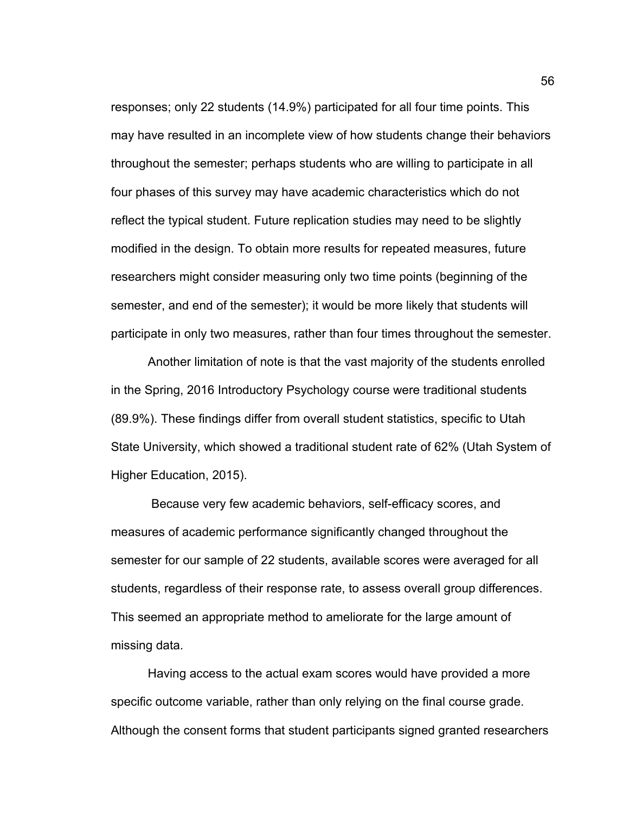responses; only 22 students (14.9%) participated for all four time points. This may have resulted in an incomplete view of how students change their behaviors throughout the semester; perhaps students who are willing to participate in all four phases of this survey may have academic characteristics which do not reflect the typical student. Future replication studies may need to be slightly modified in the design. To obtain more results for repeated measures, future researchers might consider measuring only two time points (beginning of the semester, and end of the semester); it would be more likely that students will participate in only two measures, rather than four times throughout the semester.

Another limitation of note is that the vast majority of the students enrolled in the Spring, 2016 Introductory Psychology course were traditional students (89.9%). These findings differ from overall student statistics, specific to Utah State University, which showed a traditional student rate of 62% (Utah System of Higher Education, 2015).

 Because very few academic behaviors, self-efficacy scores, and measures of academic performance significantly changed throughout the semester for our sample of 22 students, available scores were averaged for all students, regardless of their response rate, to assess overall group differences. This seemed an appropriate method to ameliorate for the large amount of missing data.

Having access to the actual exam scores would have provided a more specific outcome variable, rather than only relying on the final course grade. Although the consent forms that student participants signed granted researchers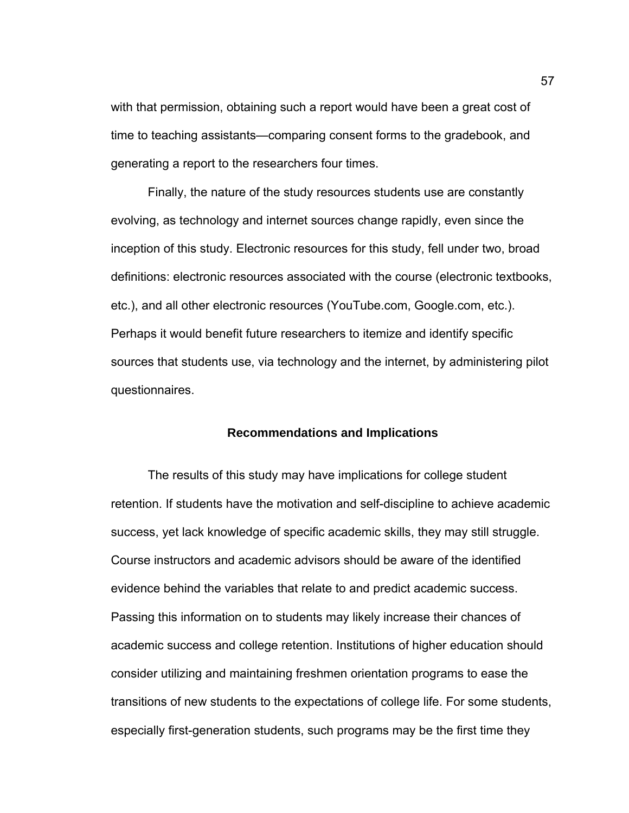with that permission, obtaining such a report would have been a great cost of time to teaching assistants—comparing consent forms to the gradebook, and generating a report to the researchers four times.

Finally, the nature of the study resources students use are constantly evolving, as technology and internet sources change rapidly, even since the inception of this study. Electronic resources for this study, fell under two, broad definitions: electronic resources associated with the course (electronic textbooks, etc.), and all other electronic resources (YouTube.com, Google.com, etc.). Perhaps it would benefit future researchers to itemize and identify specific sources that students use, via technology and the internet, by administering pilot questionnaires.

#### **Recommendations and Implications**

 The results of this study may have implications for college student retention. If students have the motivation and self-discipline to achieve academic success, yet lack knowledge of specific academic skills, they may still struggle. Course instructors and academic advisors should be aware of the identified evidence behind the variables that relate to and predict academic success. Passing this information on to students may likely increase their chances of academic success and college retention. Institutions of higher education should consider utilizing and maintaining freshmen orientation programs to ease the transitions of new students to the expectations of college life. For some students, especially first-generation students, such programs may be the first time they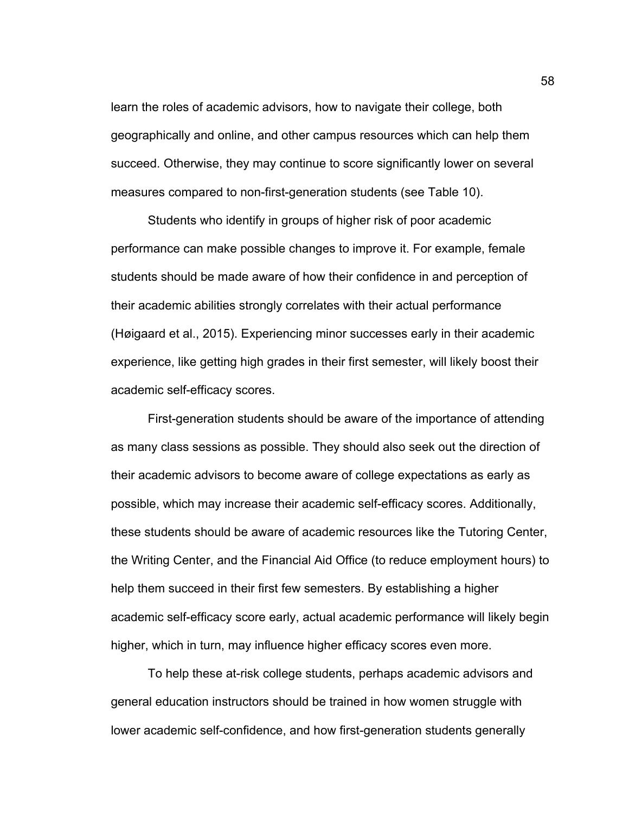learn the roles of academic advisors, how to navigate their college, both geographically and online, and other campus resources which can help them succeed. Otherwise, they may continue to score significantly lower on several measures compared to non-first-generation students (see Table 10).

 Students who identify in groups of higher risk of poor academic performance can make possible changes to improve it. For example, female students should be made aware of how their confidence in and perception of their academic abilities strongly correlates with their actual performance (Høigaard et al., 2015). Experiencing minor successes early in their academic experience, like getting high grades in their first semester, will likely boost their academic self-efficacy scores.

First-generation students should be aware of the importance of attending as many class sessions as possible. They should also seek out the direction of their academic advisors to become aware of college expectations as early as possible, which may increase their academic self-efficacy scores. Additionally, these students should be aware of academic resources like the Tutoring Center, the Writing Center, and the Financial Aid Office (to reduce employment hours) to help them succeed in their first few semesters. By establishing a higher academic self-efficacy score early, actual academic performance will likely begin higher, which in turn, may influence higher efficacy scores even more.

To help these at-risk college students, perhaps academic advisors and general education instructors should be trained in how women struggle with lower academic self-confidence, and how first-generation students generally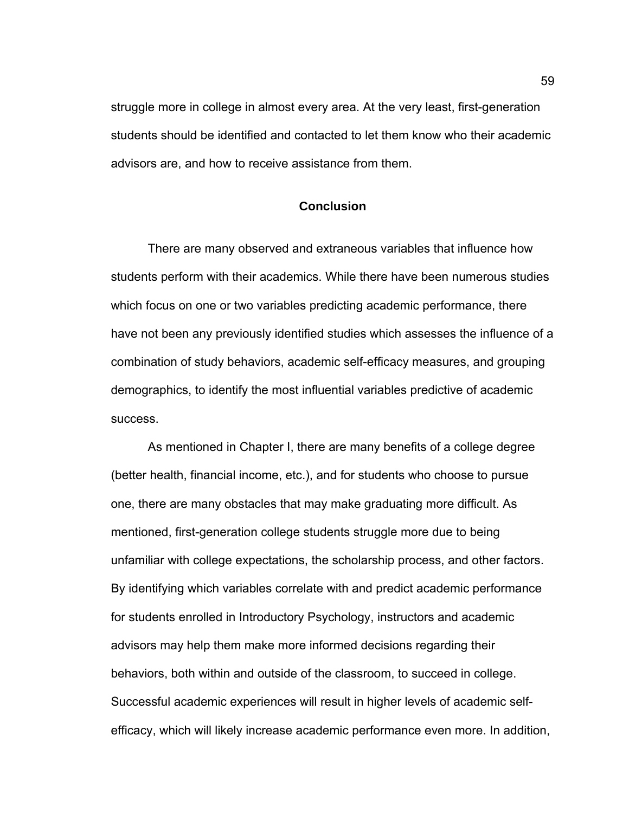struggle more in college in almost every area. At the very least, first-generation students should be identified and contacted to let them know who their academic advisors are, and how to receive assistance from them.

#### **Conclusion**

There are many observed and extraneous variables that influence how students perform with their academics. While there have been numerous studies which focus on one or two variables predicting academic performance, there have not been any previously identified studies which assesses the influence of a combination of study behaviors, academic self-efficacy measures, and grouping demographics, to identify the most influential variables predictive of academic success.

As mentioned in Chapter I, there are many benefits of a college degree (better health, financial income, etc.), and for students who choose to pursue one, there are many obstacles that may make graduating more difficult. As mentioned, first-generation college students struggle more due to being unfamiliar with college expectations, the scholarship process, and other factors. By identifying which variables correlate with and predict academic performance for students enrolled in Introductory Psychology, instructors and academic advisors may help them make more informed decisions regarding their behaviors, both within and outside of the classroom, to succeed in college. Successful academic experiences will result in higher levels of academic selfefficacy, which will likely increase academic performance even more. In addition,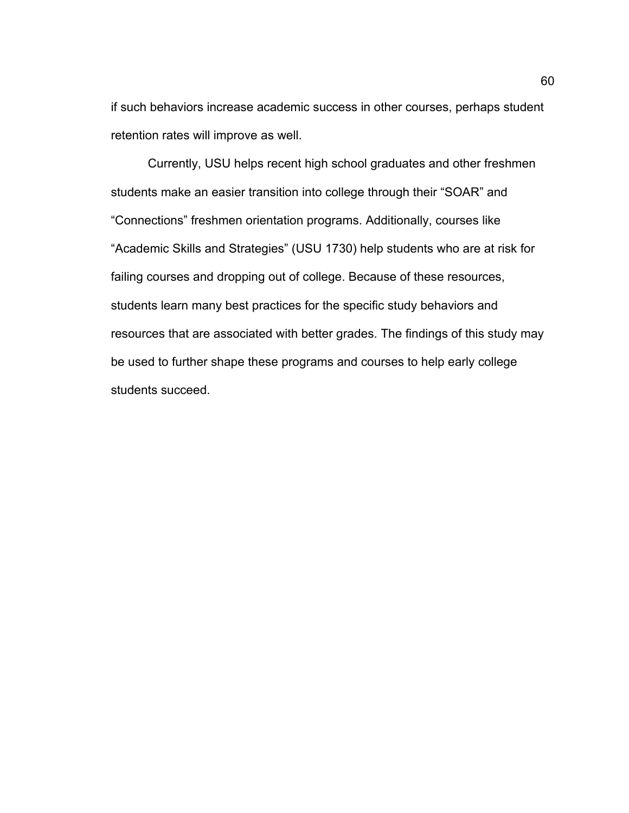if such behaviors increase academic success in other courses, perhaps student retention rates will improve as well.

Currently, USU helps recent high school graduates and other freshmen students make an easier transition into college through their "SOAR" and "Connections" freshmen orientation programs. Additionally, courses like "Academic Skills and Strategies" (USU 1730) help students who are at risk for failing courses and dropping out of college. Because of these resources, students learn many best practices for the specific study behaviors and resources that are associated with better grades. The findings of this study may be used to further shape these programs and courses to help early college students succeed.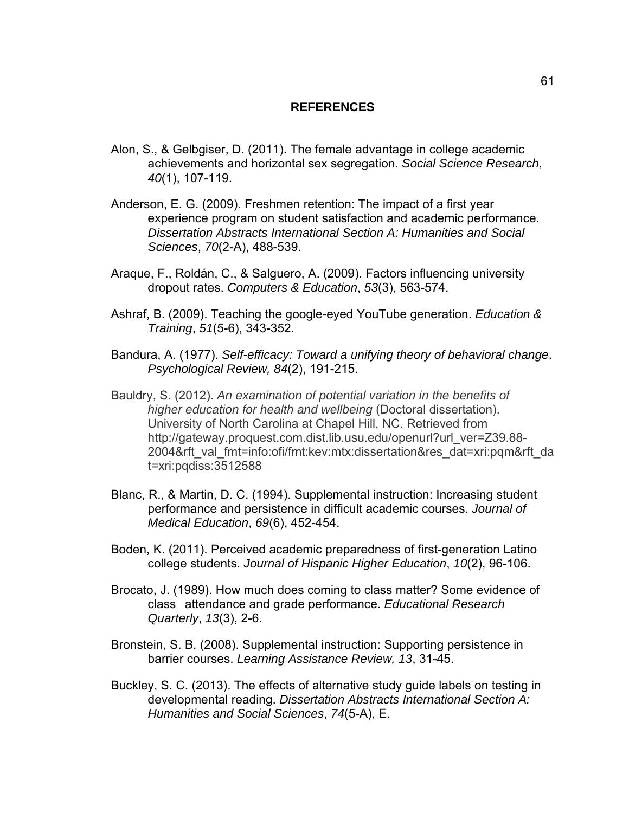## **REFERENCES**

- Alon, S., & Gelbgiser, D. (2011). The female advantage in college academic achievements and horizontal sex segregation. *Social Science Research*, *40*(1), 107-119.
- Anderson, E. G. (2009). Freshmen retention: The impact of a first year experience program on student satisfaction and academic performance. *Dissertation Abstracts International Section A: Humanities and Social Sciences*, *70*(2-A), 488-539.
- Araque, F., Roldán, C., & Salguero, A. (2009). Factors influencing university dropout rates. *Computers & Education*, *53*(3), 563-574.
- Ashraf, B. (2009). Teaching the google-eyed YouTube generation. *Education & Training*, *51*(5-6), 343-352.
- Bandura, A. (1977). *Self-efficacy: Toward a unifying theory of behavioral change*. *Psychological Review, 84*(2), 191-215.
- Bauldry, S. (2012). *An examination of potential variation in the benefits of higher education for health and wellbeing* (Doctoral dissertation). University of North Carolina at Chapel Hill, NC. Retrieved from http://gateway.proquest.com.dist.lib.usu.edu/openurl?url\_ver=Z39.88-2004&rft\_val\_fmt=info:ofi/fmt:kev:mtx:dissertation&res\_dat=xri:pqm&rft\_da t=xri:pqdiss:3512588
- Blanc, R., & Martin, D. C. (1994). Supplemental instruction: Increasing student performance and persistence in difficult academic courses. *Journal of Medical Education*, *69*(6), 452-454.
- Boden, K. (2011). Perceived academic preparedness of first-generation Latino college students. *Journal of Hispanic Higher Education*, *10*(2), 96-106.
- Brocato, J. (1989). How much does coming to class matter? Some evidence of class attendance and grade performance. *Educational Research Quarterly*, *13*(3), 2-6.
- Bronstein, S. B. (2008). Supplemental instruction: Supporting persistence in barrier courses. *Learning Assistance Review, 13*, 31-45.
- Buckley, S. C. (2013). The effects of alternative study guide labels on testing in developmental reading. *Dissertation Abstracts International Section A: Humanities and Social Sciences*, *74*(5-A), E.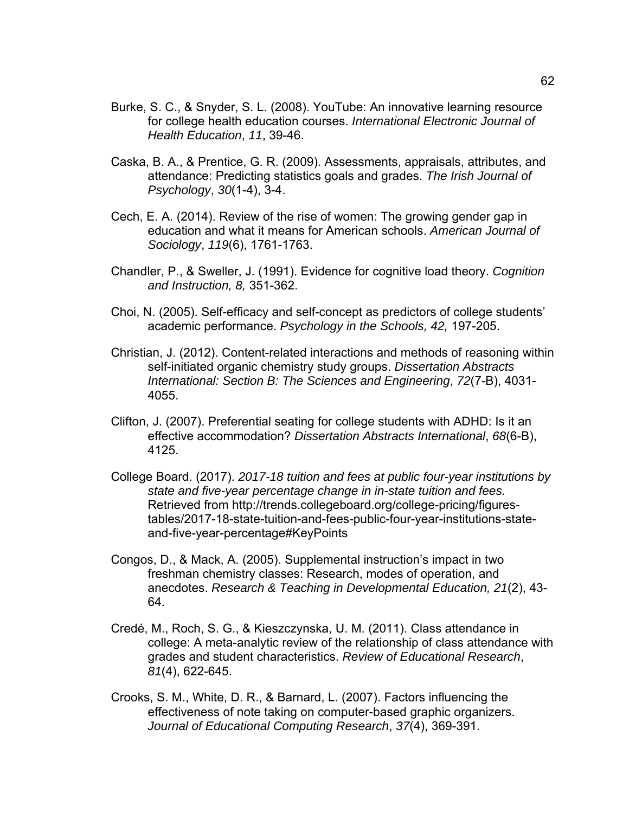- Burke, S. C., & Snyder, S. L. (2008). YouTube: An innovative learning resource for college health education courses. *International Electronic Journal of Health Education*, *11*, 39-46.
- Caska, B. A., & Prentice, G. R. (2009). Assessments, appraisals, attributes, and attendance: Predicting statistics goals and grades. *The Irish Journal of Psychology*, *30*(1-4), 3-4.
- Cech, E. A. (2014). Review of the rise of women: The growing gender gap in education and what it means for American schools. *American Journal of Sociology*, *119*(6), 1761-1763.
- Chandler, P., & Sweller, J. (1991). Evidence for cognitive load theory. *Cognition and Instruction, 8,* 351-362.
- Choi, N. (2005). Self-efficacy and self-concept as predictors of college students' academic performance. *Psychology in the Schools, 42,* 197-205.
- Christian, J. (2012). Content-related interactions and methods of reasoning within self-initiated organic chemistry study groups. *Dissertation Abstracts International: Section B: The Sciences and Engineering*, *72*(7-B), 4031- 4055.
- Clifton, J. (2007). Preferential seating for college students with ADHD: Is it an effective accommodation? *Dissertation Abstracts International*, *68*(6-B), 4125.
- College Board. (2017). *2017-18 tuition and fees at public four-year institutions by state and five-year percentage change in in-state tuition and fees.* Retrieved from http://trends.collegeboard.org/college-pricing/figurestables/2017-18-state-tuition-and-fees-public-four-year-institutions-stateand-five-year-percentage#KeyPoints
- Congos, D., & Mack, A. (2005). Supplemental instruction's impact in two freshman chemistry classes: Research, modes of operation, and anecdotes. *Research & Teaching in Developmental Education, 21*(2), 43- 64.
- Credé, M., Roch, S. G., & Kieszczynska, U. M. (2011). Class attendance in college: A meta-analytic review of the relationship of class attendance with grades and student characteristics. *Review of Educational Research*, *81*(4), 622-645.
- Crooks, S. M., White, D. R., & Barnard, L. (2007). Factors influencing the effectiveness of note taking on computer-based graphic organizers. *Journal of Educational Computing Research*, *37*(4), 369-391.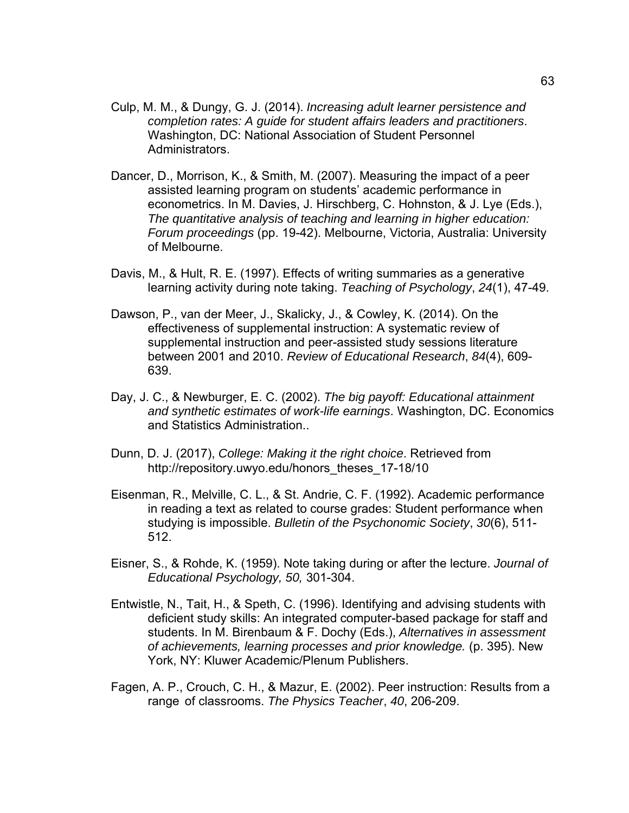- Culp, M. M., & Dungy, G. J. (2014). *Increasing adult learner persistence and completion rates: A guide for student affairs leaders and practitioners*. Washington, DC: National Association of Student Personnel Administrators.
- Dancer, D., Morrison, K., & Smith, M. (2007). Measuring the impact of a peer assisted learning program on students' academic performance in econometrics. In M. Davies, J. Hirschberg, C. Hohnston, & J. Lye (Eds.), *The quantitative analysis of teaching and learning in higher education: Forum proceedings* (pp. 19-42). Melbourne, Victoria, Australia: University of Melbourne.
- Davis, M., & Hult, R. E. (1997). Effects of writing summaries as a generative learning activity during note taking. *Teaching of Psychology*, *24*(1), 47-49.
- Dawson, P., van der Meer, J., Skalicky, J., & Cowley, K. (2014). On the effectiveness of supplemental instruction: A systematic review of supplemental instruction and peer-assisted study sessions literature between 2001 and 2010. *Review of Educational Research*, *84*(4), 609- 639.
- Day, J. C., & Newburger, E. C. (2002). *The big payoff: Educational attainment and synthetic estimates of work-life earnings*. Washington, DC. Economics and Statistics Administration..
- Dunn, D. J. (2017), *College: Making it the right choice*. Retrieved from http://repository.uwyo.edu/honors\_theses\_17-18/10
- Eisenman, R., Melville, C. L., & St. Andrie, C. F. (1992). Academic performance in reading a text as related to course grades: Student performance when studying is impossible. *Bulletin of the Psychonomic Society*, *30*(6), 511- 512.
- Eisner, S., & Rohde, K. (1959). Note taking during or after the lecture. *Journal of Educational Psychology, 50,* 301-304.
- Entwistle, N., Tait, H., & Speth, C. (1996). Identifying and advising students with deficient study skills: An integrated computer-based package for staff and students. In M. Birenbaum & F. Dochy (Eds.), *Alternatives in assessment of achievements, learning processes and prior knowledge.* (p. 395). New York, NY: Kluwer Academic/Plenum Publishers.
- Fagen, A. P., Crouch, C. H., & Mazur, E. (2002). Peer instruction: Results from a range of classrooms. *The Physics Teacher*, *40*, 206-209.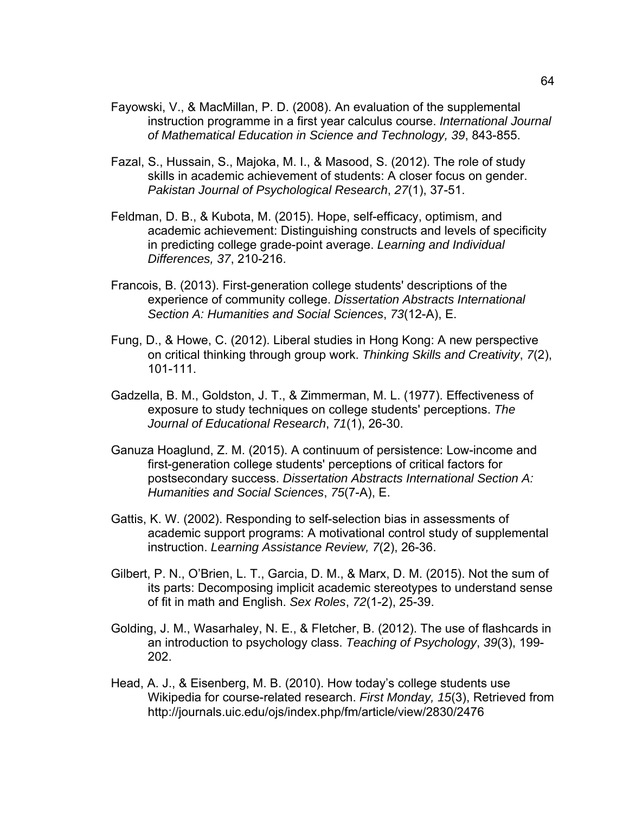- Fayowski, V., & MacMillan, P. D. (2008). An evaluation of the supplemental instruction programme in a first year calculus course. *International Journal of Mathematical Education in Science and Technology, 39*, 843-855.
- Fazal, S., Hussain, S., Majoka, M. I., & Masood, S. (2012). The role of study skills in academic achievement of students: A closer focus on gender. *Pakistan Journal of Psychological Research*, *27*(1), 37-51.
- Feldman, D. B., & Kubota, M. (2015). Hope, self-efficacy, optimism, and academic achievement: Distinguishing constructs and levels of specificity in predicting college grade-point average. *Learning and Individual Differences, 37*, 210-216.
- Francois, B. (2013). First-generation college students' descriptions of the experience of community college. *Dissertation Abstracts International Section A: Humanities and Social Sciences*, *73*(12-A), E.
- Fung, D., & Howe, C. (2012). Liberal studies in Hong Kong: A new perspective on critical thinking through group work. *Thinking Skills and Creativity*, *7*(2), 101-111.
- Gadzella, B. M., Goldston, J. T., & Zimmerman, M. L. (1977). Effectiveness of exposure to study techniques on college students' perceptions. *The Journal of Educational Research*, *71*(1), 26-30.
- Ganuza Hoaglund, Z. M. (2015). A continuum of persistence: Low-income and first-generation college students' perceptions of critical factors for postsecondary success. *Dissertation Abstracts International Section A: Humanities and Social Sciences*, *75*(7-A), E.
- Gattis, K. W. (2002). Responding to self-selection bias in assessments of academic support programs: A motivational control study of supplemental instruction. *Learning Assistance Review, 7*(2), 26-36.
- Gilbert, P. N., O'Brien, L. T., Garcia, D. M., & Marx, D. M. (2015). Not the sum of its parts: Decomposing implicit academic stereotypes to understand sense of fit in math and English. *Sex Roles*, *72*(1-2), 25-39.
- Golding, J. M., Wasarhaley, N. E., & Fletcher, B. (2012). The use of flashcards in an introduction to psychology class. *Teaching of Psychology*, *39*(3), 199- 202.
- Head, A. J., & Eisenberg, M. B. (2010). How today's college students use Wikipedia for course-related research. *First Monday, 15*(3), Retrieved from http://journals.uic.edu/ojs/index.php/fm/article/view/2830/2476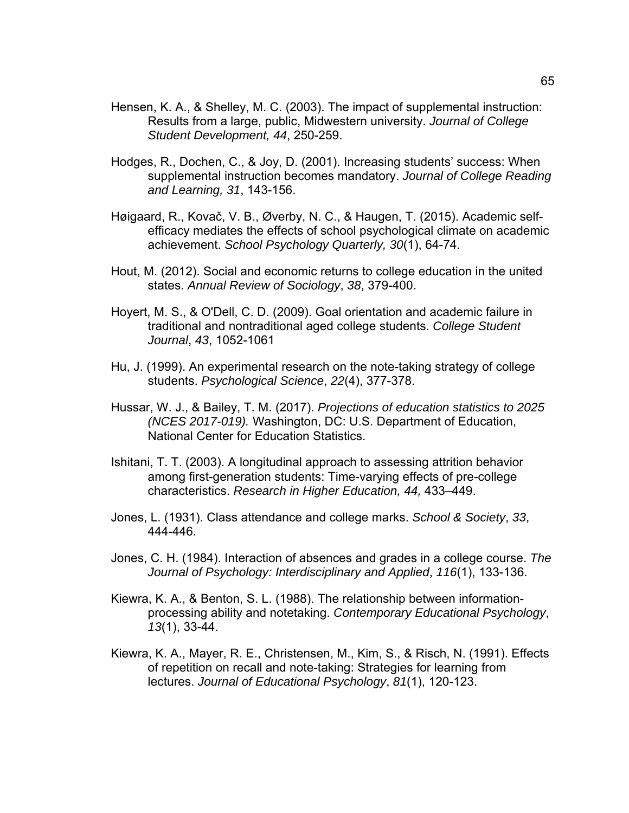- Hensen, K. A., & Shelley, M. C. (2003). The impact of supplemental instruction: Results from a large, public, Midwestern university. *Journal of College Student Development, 44*, 250-259.
- Hodges, R., Dochen, C., & Joy, D. (2001). Increasing students' success: When supplemental instruction becomes mandatory. *Journal of College Reading and Learning, 31*, 143-156.
- Høigaard, R., Kovač, V. B., Øverby, N. C., & Haugen, T. (2015). Academic selfefficacy mediates the effects of school psychological climate on academic achievement. *School Psychology Quarterly, 30*(1), 64-74.
- Hout, M. (2012). Social and economic returns to college education in the united states. *Annual Review of Sociology*, *38*, 379-400.
- Hoyert, M. S., & O'Dell, C. D. (2009). Goal orientation and academic failure in traditional and nontraditional aged college students. *College Student Journal*, *43*, 1052-1061
- Hu, J. (1999). An experimental research on the note-taking strategy of college students. *Psychological Science*, *22*(4), 377-378.
- Hussar, W. J., & Bailey, T. M. (2017). *Projections of education statistics to 2025 (NCES 2017-019).* Washington, DC: U.S. Department of Education, National Center for Education Statistics.
- Ishitani, T. T. (2003). A longitudinal approach to assessing attrition behavior among first-generation students: Time-varying effects of pre-college characteristics. *Research in Higher Education, 44,* 433–449.
- Jones, L. (1931). Class attendance and college marks. *School & Society*, *33*, 444-446.
- Jones, C. H. (1984). Interaction of absences and grades in a college course. *The Journal of Psychology: Interdisciplinary and Applied*, *116*(1), 133-136.
- Kiewra, K. A., & Benton, S. L. (1988). The relationship between informationprocessing ability and notetaking. *Contemporary Educational Psychology*, *13*(1), 33-44.
- Kiewra, K. A., Mayer, R. E., Christensen, M., Kim, S., & Risch, N. (1991). Effects of repetition on recall and note-taking: Strategies for learning from lectures. *Journal of Educational Psychology*, *81*(1), 120-123.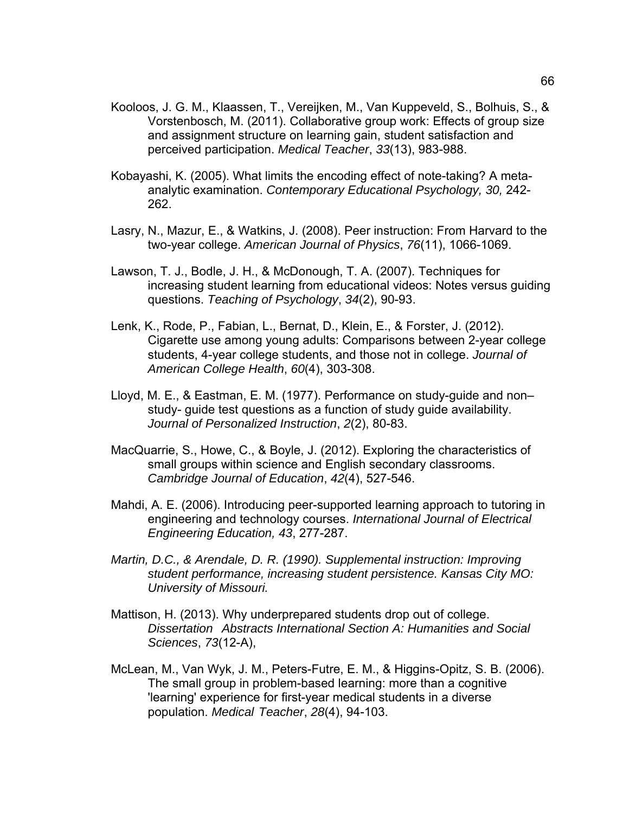- Kooloos, J. G. M., Klaassen, T., Vereijken, M., Van Kuppeveld, S., Bolhuis, S., & Vorstenbosch, M. (2011). Collaborative group work: Effects of group size and assignment structure on learning gain, student satisfaction and perceived participation. *Medical Teacher*, *33*(13), 983-988.
- Kobayashi, K. (2005). What limits the encoding effect of note-taking? A metaanalytic examination. *Contemporary Educational Psychology, 30,* 242- 262.
- Lasry, N., Mazur, E., & Watkins, J. (2008). Peer instruction: From Harvard to the two-year college. *American Journal of Physics*, *76*(11), 1066-1069.
- Lawson, T. J., Bodle, J. H., & McDonough, T. A. (2007). Techniques for increasing student learning from educational videos: Notes versus guiding questions. *Teaching of Psychology*, *34*(2), 90-93.
- Lenk, K., Rode, P., Fabian, L., Bernat, D., Klein, E., & Forster, J. (2012). Cigarette use among young adults: Comparisons between 2-year college students, 4-year college students, and those not in college. *Journal of American College Health*, *60*(4), 303-308.
- Lloyd, M. E., & Eastman, E. M. (1977). Performance on study-guide and non– study- guide test questions as a function of study guide availability. *Journal of Personalized Instruction*, *2*(2), 80-83.
- MacQuarrie, S., Howe, C., & Boyle, J. (2012). Exploring the characteristics of small groups within science and English secondary classrooms. *Cambridge Journal of Education*, *42*(4), 527-546.
- Mahdi, A. E. (2006). Introducing peer-supported learning approach to tutoring in engineering and technology courses. *International Journal of Electrical Engineering Education, 43*, 277-287.
- *Martin, D.C., & Arendale, D. R. (1990). Supplemental instruction: Improving student performance, increasing student persistence. Kansas City MO: University of Missouri.*
- Mattison, H. (2013). Why underprepared students drop out of college. *Dissertation Abstracts International Section A: Humanities and Social Sciences*, *73*(12-A),
- McLean, M., Van Wyk, J. M., Peters-Futre, E. M., & Higgins-Opitz, S. B. (2006). The small group in problem-based learning: more than a cognitive 'learning' experience for first-year medical students in a diverse population. *Medical Teacher*, *28*(4), 94-103.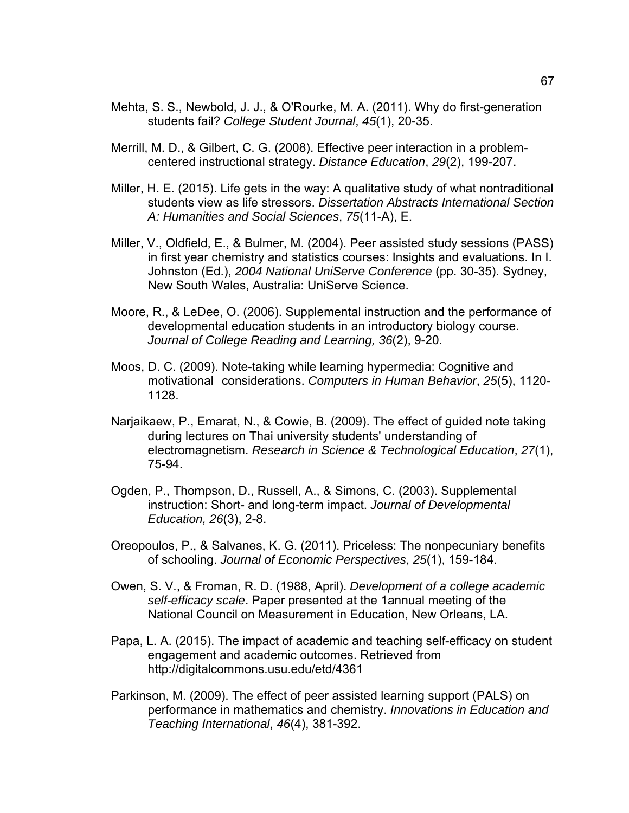- Mehta, S. S., Newbold, J. J., & O'Rourke, M. A. (2011). Why do first-generation students fail? *College Student Journal*, *45*(1), 20-35.
- Merrill, M. D., & Gilbert, C. G. (2008). Effective peer interaction in a problemcentered instructional strategy. *Distance Education*, *29*(2), 199-207.
- Miller, H. E. (2015). Life gets in the way: A qualitative study of what nontraditional students view as life stressors. *Dissertation Abstracts International Section A: Humanities and Social Sciences*, *75*(11-A), E.
- Miller, V., Oldfield, E., & Bulmer, M. (2004). Peer assisted study sessions (PASS) in first year chemistry and statistics courses: Insights and evaluations. In I. Johnston (Ed.), *2004 National UniServe Conference* (pp. 30-35). Sydney, New South Wales, Australia: UniServe Science.
- Moore, R., & LeDee, O. (2006). Supplemental instruction and the performance of developmental education students in an introductory biology course. *Journal of College Reading and Learning, 36*(2), 9-20.
- Moos, D. C. (2009). Note-taking while learning hypermedia: Cognitive and motivational considerations. *Computers in Human Behavior*, *25*(5), 1120- 1128.
- Narjaikaew, P., Emarat, N., & Cowie, B. (2009). The effect of guided note taking during lectures on Thai university students' understanding of electromagnetism. *Research in Science & Technological Education*, *27*(1), 75-94.
- Ogden, P., Thompson, D., Russell, A., & Simons, C. (2003). Supplemental instruction: Short- and long-term impact. *Journal of Developmental Education, 26*(3), 2-8.
- Oreopoulos, P., & Salvanes, K. G. (2011). Priceless: The nonpecuniary benefits of schooling. *Journal of Economic Perspectives*, *25*(1), 159-184.
- Owen, S. V., & Froman, R. D. (1988, April). *Development of a college academic self-efficacy scale*. Paper presented at the 1annual meeting of the National Council on Measurement in Education, New Orleans, LA.
- Papa, L. A. (2015). The impact of academic and teaching self-efficacy on student engagement and academic outcomes. Retrieved from http://digitalcommons.usu.edu/etd/4361
- Parkinson, M. (2009). The effect of peer assisted learning support (PALS) on performance in mathematics and chemistry. *Innovations in Education and Teaching International*, *46*(4), 381-392.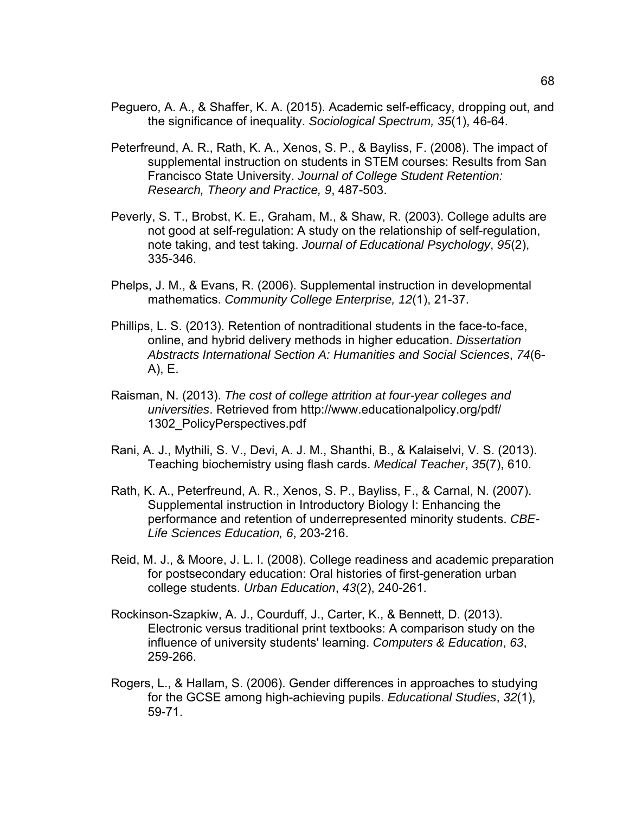- Peguero, A. A., & Shaffer, K. A. (2015). Academic self-efficacy, dropping out, and the significance of inequality. *Sociological Spectrum, 35*(1), 46-64.
- Peterfreund, A. R., Rath, K. A., Xenos, S. P., & Bayliss, F. (2008). The impact of supplemental instruction on students in STEM courses: Results from San Francisco State University. *Journal of College Student Retention: Research, Theory and Practice, 9*, 487-503.
- Peverly, S. T., Brobst, K. E., Graham, M., & Shaw, R. (2003). College adults are not good at self-regulation: A study on the relationship of self-regulation, note taking, and test taking. *Journal of Educational Psychology*, *95*(2), 335-346.
- Phelps, J. M., & Evans, R. (2006). Supplemental instruction in developmental mathematics. *Community College Enterprise, 12*(1), 21-37.
- Phillips, L. S. (2013). Retention of nontraditional students in the face-to-face, online, and hybrid delivery methods in higher education. *Dissertation Abstracts International Section A: Humanities and Social Sciences*, *74*(6- A), E.
- Raisman, N. (2013). *The cost of college attrition at four-year colleges and universities*. Retrieved from http://www.educationalpolicy.org/pdf/ 1302\_PolicyPerspectives.pdf
- Rani, A. J., Mythili, S. V., Devi, A. J. M., Shanthi, B., & Kalaiselvi, V. S. (2013). Teaching biochemistry using flash cards. *Medical Teacher*, *35*(7), 610.
- Rath, K. A., Peterfreund, A. R., Xenos, S. P., Bayliss, F., & Carnal, N. (2007). Supplemental instruction in Introductory Biology I: Enhancing the performance and retention of underrepresented minority students. *CBE-Life Sciences Education, 6*, 203-216.
- Reid, M. J., & Moore, J. L. I. (2008). College readiness and academic preparation for postsecondary education: Oral histories of first-generation urban college students. *Urban Education*, *43*(2), 240-261.
- Rockinson-Szapkiw, A. J., Courduff, J., Carter, K., & Bennett, D. (2013). Electronic versus traditional print textbooks: A comparison study on the influence of university students' learning. *Computers & Education*, *63*, 259-266.
- Rogers, L., & Hallam, S. (2006). Gender differences in approaches to studying for the GCSE among high-achieving pupils. *Educational Studies*, *32*(1), 59-71.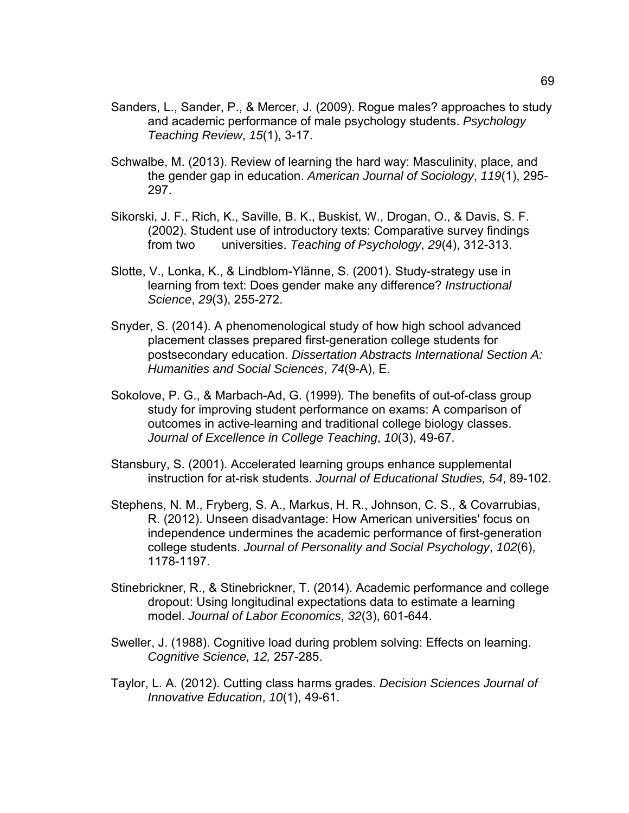- Sanders, L., Sander, P., & Mercer, J. (2009). Rogue males? approaches to study and academic performance of male psychology students. *Psychology Teaching Review*, *15*(1), 3-17.
- Schwalbe, M. (2013). Review of learning the hard way: Masculinity, place, and the gender gap in education. *American Journal of Sociology*, *119*(1), 295- 297.
- Sikorski, J. F., Rich, K., Saville, B. K., Buskist, W., Drogan, O., & Davis, S. F. (2002). Student use of introductory texts: Comparative survey findings from two universities. *Teaching of Psychology*, *29*(4), 312-313.
- Slotte, V., Lonka, K., & Lindblom-Ylänne, S. (2001). Study-strategy use in learning from text: Does gender make any difference? *Instructional Science*, *29*(3), 255-272.
- Snyder, S. (2014). A phenomenological study of how high school advanced placement classes prepared first-generation college students for postsecondary education. *Dissertation Abstracts International Section A: Humanities and Social Sciences*, *74*(9-A), E.
- Sokolove, P. G., & Marbach-Ad, G. (1999). The benefits of out-of-class group study for improving student performance on exams: A comparison of outcomes in active-learning and traditional college biology classes. *Journal of Excellence in College Teaching*, *10*(3), 49-67.
- Stansbury, S. (2001). Accelerated learning groups enhance supplemental instruction for at-risk students. *Journal of Educational Studies, 54*, 89-102.
- Stephens, N. M., Fryberg, S. A., Markus, H. R., Johnson, C. S., & Covarrubias, R. (2012). Unseen disadvantage: How American universities' focus on independence undermines the academic performance of first-generation college students. *Journal of Personality and Social Psychology*, *102*(6), 1178-1197.
- Stinebrickner, R., & Stinebrickner, T. (2014). Academic performance and college dropout: Using longitudinal expectations data to estimate a learning model. *Journal of Labor Economics*, *32*(3), 601-644.
- Sweller, J. (1988). Cognitive load during problem solving: Effects on learning. *Cognitive Science, 12,* 257-285.
- Taylor, L. A. (2012). Cutting class harms grades. *Decision Sciences Journal of Innovative Education*, *10*(1), 49-61.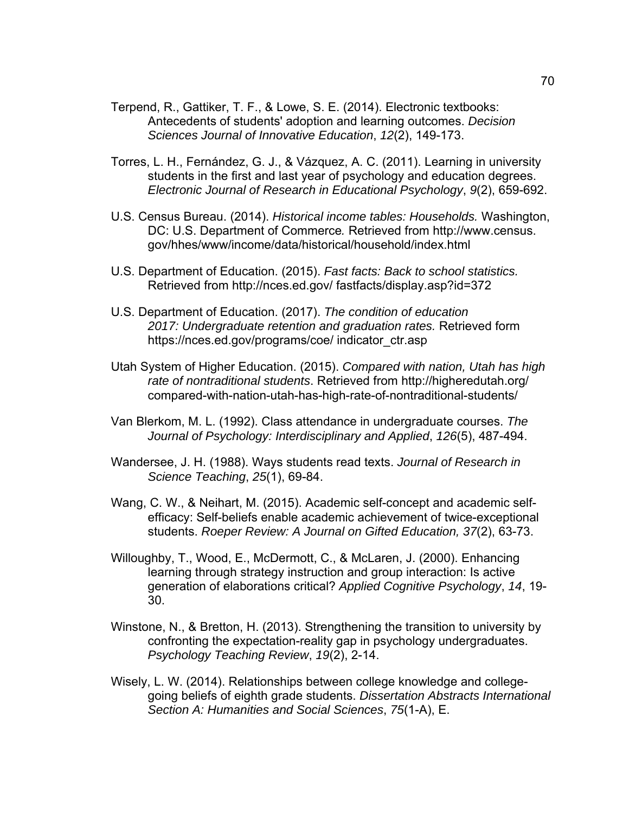- Terpend, R., Gattiker, T. F., & Lowe, S. E. (2014). Electronic textbooks: Antecedents of students' adoption and learning outcomes. *Decision Sciences Journal of Innovative Education*, *12*(2), 149-173.
- Torres, L. H., Fernández, G. J., & Vázquez, A. C. (2011). Learning in university students in the first and last year of psychology and education degrees. *Electronic Journal of Research in Educational Psychology*, *9*(2), 659-692.
- U.S. Census Bureau. (2014). *Historical income tables: Households.* Washington, DC: U.S. Department of Commerce*.* Retrieved from http://www.census. gov/hhes/www/income/data/historical/household/index.html
- U.S. Department of Education. (2015). *Fast facts: Back to school statistics.* Retrieved from http://nces.ed.gov/ fastfacts/display.asp?id=372
- U.S. Department of Education. (2017). *The condition of education 2017: Undergraduate retention and graduation rates.* Retrieved form https://nces.ed.gov/programs/coe/ indicator\_ctr.asp
- Utah System of Higher Education. (2015). *Compared with nation, Utah has high rate of nontraditional students*. Retrieved from http://higheredutah.org/ compared-with-nation-utah-has-high-rate-of-nontraditional-students/
- Van Blerkom, M. L. (1992). Class attendance in undergraduate courses. *The Journal of Psychology: Interdisciplinary and Applied*, *126*(5), 487-494.
- Wandersee, J. H. (1988). Ways students read texts. *Journal of Research in Science Teaching*, *25*(1), 69-84.
- Wang, C. W., & Neihart, M. (2015). Academic self-concept and academic selfefficacy: Self-beliefs enable academic achievement of twice-exceptional students. *Roeper Review: A Journal on Gifted Education, 37*(2), 63-73.
- Willoughby, T., Wood, E., McDermott, C., & McLaren, J. (2000). Enhancing learning through strategy instruction and group interaction: Is active generation of elaborations critical? *Applied Cognitive Psychology*, *14*, 19- 30.
- Winstone, N., & Bretton, H. (2013). Strengthening the transition to university by confronting the expectation-reality gap in psychology undergraduates. *Psychology Teaching Review*, *19*(2), 2-14.
- Wisely, L. W. (2014). Relationships between college knowledge and collegegoing beliefs of eighth grade students. *Dissertation Abstracts International Section A: Humanities and Social Sciences*, *75*(1-A), E.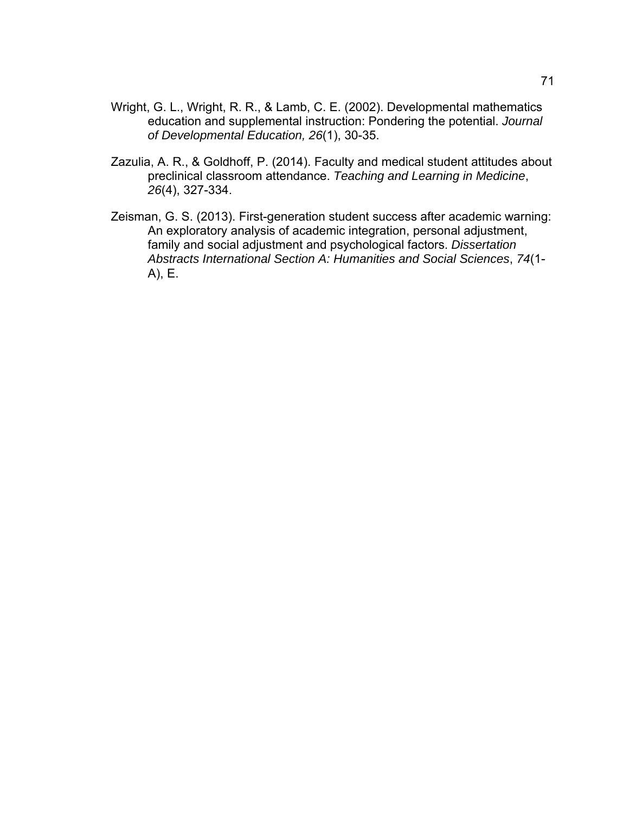- Wright, G. L., Wright, R. R., & Lamb, C. E. (2002). Developmental mathematics education and supplemental instruction: Pondering the potential. *Journal of Developmental Education, 26*(1), 30-35.
- Zazulia, A. R., & Goldhoff, P. (2014). Faculty and medical student attitudes about preclinical classroom attendance. *Teaching and Learning in Medicine*, *26*(4), 327-334.
- Zeisman, G. S. (2013). First-generation student success after academic warning: An exploratory analysis of academic integration, personal adjustment, family and social adjustment and psychological factors. *Dissertation Abstracts International Section A: Humanities and Social Sciences*, *74*(1- A), E.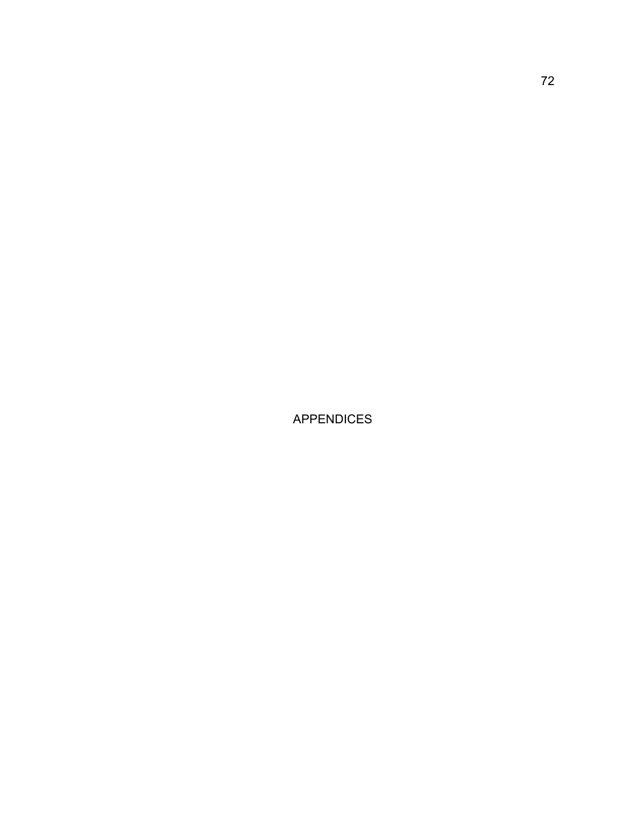APPENDICES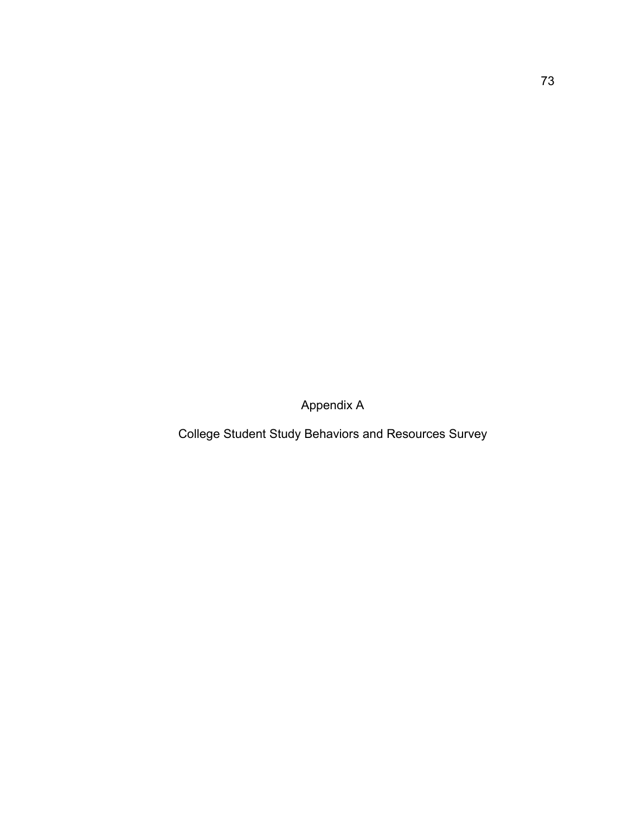Appendix A

College Student Study Behaviors and Resources Survey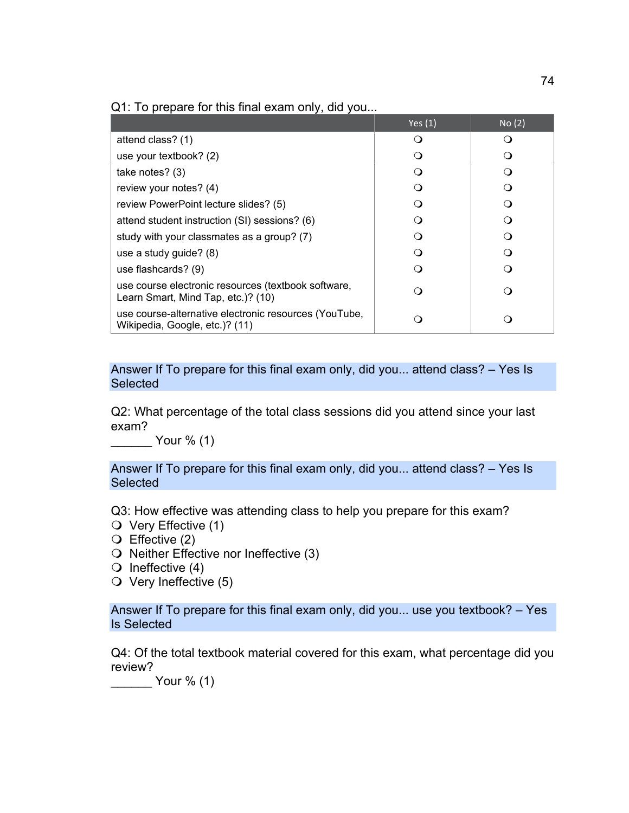## Q1: To prepare for this final exam only, did you...

|                                                                                           | Yes $(1)$ | No(2) |
|-------------------------------------------------------------------------------------------|-----------|-------|
| attend class? (1)                                                                         | ( )       |       |
| use your textbook? (2)                                                                    |           |       |
| take notes? $(3)$                                                                         |           |       |
| review your notes? (4)                                                                    |           |       |
| review PowerPoint lecture slides? (5)                                                     |           |       |
| attend student instruction (SI) sessions? (6)                                             |           |       |
| study with your classmates as a group? (7)                                                |           |       |
| use a study guide? (8)                                                                    |           |       |
| use flashcards? (9)                                                                       |           |       |
| use course electronic resources (textbook software,<br>Learn Smart, Mind Tap, etc.)? (10) |           |       |
| use course-alternative electronic resources (YouTube,<br>Wikipedia, Google, etc.)? (11)   |           |       |

Answer If To prepare for this final exam only, did you... attend class? – Yes Is **Selected** 

Q2: What percentage of the total class sessions did you attend since your last exam?

 $Your % (1)$ 

Answer If To prepare for this final exam only, did you... attend class? – Yes Is **Selected** 

Q3: How effective was attending class to help you prepare for this exam?

- Very Effective (1)
- $\bigcirc$  Effective (2)
- $\bigcirc$  Neither Effective nor Ineffective (3)
- $\bigcirc$  Ineffective (4)
- $\circ$  Very Ineffective (5)

Answer If To prepare for this final exam only, did you... use you textbook? – Yes Is Selected

Q4: Of the total textbook material covered for this exam, what percentage did you review?

\_\_\_\_\_\_ Your % (1)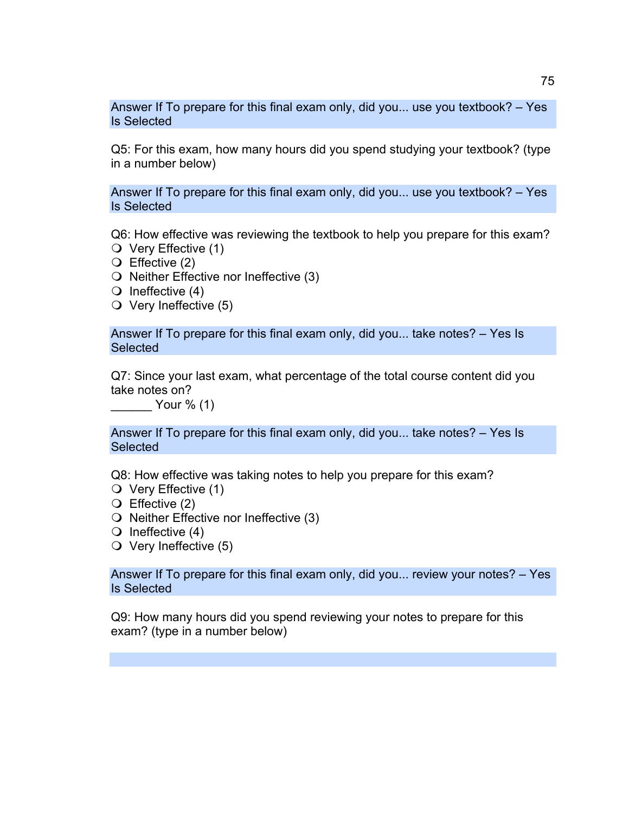Answer If To prepare for this final exam only, did you... use you textbook? – Yes Is Selected

Q5: For this exam, how many hours did you spend studying your textbook? (type in a number below)

Answer If To prepare for this final exam only, did you... use you textbook? – Yes Is Selected

Q6: How effective was reviewing the textbook to help you prepare for this exam?

- Very Effective (1)
- Effective (2)
- $\bigcirc$  Neither Effective nor Ineffective (3)
- $\bigcirc$  Ineffective (4)
- $\circ$  Very Ineffective (5)

Answer If To prepare for this final exam only, did you... take notes? – Yes Is **Selected** 

Q7: Since your last exam, what percentage of the total course content did you take notes on?

\_\_\_\_\_\_ Your % (1)

Answer If To prepare for this final exam only, did you... take notes? – Yes Is **Selected** 

Q8: How effective was taking notes to help you prepare for this exam?

- $\bigcirc$  Very Effective (1)
- Effective (2)
- $\bigcirc$  Neither Effective nor Ineffective (3)
- $\bigcirc$  Ineffective (4)
- $\circ$  Very Ineffective (5)

Answer If To prepare for this final exam only, did you... review your notes? – Yes Is Selected

Q9: How many hours did you spend reviewing your notes to prepare for this exam? (type in a number below)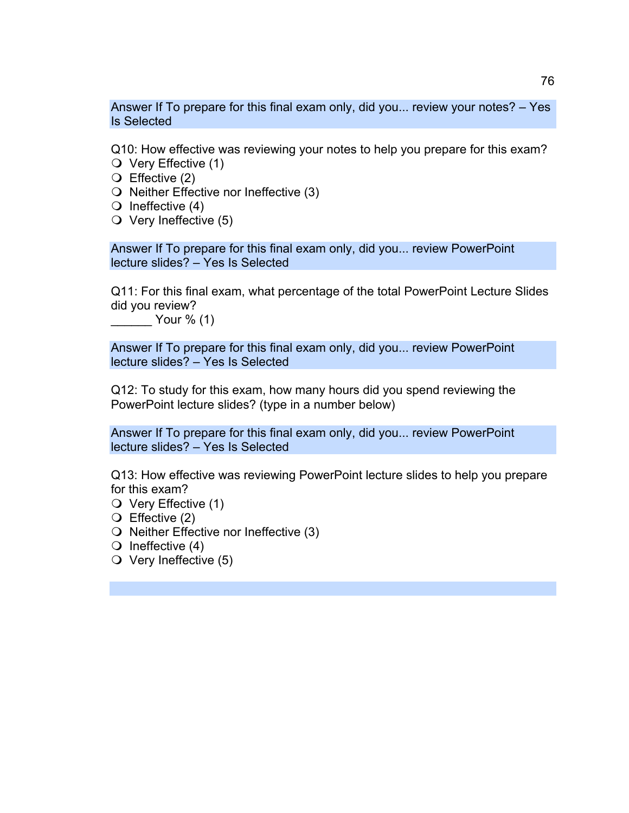Answer If To prepare for this final exam only, did you... review your notes? – Yes Is Selected

Q10: How effective was reviewing your notes to help you prepare for this exam? Very Effective (1)

- 
- Effective (2)
- $\bigcirc$  Neither Effective nor Ineffective (3)
- $\bigcirc$  Ineffective (4)
- $\circ$  Very Ineffective (5)

Answer If To prepare for this final exam only, did you... review PowerPoint lecture slides? – Yes Is Selected

Q11: For this final exam, what percentage of the total PowerPoint Lecture Slides did you review?

 $\frac{1}{2}$  Your % (1)

Answer If To prepare for this final exam only, did you... review PowerPoint lecture slides? – Yes Is Selected

Q12: To study for this exam, how many hours did you spend reviewing the PowerPoint lecture slides? (type in a number below)

Answer If To prepare for this final exam only, did you... review PowerPoint lecture slides? – Yes Is Selected

Q13: How effective was reviewing PowerPoint lecture slides to help you prepare for this exam?

- $\bigcirc$  Very Effective (1)
- $\bigcirc$  Effective (2)
- $\bigcirc$  Neither Effective nor Ineffective (3)
- $\bigcirc$  Ineffective (4)
- $\circ$  Very Ineffective (5)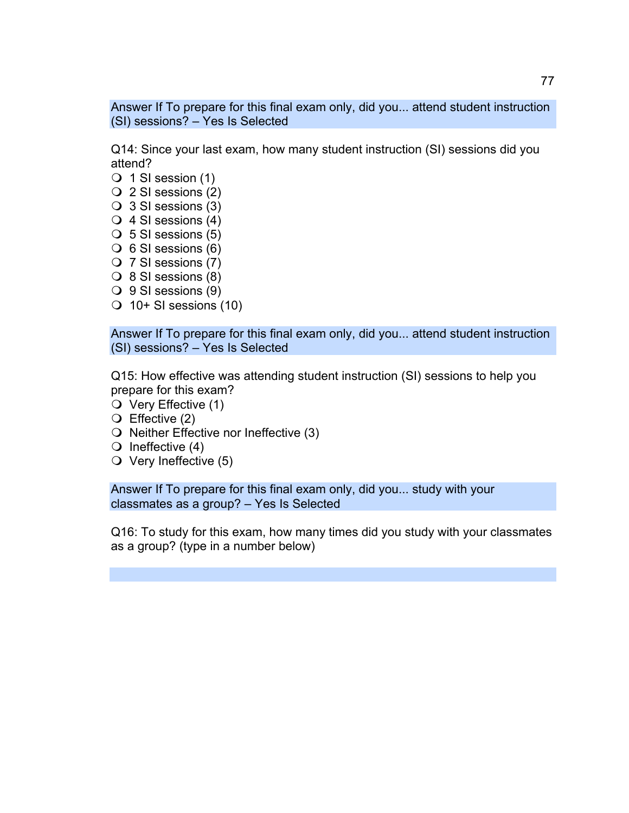Answer If To prepare for this final exam only, did you... attend student instruction (SI) sessions? – Yes Is Selected

Q14: Since your last exam, how many student instruction (SI) sessions did you attend?

- $\bigcirc$  1 SI session (1)
- 2 SI sessions (2)
- 3 SI sessions (3)
- $\bigcirc$  4 SI sessions (4)
- $\bigcirc$  5 SI sessions (5)
- $\bigcirc$  6 SI sessions (6)
- 7 SI sessions (7)
- $\bigcirc$  8 SI sessions (8)
- $\bigcirc$  9 SI sessions (9)
- $\bigcirc$  10+ SI sessions (10)

Answer If To prepare for this final exam only, did you... attend student instruction (SI) sessions? – Yes Is Selected

Q15: How effective was attending student instruction (SI) sessions to help you prepare for this exam?

- O Very Effective (1)
- $\bigcirc$  Effective (2)
- $\bigcirc$  Neither Effective nor Ineffective (3)
- $\bigcirc$  Ineffective (4)
- $\circ$  Very Ineffective (5)

Answer If To prepare for this final exam only, did you... study with your classmates as a group? – Yes Is Selected

Q16: To study for this exam, how many times did you study with your classmates as a group? (type in a number below)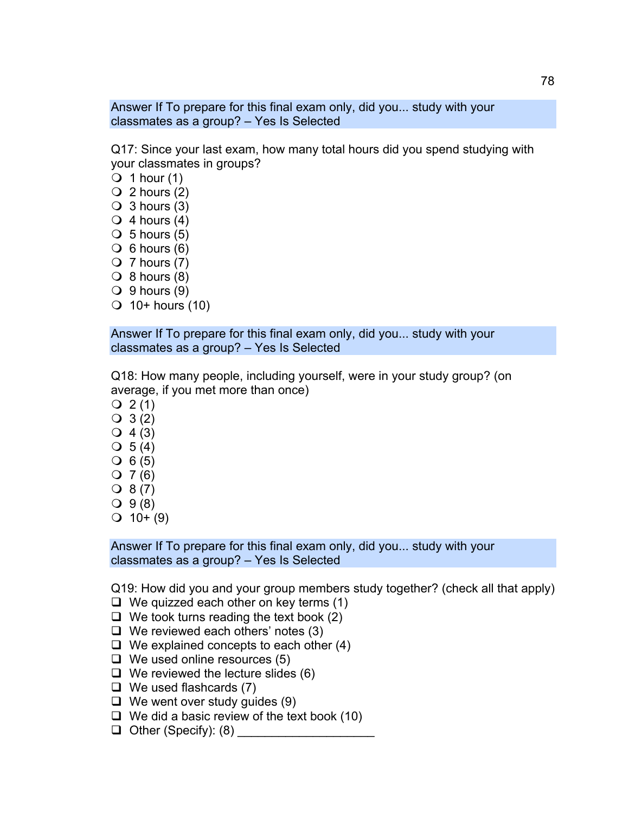Answer If To prepare for this final exam only, did you... study with your classmates as a group? – Yes Is Selected

Q17: Since your last exam, how many total hours did you spend studying with your classmates in groups?

- $\bigcirc$  1 hour (1)
- $\bigcirc$  2 hours (2)
- $\bigcirc$  3 hours (3)
- $\bigcirc$  4 hours (4)
- $\bigcirc$  5 hours (5)
- $\bigcirc$  6 hours (6)
- $\bigcirc$  7 hours (7)
- $\bigcirc$  8 hours (8)
- $\bigcirc$  9 hours (9)
- $\bigcirc$  10+ hours (10)

Answer If To prepare for this final exam only, did you... study with your classmates as a group? – Yes Is Selected

Q18: How many people, including yourself, were in your study group? (on average, if you met more than once)

- $Q_2(1)$
- $Q_3(2)$
- $Q_4(3)$
- $\bigcirc$  5 (4)
- $\bigcirc$  6 (5)
- $Q 7 (6)$
- $Q 8 (7)$
- $Q_{9(8)}$
- $Q$  10+ (9)

Answer If To prepare for this final exam only, did you... study with your classmates as a group? – Yes Is Selected

Q19: How did you and your group members study together? (check all that apply)

- $\Box$  We quizzed each other on key terms (1)
- $\Box$  We took turns reading the text book (2)
- $\Box$  We reviewed each others' notes (3)
- $\Box$  We explained concepts to each other (4)
- $\Box$  We used online resources (5)
- $\Box$  We reviewed the lecture slides (6)
- $\Box$  We used flashcards (7)
- $\Box$  We went over study guides (9)
- $\Box$  We did a basic review of the text book (10)
- $\Box$  Other (Specify): (8)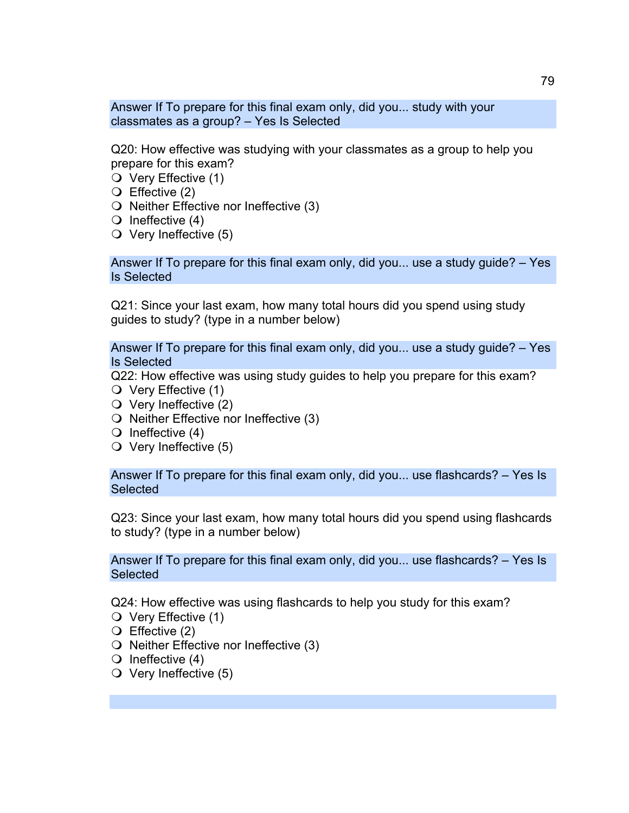Answer If To prepare for this final exam only, did you... study with your classmates as a group? – Yes Is Selected

Q20: How effective was studying with your classmates as a group to help you prepare for this exam?

- $\bigcirc$  Very Effective (1)
- Effective (2)
- $\bigcirc$  Neither Effective nor Ineffective (3)
- $\bigcirc$  Ineffective (4)
- $\overline{O}$  Very Ineffective (5)

Answer If To prepare for this final exam only, did you... use a study guide? – Yes Is Selected

Q21: Since your last exam, how many total hours did you spend using study guides to study? (type in a number below)

Answer If To prepare for this final exam only, did you... use a study guide? – Yes Is Selected

Q22: How effective was using study guides to help you prepare for this exam?

- O Very Effective (1)
- $\bigcirc$  Very Ineffective (2)
- $\bigcirc$  Neither Effective nor Ineffective (3)
- $\bigcirc$  Ineffective (4)
- $\circ$  Very Ineffective (5)

Answer If To prepare for this final exam only, did you... use flashcards? – Yes Is **Selected** 

Q23: Since your last exam, how many total hours did you spend using flashcards to study? (type in a number below)

Answer If To prepare for this final exam only, did you... use flashcards? – Yes Is **Selected** 

Q24: How effective was using flashcards to help you study for this exam?

- Very Effective (1)
- Effective (2)
- $\bigcirc$  Neither Effective nor Ineffective (3)
- $\bigcirc$  Ineffective (4)
- $\bigcirc$  Very Ineffective (5)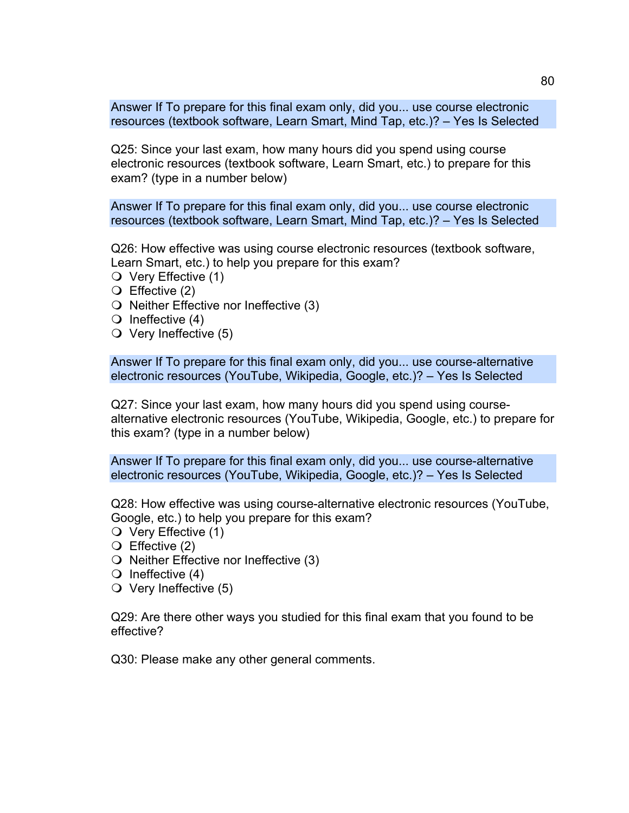Answer If To prepare for this final exam only, did you... use course electronic resources (textbook software, Learn Smart, Mind Tap, etc.)? – Yes Is Selected

Q25: Since your last exam, how many hours did you spend using course electronic resources (textbook software, Learn Smart, etc.) to prepare for this exam? (type in a number below)

Answer If To prepare for this final exam only, did you... use course electronic resources (textbook software, Learn Smart, Mind Tap, etc.)? – Yes Is Selected

Q26: How effective was using course electronic resources (textbook software, Learn Smart, etc.) to help you prepare for this exam?

- $\bigcirc$  Very Effective (1)
- Effective (2)
- $\bigcirc$  Neither Effective nor Ineffective (3)
- $\bigcirc$  Ineffective (4)
- $\circ$  Very Ineffective (5)

Answer If To prepare for this final exam only, did you... use course-alternative electronic resources (YouTube, Wikipedia, Google, etc.)? – Yes Is Selected

Q27: Since your last exam, how many hours did you spend using coursealternative electronic resources (YouTube, Wikipedia, Google, etc.) to prepare for this exam? (type in a number below)

Answer If To prepare for this final exam only, did you... use course-alternative electronic resources (YouTube, Wikipedia, Google, etc.)? – Yes Is Selected

Q28: How effective was using course-alternative electronic resources (YouTube, Google, etc.) to help you prepare for this exam?

- $\bigcirc$  Very Effective (1)
- Effective (2)
- $\bigcirc$  Neither Effective nor Ineffective (3)
- $\bigcirc$  Ineffective (4)
- $\circ$  Very Ineffective (5)

Q29: Are there other ways you studied for this final exam that you found to be effective?

Q30: Please make any other general comments.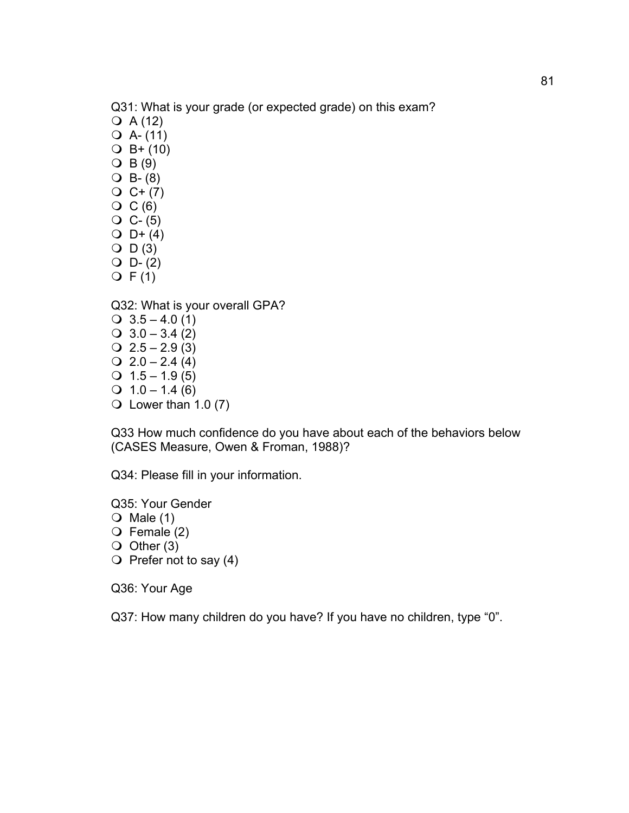Q31: What is your grade (or expected grade) on this exam?

- $Q A (12)$
- $Q$  A- $(11)$
- $Q$  B+ (10)
- $\bigcirc$  B(9)
- $O$  B- (8)
- $Q C+ (7)$
- $\overline{O}$  C(6)
- $O C (5)$
- $O_{D+}(4)$  $O$   $D(3)$
- $O$  D- $(2)$
- $Q F(1)$

Q32: What is your overall GPA?

 $\bigcirc$  3.5 – 4.0 (1)  $\bigcirc$  3.0 – 3.4 (2)  $Q$  2.5 – 2.9 (3)  $Q$  2.0 – 2.4 (4)  $Q$  1.5 – 1.9 (5)  $Q$  1.0 – 1.4 (6)  $\bigcirc$  Lower than 1.0 (7)

Q33 How much confidence do you have about each of the behaviors below (CASES Measure, Owen & Froman, 1988)?

Q34: Please fill in your information.

Q35: Your Gender

- $\bigcirc$  Male (1)
- $\bigcirc$  Female (2)
- $\bigcirc$  Other (3)
- $\bigcirc$  Prefer not to say (4)

Q36: Your Age

Q37: How many children do you have? If you have no children, type "0".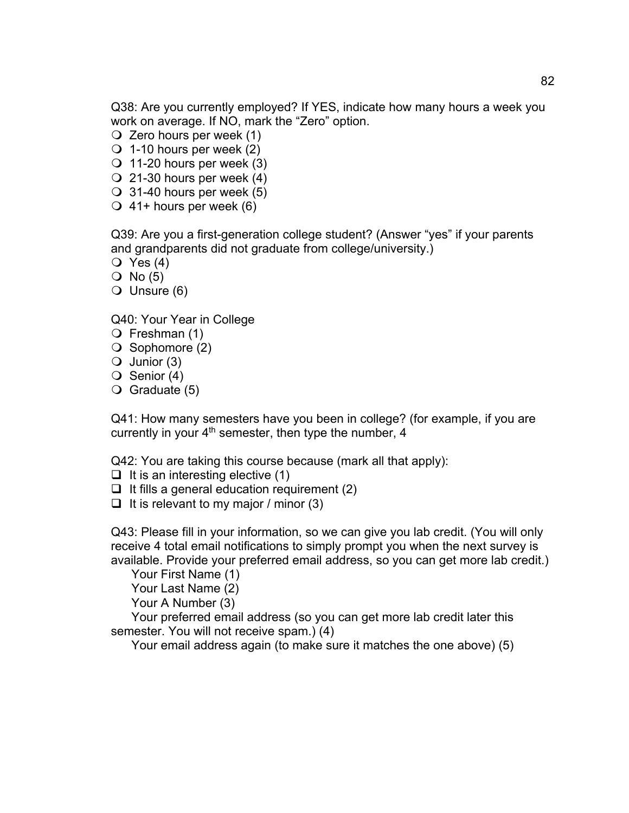Q38: Are you currently employed? If YES, indicate how many hours a week you work on average. If NO, mark the "Zero" option.

- $\bigcirc$  Zero hours per week (1)
- $\bigcirc$  1-10 hours per week (2)
- $\bigcirc$  11-20 hours per week (3)
- $\bigcirc$  21-30 hours per week (4)
- $\bigcirc$  31-40 hours per week (5)
- $\bigcirc$  41+ hours per week (6)

Q39: Are you a first-generation college student? (Answer "yes" if your parents and grandparents did not graduate from college/university.)

- $\bigcirc$  Yes (4)
- $O$  No  $(5)$
- $\bigcirc$  Unsure (6)

Q40: Your Year in College

- $\bigcirc$  Freshman (1)
- $\bigcirc$  Sophomore (2)
- $\bigcirc$  Junior (3)
- $\bigcirc$  Senior (4)
- $\bigcirc$  Graduate (5)

Q41: How many semesters have you been in college? (for example, if you are currently in your 4<sup>th</sup> semester, then type the number, 4

Q42: You are taking this course because (mark all that apply):

- $\Box$  It is an interesting elective (1)
- $\Box$  It fills a general education requirement (2)
- $\Box$  It is relevant to my major / minor (3)

Q43: Please fill in your information, so we can give you lab credit. (You will only receive 4 total email notifications to simply prompt you when the next survey is available. Provide your preferred email address, so you can get more lab credit.)

Your First Name (1) Your Last Name (2)

Your A Number (3)

Your preferred email address (so you can get more lab credit later this semester. You will not receive spam.) (4)

Your email address again (to make sure it matches the one above) (5)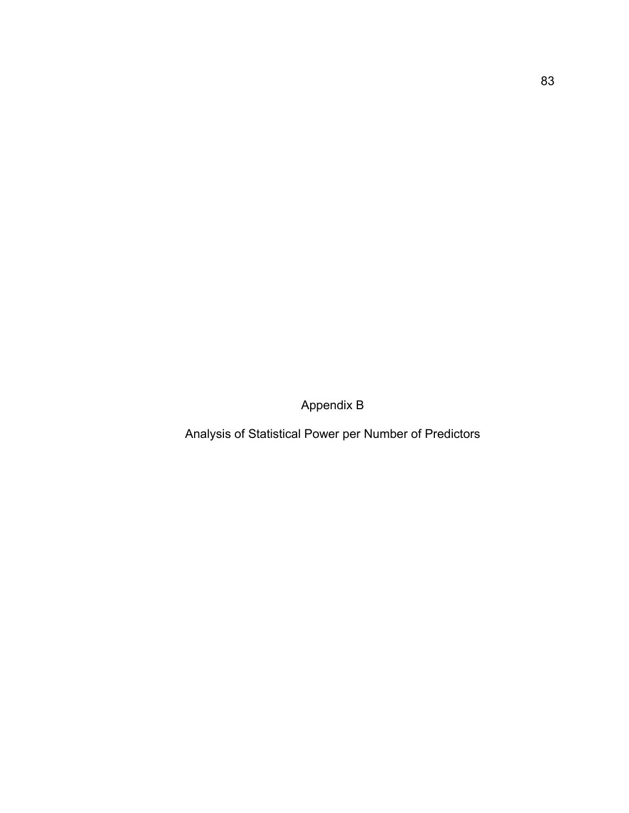Appendix B

Analysis of Statistical Power per Number of Predictors